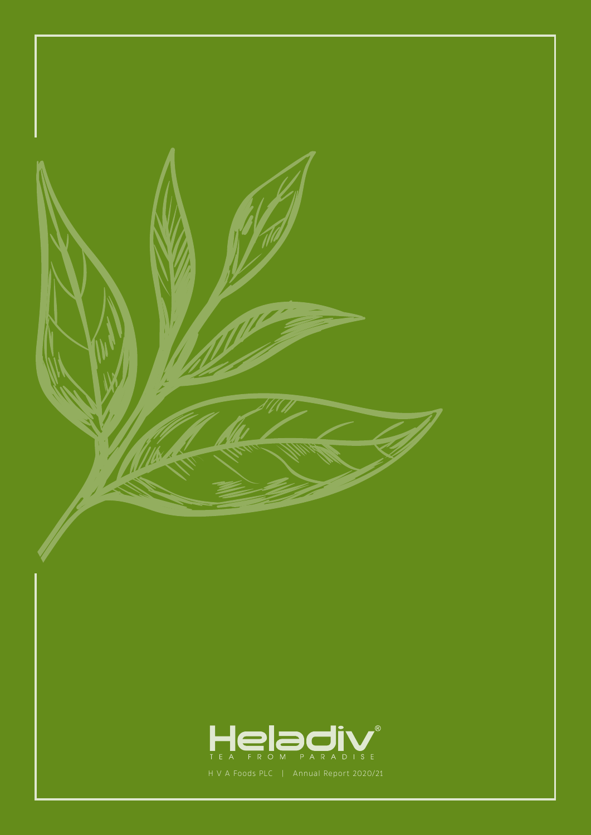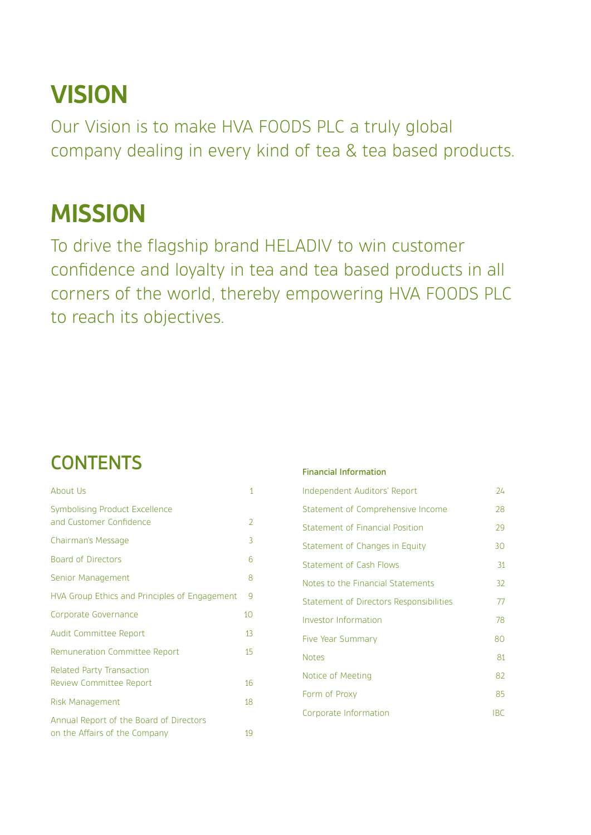# **VISION**

Our Vision is to make HVA FOODS PLC a truly global company dealing in every kind of tea & tea based products.

# **MISSION**

To drive the flagship brand HELADIV to win customer confidence and loyalty in tea and tea based products in all corners of the world, thereby empowering HVA FOODS PLC to reach its objectives.

## **CONTENTS**

| About Us                                                                 | 1  |
|--------------------------------------------------------------------------|----|
| Symbolising Product Excellence<br>and Customer Confidence                | 2  |
| Chairman's Message                                                       | 3  |
| <b>Board of Directors</b>                                                | 6  |
| Senior Management                                                        | 8  |
| HVA Group Ethics and Principles of Engagement                            | 9  |
| Corporate Governance                                                     | 10 |
| <b>Audit Committee Report</b>                                            | 13 |
| Remuneration Committee Report                                            | 15 |
| <b>Related Party Transaction</b><br><b>Review Committee Report</b>       | 16 |
| <b>Risk Management</b>                                                   | 18 |
| Annual Report of the Board of Directors<br>on the Affairs of the Company | 19 |

#### Financial Information

| 24         |
|------------|
| 28         |
| 29         |
| 30         |
| 31         |
| 32         |
| 77         |
| 78         |
| 80         |
| 81         |
| 82         |
| 85         |
| <b>IBC</b> |
|            |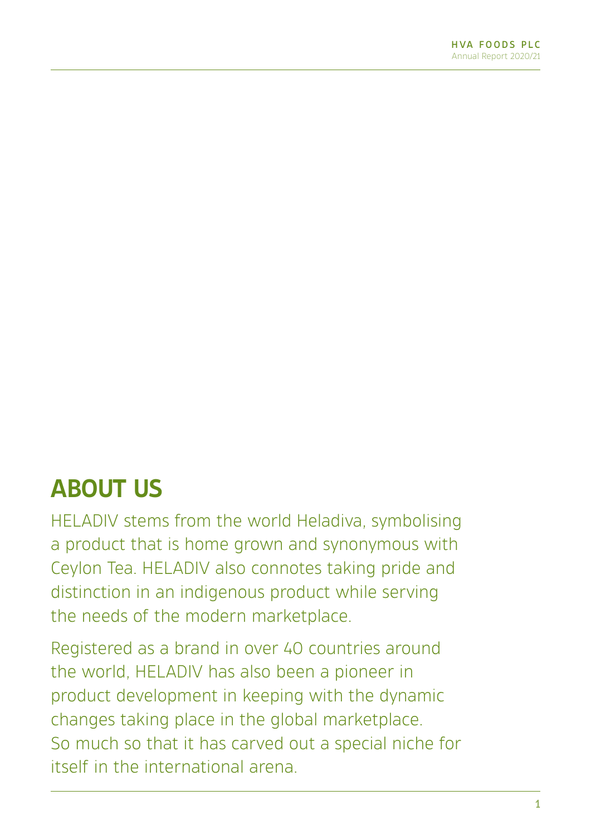# **ABOUT US**

HELADIV stems from the world Heladiva, symbolising a product that is home grown and synonymous with Ceylon Tea. HELADIV also connotes taking pride and distinction in an indigenous product while serving the needs of the modern marketplace.

Registered as a brand in over 40 countries around the world, HELADIV has also been a pioneer in product development in keeping with the dynamic changes taking place in the global marketplace. So much so that it has carved out a special niche for itself in the international arena.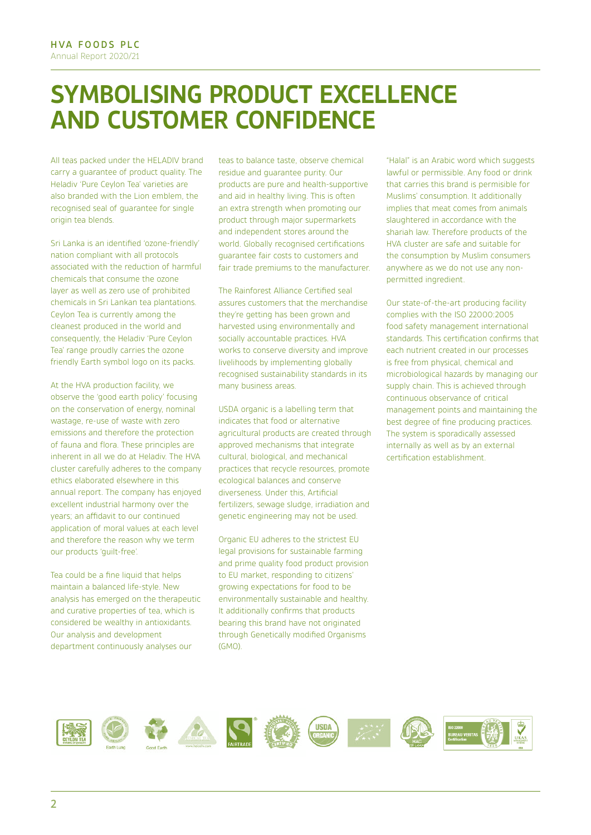## **SYMBOLISING PRODUCT EXCELLENCE AND CUSTOMER CONFIDENCE**

All teas packed under the HELADIV brand carry a guarantee of product quality. The Heladiv 'Pure Ceylon Tea' varieties are also branded with the Lion emblem, the recognised seal of guarantee for single origin tea blends.

Sri Lanka is an identified 'ozone-friendly' nation compliant with all protocols associated with the reduction of harmful chemicals that consume the ozone layer as well as zero use of prohibited chemicals in Sri Lankan tea plantations. Ceylon Tea is currently among the cleanest produced in the world and consequently, the Heladiv 'Pure Ceylon Tea' range proudly carries the ozone friendly Earth symbol logo on its packs.

At the HVA production facility, we observe the 'good earth policy' focusing on the conservation of energy, nominal wastage, re-use of waste with zero emissions and therefore the protection of fauna and flora. These principles are inherent in all we do at Heladiv. The HVA cluster carefully adheres to the company ethics elaborated elsewhere in this annual report. The company has enjoyed excellent industrial harmony over the years; an affidavit to our continued application of moral values at each level and therefore the reason why we term our products 'guilt-free'.

Tea could be a fine liquid that helps maintain a balanced life-style. New analysis has emerged on the therapeutic and curative properties of tea, which is considered be wealthy in antioxidants. Our analysis and development department continuously analyses our

teas to balance taste, observe chemical residue and guarantee purity. Our products are pure and health-supportive and aid in healthy living. This is often an extra strength when promoting our product through major supermarkets and independent stores around the world. Globally recognised certifications guarantee fair costs to customers and fair trade premiums to the manufacturer.

The Rainforest Alliance Certified seal assures customers that the merchandise they're getting has been grown and harvested using environmentally and socially accountable practices. HVA works to conserve diversity and improve livelihoods by implementing globally recognised sustainability standards in its many business areas.

USDA organic is a labelling term that indicates that food or alternative agricultural products are created through approved mechanisms that integrate cultural, biological, and mechanical practices that recycle resources, promote ecological balances and conserve diverseness. Under this, Artificial fertilizers, sewage sludge, irradiation and genetic engineering may not be used.

Organic EU adheres to the strictest EU legal provisions for sustainable farming and prime quality food product provision to EU market, responding to citizens' growing expectations for food to be environmentally sustainable and healthy. It additionally confirms that products bearing this brand have not originated through Genetically modified Organisms (GMO).

"Halal" is an Arabic word which suggests lawful or permissible. Any food or drink that carries this brand is permisible for Muslims' consumption. It additionally implies that meat comes from animals slaughtered in accordance with the shariah law. Therefore products of the HVA cluster are safe and suitable for the consumption by Muslim consumers anywhere as we do not use any nonpermitted ingredient.

Our state-of-the-art producing facility complies with the ISO 22000:2005 food safety management international standards. This certification confirms that each nutrient created in our processes is free from physical, chemical and microbiological hazards by managing our supply chain. This is achieved through continuous observance of critical management points and maintaining the best degree of fine producing practices. The system is sporadically assessed internally as well as by an external certification establishment.

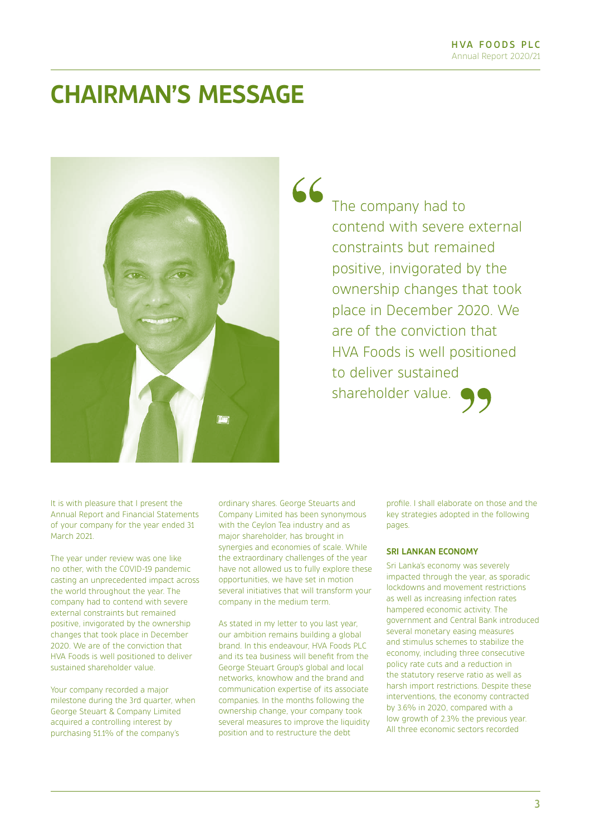## **CHAIRMAN'S MESSAGE**



The company had to contend with severe external constraints but remained positive, invigorated by the ownership changes that took place in December 2020. We are of the conviction that HVA Foods is well positioned to deliver sustained shareholder value.

It is with pleasure that I present the Annual Report and Financial Statements of your company for the year ended 31 March 2021.

The year under review was one like no other, with the COVID-19 pandemic casting an unprecedented impact across the world throughout the year. The company had to contend with severe external constraints but remained positive, invigorated by the ownership changes that took place in December 2020. We are of the conviction that HVA Foods is well positioned to deliver sustained shareholder value.

Your company recorded a major milestone during the 3rd quarter, when George Steuart & Company Limited acquired a controlling interest by purchasing 51.1% of the company's

ordinary shares. George Steuarts and Company Limited has been synonymous with the Ceylon Tea industry and as major shareholder, has brought in synergies and economies of scale. While the extraordinary challenges of the year have not allowed us to fully explore these opportunities, we have set in motion several initiatives that will transform your company in the medium term.

As stated in my letter to you last year, our ambition remains building a global brand. In this endeavour, HVA Foods PLC and its tea business will benefit from the George Steuart Group's global and local networks, knowhow and the brand and communication expertise of its associate companies. In the months following the ownership change, your company took several measures to improve the liquidity position and to restructure the debt

profile. I shall elaborate on those and the key strategies adopted in the following pages.

#### **SRI LANKAN ECONOMY**

Sri Lanka's economy was severely impacted through the year, as sporadic lockdowns and movement restrictions as well as increasing infection rates hampered economic activity. The government and Central Bank introduced several monetary easing measures and stimulus schemes to stabilize the economy, including three consecutive policy rate cuts and a reduction in the statutory reserve ratio as well as harsh import restrictions. Despite these interventions, the economy contracted by 3.6% in 2020, compared with a low growth of 2.3% the previous year. All three economic sectors recorded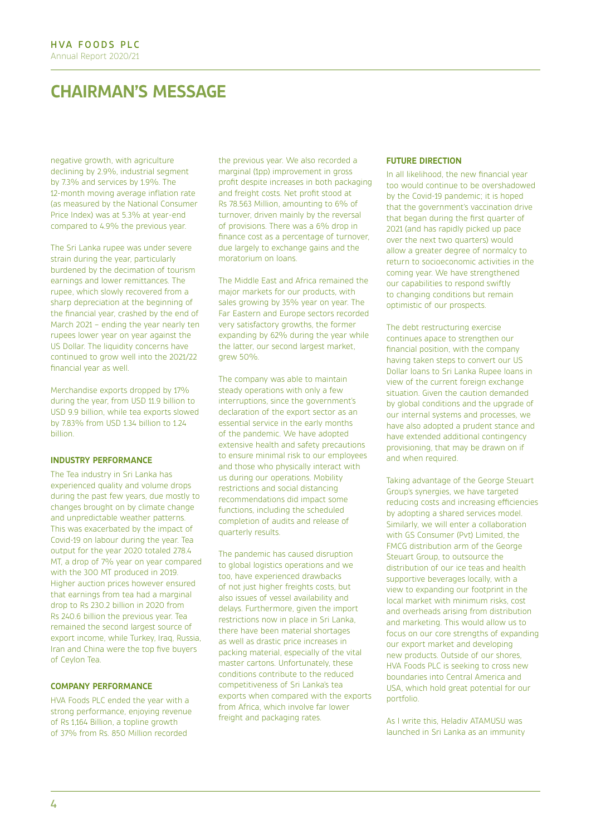## **CHAIRMAN'S MESSAGE**

negative growth, with agriculture declining by 2.9%, industrial segment by 7.3% and services by 1.9%. The 12-month moving average inflation rate (as measured by the National Consumer Price Index) was at 5.3% at year-end compared to 4.9% the previous year.

The Sri Lanka rupee was under severe strain during the year, particularly burdened by the decimation of tourism earnings and lower remittances. The rupee, which slowly recovered from a sharp depreciation at the beginning of the financial year, crashed by the end of March 2021 – ending the year nearly ten rupees lower year on year against the US Dollar. The liquidity concerns have continued to grow well into the 2021/22 financial year as well.

Merchandise exports dropped by 17% during the year, from USD 11.9 billion to USD 9.9 billion, while tea exports slowed by 7.83% from USD 1.34 billion to 1.24 billion.

#### **INDUSTRY PERFORMANCE**

The Tea industry in Sri Lanka has experienced quality and volume drops during the past few years, due mostly to changes brought on by climate change and unpredictable weather patterns. This was exacerbated by the impact of Covid-19 on labour during the year. Tea output for the year 2020 totaled 278.4 MT, a drop of 7% year on year compared with the 300 MT produced in 2019. Higher auction prices however ensured that earnings from tea had a marginal drop to Rs 230.2 billion in 2020 from Rs 240.6 billion the previous year. Tea remained the second largest source of export income, while Turkey, Iraq, Russia, Iran and China were the top five buyers of Ceylon Tea.

#### **COMPANY PERFORMANCE**

HVA Foods PLC ended the year with a strong performance, enjoying revenue of Rs 1,164 Billion, a topline growth of 37% from Rs. 850 Million recorded

the previous year. We also recorded a marginal (1pp) improvement in gross profit despite increases in both packaging and freight costs. Net profit stood at Rs 78.563 Million, amounting to 6% of turnover, driven mainly by the reversal of provisions. There was a 6% drop in finance cost as a percentage of turnover, due largely to exchange gains and the moratorium on loans.

The Middle East and Africa remained the major markets for our products, with sales growing by 35% year on year. The Far Eastern and Europe sectors recorded very satisfactory growths, the former expanding by 62% during the year while the latter, our second largest market, grew 50%.

The company was able to maintain steady operations with only a few interruptions, since the government's declaration of the export sector as an essential service in the early months of the pandemic. We have adopted extensive health and safety precautions to ensure minimal risk to our employees and those who physically interact with us during our operations. Mobility restrictions and social distancing recommendations did impact some functions, including the scheduled completion of audits and release of quarterly results.

The pandemic has caused disruption to global logistics operations and we too, have experienced drawbacks of not just higher freights costs, but also issues of vessel availability and delays. Furthermore, given the import restrictions now in place in Sri Lanka, there have been material shortages as well as drastic price increases in packing material, especially of the vital master cartons. Unfortunately, these conditions contribute to the reduced competitiveness of Sri Lanka's tea exports when compared with the exports from Africa, which involve far lower freight and packaging rates.

#### **FUTURE DIRECTION**

In all likelihood, the new financial year too would continue to be overshadowed by the Covid-19 pandemic; it is hoped that the government's vaccination drive that began during the first quarter of 2021 (and has rapidly picked up pace over the next two quarters) would allow a greater degree of normalcy to return to socioeconomic activities in the coming year. We have strengthened our capabilities to respond swiftly to changing conditions but remain optimistic of our prospects.

The debt restructuring exercise continues apace to strengthen our financial position, with the company having taken steps to convert our US Dollar loans to Sri Lanka Rupee loans in view of the current foreign exchange situation. Given the caution demanded by global conditions and the upgrade of our internal systems and processes, we have also adopted a prudent stance and have extended additional contingency provisioning, that may be drawn on if and when required.

Taking advantage of the George Steuart Group's synergies, we have targeted reducing costs and increasing efficiencies by adopting a shared services model. Similarly, we will enter a collaboration with GS Consumer (Pvt) Limited, the FMCG distribution arm of the George Steuart Group, to outsource the distribution of our ice teas and health supportive beverages locally, with a view to expanding our footprint in the local market with minimum risks, cost and overheads arising from distribution and marketing. This would allow us to focus on our core strengths of expanding our export market and developing new products. Outside of our shores, HVA Foods PLC is seeking to cross new boundaries into Central America and USA, which hold great potential for our portfolio.

As I write this, Heladiv ATAMUSU was launched in Sri Lanka as an immunity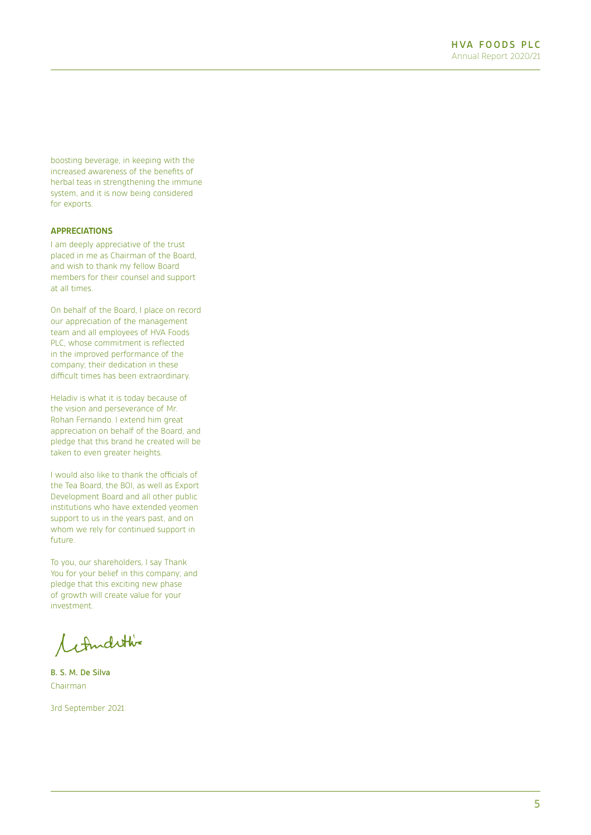boosting beverage, in keeping with the increased awareness of the benefits of herbal teas in strengthening the immune system, and it is now being considered for exports.

#### **APPRECIATIONS**

I am deeply appreciative of the trust placed in me as Chairman of the Board, and wish to thank my fellow Board members for their counsel and support at all times.

On behalf of the Board, I place on record our appreciation of the management team and all employees of HVA Foods PLC, whose commitment is reflected in the improved performance of the company; their dedication in these difficult times has been extraordinary.

Heladiv is what it is today because of the vision and perseverance of Mr. Rohan Fernando. I extend him great appreciation on behalf of the Board, and pledge that this brand he created will be taken to even greater heights.

I would also like to thank the officials of the Tea Board, the BOI, as well as Export Development Board and all other public institutions who have extended yeomen support to us in the years past, and on whom we rely for continued support in future.

To you, our shareholders, I say Thank You for your belief in this company; and pledge that this exciting new phase of growth will create value for your investment.

Condition

B. S. M. De Silva Chairman

3rd September 2021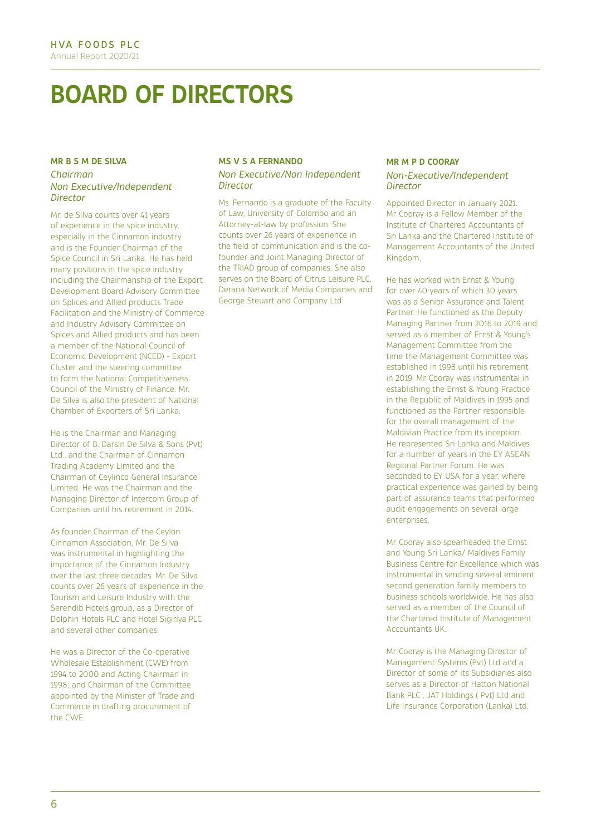## **BOARD OF DIRECTORS**

#### **MR B S M DE SILVA** *Chairman Non Executive/Independent Director*

Mr. de Silva counts over 41 years of experience in the spice industry, especially in the Cinnamon industry and is the Founder Chairman of the Spice Council in Sri Lanka. He has held many positions in the spice industry including the Chairmanship of the Export Development Board Advisory Committee on Splices and Allied products Trade Facilitation and the Ministry of Commerce and Industry Advisory Committee on Spices and Allied products and has been a member of the National Council of Economic Development (NCED) - Export Cluster and the steering committee to form the National Competitiveness Council of the Ministry of Finance. Mr. De Silva is also the president of National Chamber of Exporters of Sri Lanka.

He is the Chairman and Managing Director of B. Darsin De Silva & Sons (Pvt) Ltd., and the Chairman of Cinnamon Trading Academy Limited and the Chairman of Ceylinco General Insurance Limited. He was the Chairman and the Managing Director of Intercom Group of Companies until his retirement in 2014.

As founder Chairman of the Ceylon Cinnamon Association, Mr. De Silva was instrumental in highlighting the importance of the Cinnamon Industry over the last three decades. Mr. De Silva counts over 26 years of experience in the Tourism and Leisure Industry with the Serendib Hotels group, as a Director of Dolphin Hotels PLC and Hotel Sigiriya PLC and several other companies.

He was a Director of the Co-operative Wholesale Establishment (CWE) from 1994 to 2000 and Acting Chairman in 1998; and Chairman of the Committee appointed by the Minister of Trade and Commerce in drafting procurement of the CWE.

#### **MS V S A FERNANDO**

#### *Non Executive/Non Independent Director*

Ms. Fernando is a graduate of the Faculty of Law, University of Colombo and an Attorney-at-law by profession. She counts over 26 years of experience in the field of communication and is the cofounder and Joint Managing Director of the TRIAD group of companies. She also serves on the Board of Citrus Leisure PLC, Derana Network of Media Companies and George Steuart and Company Ltd.

#### **MR M P D COORAY** *Non-Executive/Independent Director*

Appointed Director in January 2021. Mr Cooray is a Fellow Member of the Institute of Chartered Accountants of Sri Lanka and the Chartered Institute of Management Accountants of the United Kingdom.

He has worked with Ernst & Young for over 40 years of which 30 years was as a Senior Assurance and Talent Partner. He functioned as the Deputy Managing Partner from 2016 to 2019 and served as a member of Ernst & Young's Management Committee from the time the Management Committee was established in 1998 until his retirement in 2019. Mr Cooray was instrumental in establishing the Ernst & Young Practice in the Republic of Maldives in 1995 and functioned as the Partner responsible for the overall management of the Maldivian Practice from its inception. He represented Sri Lanka and Maldives for a number of years in the EY ASEAN Regional Partner Forum. He was seconded to EY USA for a year, where practical experience was gained by being part of assurance teams that performed audit engagements on several large enterprises.

Mr Cooray also spearheaded the Ernst and Young Sri Lanka/ Maldives Family Business Centre for Excellence which was instrumental in sending several eminent second generation family members to business schools worldwide. He has also served as a member of the Council of the Chartered Institute of Management Accountants UK.

Mr Cooray is the Managing Director of Management Systems (Pvt) Ltd and a Director of some of its Subsidiaries also serves as a Director of Hatton National Bank PLC , JAT Holdings ( Pvt) Ltd and Life Insurance Corporation (Lanka) Ltd.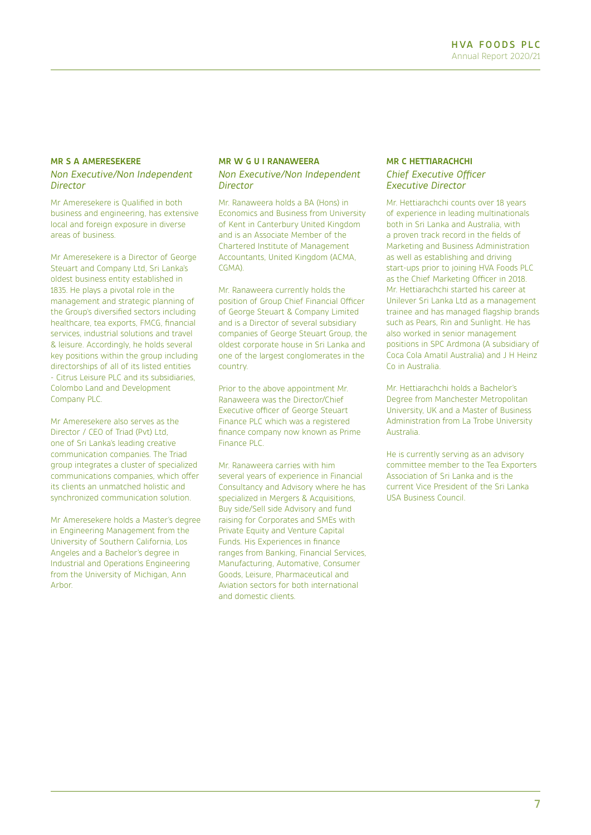#### **MR S A AMERESEKERE**

#### *Non Executive/Non Independent Director*

Mr Ameresekere is Qualified in both business and engineering, has extensive local and foreign exposure in diverse areas of business.

Mr Ameresekere is a Director of George Steuart and Company Ltd, Sri Lanka's oldest business entity established in 1835. He plays a pivotal role in the management and strategic planning of the Group's diversified sectors including healthcare, tea exports, FMCG, financial services, industrial solutions and travel & leisure. Accordingly, he holds several key positions within the group including directorships of all of its listed entities - Citrus Leisure PLC and its subsidiaries, Colombo Land and Development Company PLC.

Mr Ameresekere also serves as the Director / CEO of Triad (Pvt) Ltd one of Sri Lanka's leading creative communication companies. The Triad group integrates a cluster of specialized communications companies, which offer its clients an unmatched holistic and synchronized communication solution.

Mr Ameresekere holds a Master's degree in Engineering Management from the University of Southern California, Los Angeles and a Bachelor's degree in Industrial and Operations Engineering from the University of Michigan, Ann Arbor.

#### **MR W G U I RANAWEERA** *Non Executive/Non Independent Director*

Mr. Ranaweera holds a BA (Hons) in Economics and Business from University of Kent in Canterbury United Kingdom and is an Associate Member of the Chartered Institute of Management Accountants, United Kingdom (ACMA, CGMA).

Mr. Ranaweera currently holds the position of Group Chief Financial Officer of George Steuart & Company Limited and is a Director of several subsidiary companies of George Steuart Group, the oldest corporate house in Sri Lanka and one of the largest conglomerates in the country.

Prior to the above appointment Mr. Ranaweera was the Director/Chief Executive officer of George Steuart Finance PLC which was a registered finance company now known as Prime Finance PLC.

Mr. Ranaweera carries with him several years of experience in Financial Consultancy and Advisory where he has specialized in Mergers & Acquisitions, Buy side/Sell side Advisory and fund raising for Corporates and SMEs with Private Equity and Venture Capital Funds. His Experiences in finance ranges from Banking, Financial Services, Manufacturing, Automative, Consumer Goods, Leisure, Pharmaceutical and Aviation sectors for both international and domestic clients.

#### **MR C HETTIARACHCHI**  *Chief Executive Officer Executive Director*

Mr. Hettiarachchi counts over 18 years of experience in leading multinationals both in Sri Lanka and Australia, with a proven track record in the fields of Marketing and Business Administration as well as establishing and driving start-ups prior to joining HVA Foods PLC as the Chief Marketing Officer in 2018. Mr. Hettiarachchi started his career at Unilever Sri Lanka Ltd as a management trainee and has managed flagship brands such as Pears, Rin and Sunlight. He has also worked in senior management positions in SPC Ardmona (A subsidiary of Coca Cola Amatil Australia) and J H Heinz Co in Australia.

Mr. Hettiarachchi holds a Bachelor's Degree from Manchester Metropolitan University, UK and a Master of Business Administration from La Trobe University Australia.

He is currently serving as an advisory committee member to the Tea Exporters Association of Sri Lanka and is the current Vice President of the Sri Lanka USA Business Council.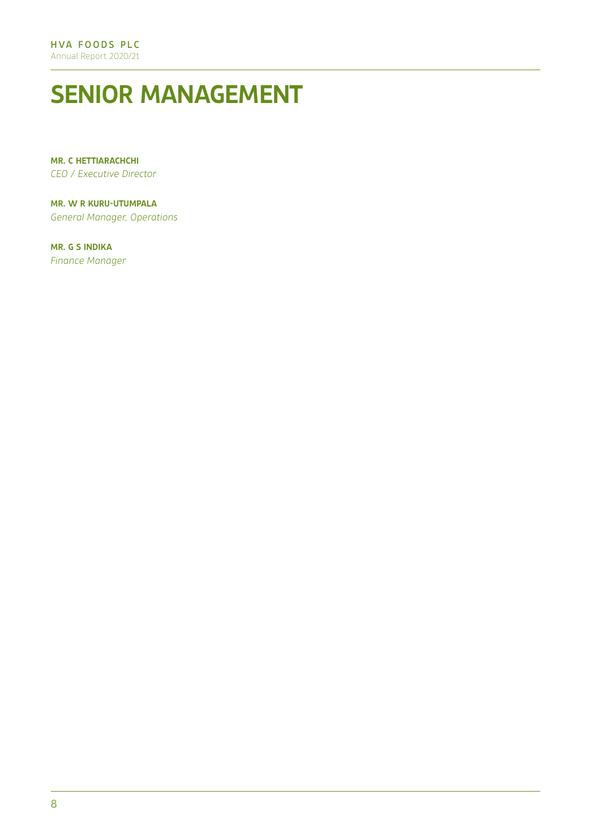# **SENIOR MANAGEMENT**

**MR. C HETTIARACHCHI** *CEO / Executive Director* 

**MR. W R KURU-UTUMPALA** *General Manager, Operations*

**MR. G S INDIKA** *Finance Manager*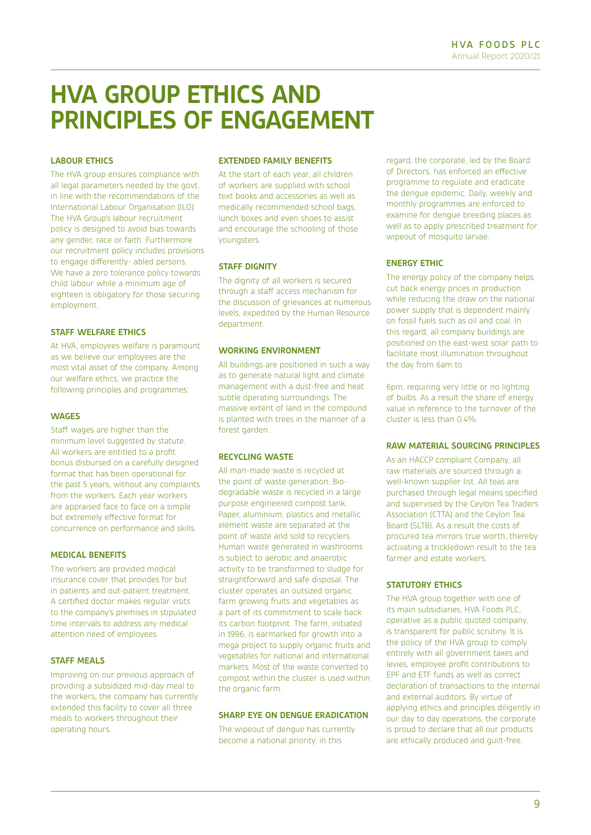## **HVA GROUP ETHICS AND PRINCIPLES OF ENGAGEMENT**

#### **LABOUR ETHICS**

The HVA group ensures compliance with all legal parameters needed by the govt, in line with the recommendations of the International Labour Organisation (ILO). The HVA Group's labour recruitment policy is designed to avoid bias towards any gender, race or faith. Furthermore our recruitment policy includes provisions to engage differently- abled persons. We have a zero tolerance policy towards child labour while a minimum age of eighteen is obligatory for those securing employment.

#### **STAFF WELFARE ETHICS**

At HVA, employees welfare is paramount as we believe our employees are the most vital asset of the company. Among our welfare ethics, we practice the following principles and programmes:

#### **WAGES**

Staff wages are higher than the minimum level suggested by statute. All workers are entitled to a profit bonus disbursed on a carefully designed format that has been operational for the past 5 years, without any complaints from the workers. Each year workers are appraised face to face on a simple but extremely effective format for concurrence on performance and skills.

#### **MEDICAL BENEFITS**

The workers are provided medical insurance cover that provides for but in patients and out-patient treatment. A certified doctor makes regular visits to the company's premises in stipulated time intervals to address any medical attention need of employees.

#### **STAFF MEALS**

Improving on our previous approach of providing a subsidized mid-day meal to the workers, the company has currently extended this facility to cover all three meals to workers throughout their operating hours.

#### **EXTENDED FAMILY BENEFITS**

At the start of each year, all children of workers are supplied with school text books and accessories as well as medically recommended school bags, lunch boxes and even shoes to assist and encourage the schooling of those youngsters.

#### **STAFF DIGNITY**

The dignity of all workers is secured through a staff access mechanism for the discussion of grievances at numerous levels, expedited by the Human Resource department.

#### **WORKING ENVIRONMENT**

All buildings are positioned in such a way as to generate natural light and climate management with a dust-free and heat subtle operating surroundings. The massive extent of land in the compound is planted with trees in the manner of a forest garden.

#### **RECYCLING WASTE**

All man-made waste is recycled at the point of waste generation. Biodegradable waste is recycled in a large purpose engineered compost tank. Paper, aluminium, plastics and metallic element waste are separated at the point of waste and sold to recyclers. Human waste generated in washrooms is subject to aerobic and anaerobic activity to be transformed to sludge for straightforward and safe disposal. The cluster operates an outsized organic farm growing fruits and vegetables as a part of its commitment to scale back its carbon footprint. The farm, initiated in 1996, is earmarked for growth into a mega project to supply organic fruits and vegetables for national and international markets. Most of the waste converted to compost within the cluster is used within the organic farm.

#### **SHARP EYE ON DENGUE ERADICATION**

The wipeout of dengue has currently become a national priority. in this

regard, the corporate, led by the Board of Directors, has enforced an effective programme to regulate and eradicate the dengue epidemic. Daily, weekly and monthly programmes are enforced to examine for dengue breeding places as well as to apply prescribed treatment for wipeout of mosquito larvae.

#### **ENERGY ETHIC**

The energy policy of the company helps cut back energy prices in production while reducing the draw on the national power supply that is dependent mainly on fossil fuels such as oil and coal. In this regard, all company buildings are positioned on the east-west solar path to facilitate most illumination throughout the day from 6am to

6pm, requiring very little or no lighting of bulbs. As a result the share of energy value in reference to the turnover of the cluster is less than 0.4%.

#### **RAW MATERIAL SOURCING PRINCIPLES**

As an HACCP compliant Company, all raw materials are sourced through a well-known supplier list. All teas are purchased through legal means specified and supervised by the Ceylon Tea Traders Association (CTTA) and the Ceylon Tea Board (SLTB). As a result the costs of procured tea mirrors true worth, thereby activating a trickledown result to the tea farmer and estate workers.

#### **STATUTORY ETHICS**

The HVA group together with one of its main subsidiaries, HVA Foods PLC, operative as a public quoted company, is transparent for public scrutiny. It is the policy of the HVA group to comply entirely with all government taxes and levies, employee profit contributions to EPF and ETF funds as well as correct declaration of transactions to the internal and external auditors. By virtue of applying ethics and principles diligently in our day to day operations, the corporate is proud to declare that all our products are ethically produced and guilt-free.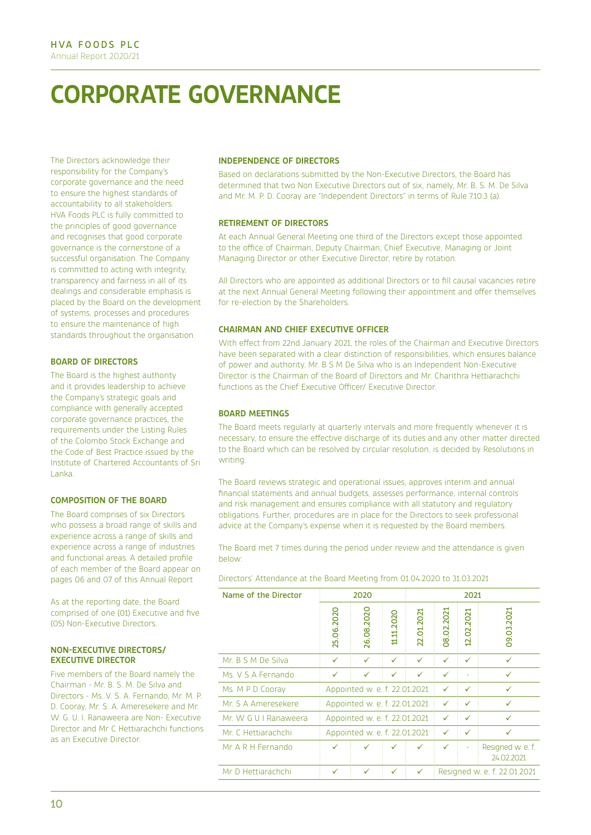# **CORPORATE GOVERNANCE**

The Directors acknowledge their responsibility for the Company's corporate governance and the need to ensure the highest standards of accountability to all stakeholders. HVA Foods PLC is fully committed to the principles of good governance and recognises that good corporate governance is the cornerstone of a successful organisation. The Company is committed to acting with integrity, transparency and fairness in all of its dealings and considerable emphasis is placed by the Board on the development of systems, processes and procedures to ensure the maintenance of high standards throughout the organisation.

#### **BOARD OF DIRECTORS**

The Board is the highest authority and it provides leadership to achieve the Company's strategic goals and compliance with generally accepted corporate governance practices, the requirements under the Listing Rules of the Colombo Stock Exchange and the Code of Best Practice issued by the Institute of Chartered Accountants of Sri Lanka.

#### **COMPOSITION OF THE BOARD**

The Board comprises of six Directors who possess a broad range of skills and experience across a range of skills and experience across a range of industries and functional areas. A detailed profile of each member of the Board appear on pages 06 and 07 of this Annual Report

As at the reporting date, the Board comprised of one (01) Executive and five (05) Non-Executive Directors.

#### **NON-EXECUTIVE DIRECTORS/ EXECUTIVE DIRECTOR**

Five members of the Board namely the Chairman - Mr. B. S. M. De Silva and Directors - Ms. V. S. A. Fernando, Mr. M. P. D. Cooray, Mr. S. A. Ameresekere and Mr. W. G. U. I. Ranaweera are Non- Executive Director and Mr C Hettiarachchi functions as an Executive Director.

#### **INDEPENDENCE OF DIRECTORS**

Based on declarations submitted by the Non-Executive Directors, the Board has determined that two Non Executive Directors out of six, namely, Mr. B. S. M. De Silva and Mr. M. P. D. Cooray are "Independent Directors" in terms of Rule 7.10.3 (a).

#### **RETIREMENT OF DIRECTORS**

At each Annual General Meeting one third of the Directors except those appointed to the office of Chairman, Deputy Chairman, Chief Executive, Managing or Joint Managing Director or other Executive Director, retire by rotation.

All Directors who are appointed as additional Directors or to fill causal vacancies retire at the next Annual General Meeting following their appointment and offer themselves for re-election by the Shareholders.

#### **CHAIRMAN AND CHIEF EXECUTIVE OFFICER**

With effect from 22nd January 2021, the roles of the Chairman and Executive Directors have been separated with a clear distinction of responsibilities, which ensures balance of power and authority. Mr. B S M De Silva who is an Independent Non-Executive Director is the Chairman of the Board of Directors and Mr. Charithra Hettiarachchi functions as the Chief Executive Officer/ Executive Director.

#### **BOARD MEETINGS**

The Board meets regularly at quarterly intervals and more frequently whenever it is necessary, to ensure the effective discharge of its duties and any other matter directed to the Board which can be resolved by circular resolution, is decided by Resolutions in writing.

The Board reviews strategic and operational issues, approves interim and annual financial statements and annual budgets, assesses performance, internal controls and risk management and ensures compliance with all statutory and regulatory obligations. Further, procedures are in place for the Directors to seek professional advice at the Company's expense when it is requested by the Board members.

The Board met 7 times during the period under review and the attendance is given below:

Directors' Attendance at the Board Meeting from 01.04.2020 to 31.03.2021

| Name of the Director  | 2020                                               |            |            |            |            | 2021       |                                 |
|-----------------------|----------------------------------------------------|------------|------------|------------|------------|------------|---------------------------------|
|                       | 25.06.2020                                         | 26.08.2020 | 11.11.2020 | 22.01.2021 | 08.02.2021 | 12.02.2021 | 09.03.2021                      |
| Mr. B S M De Silva    | ✓                                                  | ✓          | ✓          | ✓          | ✓          | ✓          | ✓                               |
| Ms. V S A Fernando    | ✓                                                  | ✓          | ✓          | ✓          | ✓          |            | ✓                               |
| Ms. M P D Cooray      | Appointed w. e. f. 22.01.2021                      |            |            | ✓          | ✓          | ✓          |                                 |
| Mr. S A Ameresekere   | Appointed w. e. f. 22.01.2021<br>✓<br>✓<br>✓       |            |            |            |            |            |                                 |
| Mr. W G U I Ranaweera | Appointed w. e. f. 22.01.2021<br>✓<br>✓            |            |            | ✓          |            |            |                                 |
| Mr. C. Hettiarachchi  | Appointed w. e. f. 22.01.2021<br>$\checkmark$<br>✓ |            |            |            |            |            |                                 |
| Mr A R H Fernando     | ✓                                                  |            |            |            | ✓          |            | Resigned w. e. f.<br>24.02.2021 |
| Mr D Hettiarachchi    | ✓                                                  | ✓          | ✓          | ✓          |            |            | Resigned w. e. f. 22.01.2021    |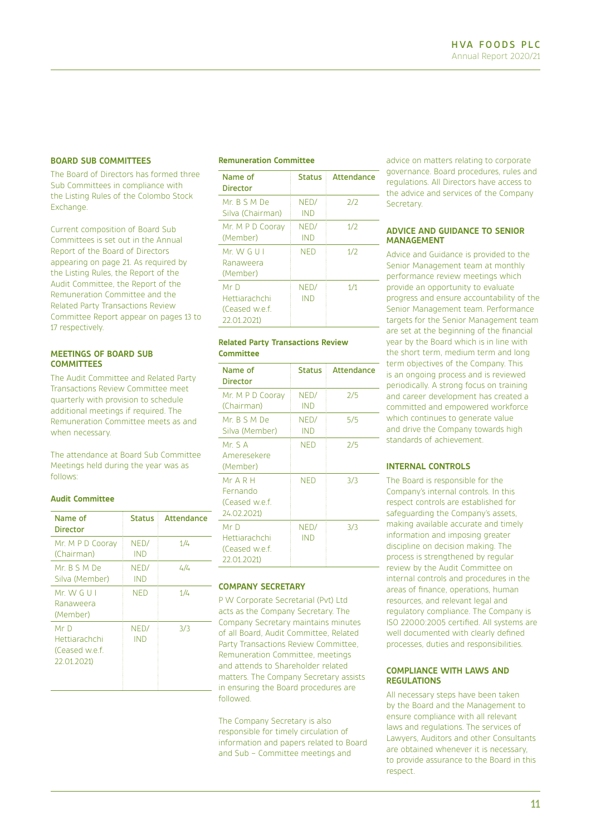#### **BOARD SUB COMMITTEES**

The Board of Directors has formed three Sub Committees in compliance with the Listing Rules of the Colombo Stock Exchange.

Current composition of Board Sub Committees is set out in the Annual Report of the Board of Directors appearing on page 21. As required by the Listing Rules, the Report of the Audit Committee, the Report of the Remuneration Committee and the Related Party Transactions Review Committee Report appear on pages 13 to 17 respectively.

#### **MEETINGS OF BOARD SUB COMMITTEES**

The Audit Committee and Related Party Transactions Review Committee meet quarterly with provision to schedule additional meetings if required. The Remuneration Committee meets as and when necessary.

The attendance at Board Sub Committee Meetings held during the year was as follows:

#### **Audit Committee**

| Name of<br><b>Director</b>                             | <b>Status</b> | Attendance |
|--------------------------------------------------------|---------------|------------|
| Mr. M P D Cooray<br>(Chairman)                         | NED/<br>IND   | 1/4        |
| Mr B S M De<br>Silva (Member)                          | NED/<br>IND   | 4/4        |
| $Mr$ W G U I<br>Ranaweera<br>(Member)                  | <b>NFD</b>    | 1/4        |
| Mr D<br>Hettiarachchi<br>(Ceased w.e.f.<br>22.01.2021) | NED/<br>IND   | 3/3        |

#### **Remuneration Committee**

| Name of<br>Director                                    | <b>Status</b> | Attendance |
|--------------------------------------------------------|---------------|------------|
| Mr B S M De<br>Silva (Chairman)                        | NED/<br>IND   | 2/2        |
| Mr. M P D Cooray<br>(Member)                           | NED/<br>IND   | 1/2        |
| Mr. W. G. U. I<br>Ranaweera<br>(Member)                | NFD           | 1/2        |
| Mr D<br>Hettiarachchi<br>(Ceased w.e.f.<br>22.01.2021) | NED/<br>IND   | 1/1        |

#### **Related Party Transactions Review Committee**

| Name of<br><b>Director</b>                             | Status             | Attendance |
|--------------------------------------------------------|--------------------|------------|
| Mr. M P D Cooray<br>(Chairman)                         | NED/<br><b>IND</b> | 2/5        |
| Mr B S M De<br>Silva (Member)                          | NED/<br><b>IND</b> | 5/5        |
| Mr. S A<br>Ameresekere<br>(Member)                     | NED                | 2/5        |
| MrA R H<br>Fernando<br>(Ceased w.e.f.<br>24.02.2021)   | NED                | 3/3        |
| Mr D<br>Hettiarachchi<br>(Ceased w.e.f.<br>22.01.2021) | NED/<br><b>IND</b> | 3/3        |

#### **COMPANY SECRETARY**

P W Corporate Secretarial (Pvt) Ltd acts as the Company Secretary. The Company Secretary maintains minutes of all Board, Audit Committee, Related Party Transactions Review Committee, Remuneration Committee, meetings and attends to Shareholder related matters. The Company Secretary assists in ensuring the Board procedures are followed.

The Company Secretary is also responsible for timely circulation of information and papers related to Board and Sub – Committee meetings and

advice on matters relating to corporate governance. Board procedures, rules and regulations. All Directors have access to the advice and services of the Company Secretary.

#### **ADVICE AND GUIDANCE TO SENIOR MANAGEMENT**

Advice and Guidance is provided to the Senior Management team at monthly performance review meetings which provide an opportunity to evaluate progress and ensure accountability of the Senior Management team. Performance targets for the Senior Management team are set at the beginning of the financial year by the Board which is in line with the short term, medium term and long term objectives of the Company. This is an ongoing process and is reviewed periodically. A strong focus on training and career development has created a committed and empowered workforce which continues to generate value and drive the Company towards high standards of achievement.

#### **INTERNAL CONTROLS**

The Board is responsible for the Company's internal controls. In this respect controls are established for safeguarding the Company's assets, making available accurate and timely information and imposing greater discipline on decision making. The process is strengthened by regular review by the Audit Committee on internal controls and procedures in the areas of finance, operations, human resources, and relevant legal and regulatory compliance. The Company is ISO 22000:2005 certified. All systems are well documented with clearly defined processes, duties and responsibilities.

#### **COMPLIANCE WITH LAWS AND REGULATIONS**

All necessary steps have been taken by the Board and the Management to ensure compliance with all relevant laws and regulations. The services of Lawyers, Auditors and other Consultants are obtained whenever it is necessary, to provide assurance to the Board in this respect.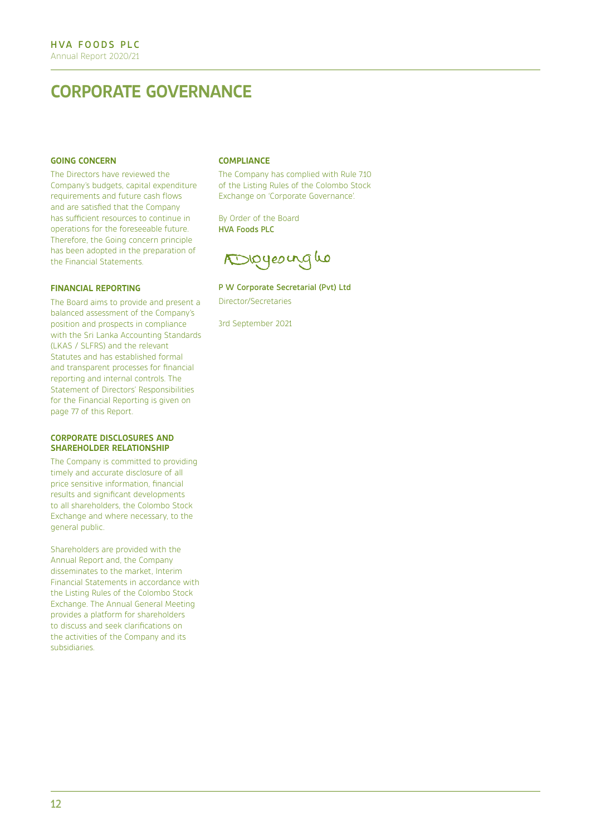## **CORPORATE GOVERNANCE**

#### **GOING CONCERN**

The Directors have reviewed the Company's budgets, capital expenditure requirements and future cash flows and are satisfied that the Company has sufficient resources to continue in operations for the foreseeable future. Therefore, the Going concern principle has been adopted in the preparation of the Financial Statements.

#### **FINANCIAL REPORTING**

The Board aims to provide and present a balanced assessment of the Company's position and prospects in compliance with the Sri Lanka Accounting Standards (LKAS / SLFRS) and the relevant Statutes and has established formal and transparent processes for financial reporting and internal controls. The Statement of Directors' Responsibilities for the Financial Reporting is given on page 77 of this Report.

#### **CORPORATE DISCLOSURES AND SHAREHOLDER RELATIONSHIP**

The Company is committed to providing timely and accurate disclosure of all price sensitive information, financial results and significant developments to all shareholders, the Colombo Stock Exchange and where necessary, to the general public.

Shareholders are provided with the Annual Report and, the Company disseminates to the market, Interim Financial Statements in accordance with the Listing Rules of the Colombo Stock Exchange. The Annual General Meeting provides a platform for shareholders to discuss and seek clarifications on the activities of the Company and its subsidiaries.

#### **COMPLIANCE**

The Company has complied with Rule 7.10 of the Listing Rules of the Colombo Stock Exchange on 'Corporate Governance'.

By Order of the Board HVA Foods PLC

Digyeoinglo

#### P W Corporate Secretarial (Pvt) Ltd

Director/Secretaries

3rd September 2021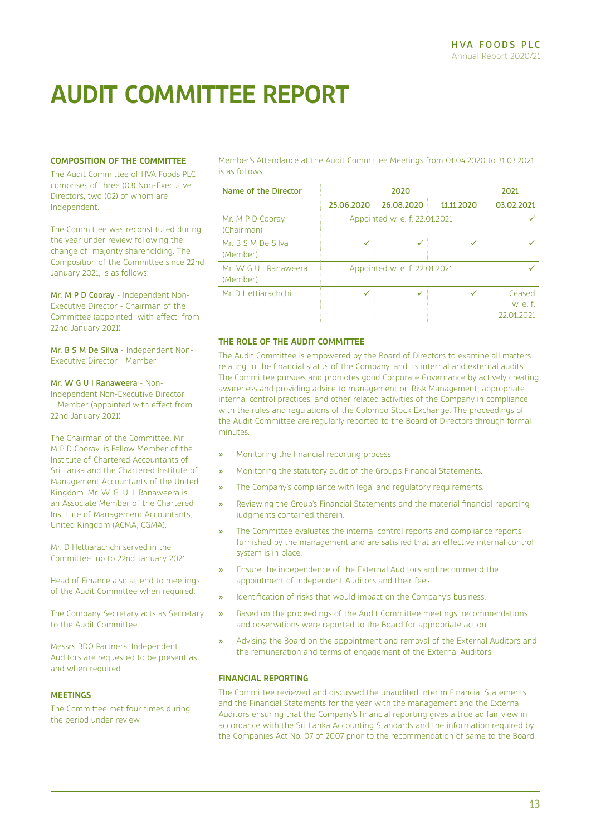## **AUDIT COMMITTEE REPORT**

#### **COMPOSITION OF THE COMMITTEE**

The Audit Committee of HVA Foods PLC comprises of three (03) Non-Executive Directors, two (02) of whom are Independent.

The Committee was reconstituted during the year under review following the change of majority shareholding. The Composition of the Committee since 22nd January 2021, is as follows:

Mr. M P D Cooray - Independent Non-Executive Director - Chairman of the Committee (appointed with effect from 22nd January 2021)

Mr. B S M De Silva - Independent Non-Executive Director - Member

Mr. W G U I Ranaweera - Non-Independent Non-Executive Director – Member (appointed with effect from 22nd January 2021)

The Chairman of the Committee, Mr. M P D Cooray, is Fellow Member of the Institute of Chartered Accountants of Sri Lanka and the Chartered Institute of Management Accountants of the United Kingdom. Mr. W. G. U. I. Ranaweera is an Associate Member of the Chartered Institute of Management Accountants, United Kingdom (ACMA, CGMA).

Mr. D Hettiarachchi served in the Committee up to 22nd January 2021.

Head of Finance also attend to meetings of the Audit Committee when required.

The Company Secretary acts as Secretary to the Audit Committee.

Messrs BDO Partners, Independent Auditors are requested to be present as and when required.

#### **MEETINGS**

The Committee met four times during the period under review.

Member's Attendance at the Audit Committee Meetings from 01.04.2020 to 31.03.2021 is as follows.

| Name of the Director              |            | 2020                          |            | 2021                           |
|-----------------------------------|------------|-------------------------------|------------|--------------------------------|
|                                   | 25.06.2020 | 26.08.2020                    | 11.11.2020 | 03.02.2021                     |
| Mr. M P D Cooray<br>(Chairman)    |            | Appointed w. e. f. 22.01.2021 |            |                                |
| Mr. B S M De Silva<br>(Member)    | ✓          |                               |            |                                |
| Mr. W G U I Ranaweera<br>(Member) |            | Appointed w. e. f. 22.01.2021 |            |                                |
| Mr D Hettiarachchi                | ✓          |                               |            | Ceased<br>w.e.f.<br>22 01 2021 |

#### **THE ROLE OF THE AUDIT COMMITTEE**

The Audit Committee is empowered by the Board of Directors to examine all matters relating to the financial status of the Company, and its internal and external audits. The Committee pursues and promotes good Corporate Governance by actively creating awareness and providing advice to management on Risk Management, appropriate internal control practices, and other related activities of the Company in compliance with the rules and regulations of the Colombo Stock Exchange. The proceedings of the Audit Committee are regularly reported to the Board of Directors through formal minutes.

- » Monitoring the financial reporting process.
- » Monitoring the statutory audit of the Group's Financial Statements.
- » The Company's compliance with legal and regulatory requirements.
- » Reviewing the Group's Financial Statements and the material financial reporting judgments contained therein.
- The Committee evaluates the internal control reports and compliance reports furnished by the management and are satisfied that an effective internal control system is in place.
- » Ensure the independence of the External Auditors and recommend the appointment of Independent Auditors and their fees
- Identification of risks that would impact on the Company's business.
- » Based on the proceedings of the Audit Committee meetings, recommendations and observations were reported to the Board for appropriate action.
- » Advising the Board on the appointment and removal of the External Auditors and the remuneration and terms of engagement of the External Auditors.

#### **FINANCIAL REPORTING**

The Committee reviewed and discussed the unaudited Interim Financial Statements and the Financial Statements for the year with the management and the External Auditors ensuring that the Company's financial reporting gives a true ad fair view in accordance with the Sri Lanka Accounting Standards and the information required by the Companies Act No. 07 of 2007 prior to the recommendation of same to the Board.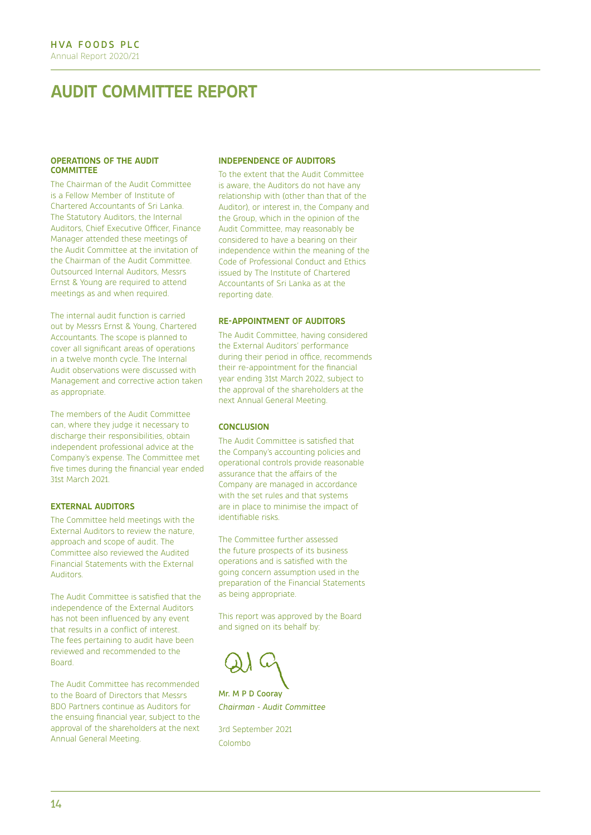## **AUDIT COMMITTEE REPORT**

#### **OPERATIONS OF THE AUDIT COMMITTEE**

The Chairman of the Audit Committee is a Fellow Member of Institute of Chartered Accountants of Sri Lanka. The Statutory Auditors, the Internal Auditors, Chief Executive Officer, Finance Manager attended these meetings of the Audit Committee at the invitation of the Chairman of the Audit Committee. Outsourced Internal Auditors, Messrs Ernst & Young are required to attend meetings as and when required.

The internal audit function is carried out by Messrs Ernst & Young, Chartered Accountants. The scope is planned to cover all significant areas of operations in a twelve month cycle. The Internal Audit observations were discussed with Management and corrective action taken as appropriate.

The members of the Audit Committee can, where they judge it necessary to discharge their responsibilities, obtain independent professional advice at the Company's expense. The Committee met five times during the financial year ended 31st March 2021.

#### **EXTERNAL AUDITORS**

The Committee held meetings with the External Auditors to review the nature, approach and scope of audit. The Committee also reviewed the Audited Financial Statements with the External Auditors.

The Audit Committee is satisfied that the independence of the External Auditors has not been influenced by any event that results in a conflict of interest. The fees pertaining to audit have been reviewed and recommended to the Board.

The Audit Committee has recommended to the Board of Directors that Messrs BDO Partners continue as Auditors for the ensuing financial year, subject to the approval of the shareholders at the next Annual General Meeting.

#### **INDEPENDENCE OF AUDITORS**

To the extent that the Audit Committee is aware, the Auditors do not have any relationship with (other than that of the Auditor), or interest in, the Company and the Group, which in the opinion of the Audit Committee, may reasonably be considered to have a bearing on their independence within the meaning of the Code of Professional Conduct and Ethics issued by The Institute of Chartered Accountants of Sri Lanka as at the reporting date.

#### **RE-APPOINTMENT OF AUDITORS**

The Audit Committee, having considered the External Auditors' performance during their period in office, recommends their re-appointment for the financial year ending 31st March 2022, subject to the approval of the shareholders at the next Annual General Meeting.

#### **CONCLUSION**

The Audit Committee is satisfied that the Company's accounting policies and operational controls provide reasonable assurance that the affairs of the Company are managed in accordance with the set rules and that systems are in place to minimise the impact of identifiable risks.

The Committee further assessed the future prospects of its business operations and is satisfied with the going concern assumption used in the preparation of the Financial Statements as being appropriate.

This report was approved by the Board and signed on its behalf by:

Mr. M P D Cooray

*Chairman - Audit Committee* 

3rd September 2021 Colombo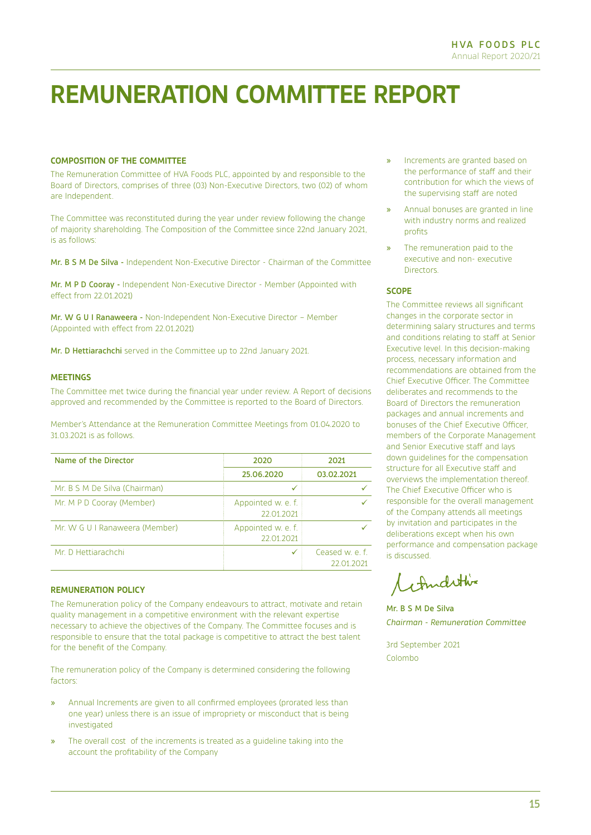## **REMUNERATION COMMITTEE REPORT**

#### **COMPOSITION OF THE COMMITTEE**

The Remuneration Committee of HVA Foods PLC, appointed by and responsible to the Board of Directors, comprises of three (03) Non-Executive Directors, two (02) of whom are Independent.

The Committee was reconstituted during the year under review following the change of majority shareholding. The Composition of the Committee since 22nd January 2021, is as follows:

Mr. B S M De Silva - Independent Non-Executive Director - Chairman of the Committee

Mr. M P D Cooray - Independent Non-Executive Director - Member (Appointed with effect from 22.01.2021)

Mr. W G U I Ranaweera - Non-Independent Non-Executive Director – Member (Appointed with effect from 22.01.2021)

Mr. D Hettiarachchi served in the Committee up to 22nd January 2021.

#### **MEETINGS**

The Committee met twice during the financial year under review. A Report of decisions approved and recommended by the Committee is reported to the Board of Directors.

Member's Attendance at the Remuneration Committee Meetings from 01.04.2020 to 31.03.2021 is as follows.

| Name of the Director           | 2020                             | 2021                          |
|--------------------------------|----------------------------------|-------------------------------|
|                                | 25.06.2020                       | 03.02.2021                    |
| Mr. B S M De Silva (Chairman)  |                                  |                               |
| Mr. M P D Cooray (Member)      | Appointed w. e. f.<br>22.01.2021 |                               |
| Mr. W G U I Ranaweera (Member) | Appointed w. e. f.<br>22 01 2021 |                               |
| Mr. D Hettiarachchi            |                                  | Ceased w. e. f.<br>22 01 2021 |

#### **REMUNERATION POLICY**

The Remuneration policy of the Company endeavours to attract, motivate and retain quality management in a competitive environment with the relevant expertise necessary to achieve the objectives of the Company. The Committee focuses and is responsible to ensure that the total package is competitive to attract the best talent for the benefit of the Company.

The remuneration policy of the Company is determined considering the following factors:

- » Annual Increments are given to all confirmed employees (prorated less than one year) unless there is an issue of impropriety or misconduct that is being investigated
- » The overall cost of the increments is treated as a guideline taking into the account the profitability of the Company
- » Increments are granted based on the performance of staff and their contribution for which the views of the supervising staff are noted
- » Annual bonuses are granted in line with industry norms and realized profits
- The remuneration paid to the executive and non- executive **Directors**

#### **SCOPE**

The Committee reviews all significant changes in the corporate sector in determining salary structures and terms and conditions relating to staff at Senior Executive level. In this decision-making process, necessary information and recommendations are obtained from the Chief Executive Officer. The Committee deliberates and recommends to the Board of Directors the remuneration packages and annual increments and bonuses of the Chief Executive Officer, members of the Corporate Management and Senior Executive staff and lays down guidelines for the compensation structure for all Executive staff and overviews the implementation thereof. The Chief Executive Officer who is responsible for the overall management of the Company attends all meetings by invitation and participates in the deliberations except when his own performance and compensation package is discussed.

1 Androthis

Mr. B S M De Silva *Chairman - Remuneration Committee*

3rd September 2021 Colombo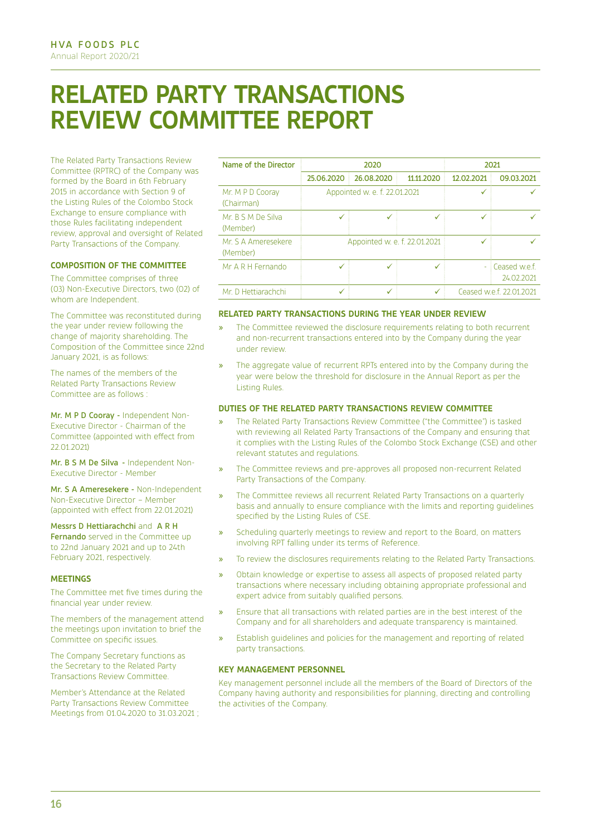## **RELATED PARTY TRANSACTIONS REVIEW COMMITTEE REPORT**

The Related Party Transactions Review Committee (RPTRC) of the Company was formed by the Board in 6th February 2015 in accordance with Section 9 of the Listing Rules of the Colombo Stock Exchange to ensure compliance with those Rules facilitating independent review, approval and oversight of Related Party Transactions of the Company.

#### **COMPOSITION OF THE COMMITTEE**

The Committee comprises of three ( 03) Non-Executive Directors, two (02) of whom are Independent.

The Committee was reconstituted during the year under review following the change of majority shareholding. The Composition of the Committee since 22nd January 2021, is as follows:

The names of the members of the Related Party Transactions Review Committee are as follows :

Mr. M P D Cooray - Independent Non-Executive Director - Chairman of the Committee (appointed with effect from 22.01.2021)

Mr. B S M De Silva - Independent Non-Executive Director - Member

Mr. S A Ameresekere - Non-Independent Non-Executive Director – Member (appointed with effect from 22.01.2021)

Messrs D Hettiarachchi and A R H Fernando served in the Committee up to 22nd January 2021 and up to 24th February 2021, respectively.

#### **MEETINGS**

The Committee met five times during the financial year under review.

The members of the management attend the meetings upon invitation to brief the Committee on specific issues.

The Company Secretary functions as the Secretary to the Related Party Transactions Review Committee.

Member's Attendance at the Related Party Transactions Review Committee Meetings from 01.04.2020 to 31.03.2021 :

| Name of the Director            |                                    | 2020                          |            |            | 2021                        |
|---------------------------------|------------------------------------|-------------------------------|------------|------------|-----------------------------|
|                                 | 25.06.2020                         | 26.08.2020                    | 11.11.2020 | 12.02.2021 | 09.03.2021                  |
| Mr. M P D Cooray<br>(Chairman)  |                                    | Appointed w. e. f. 22.01.2021 |            |            |                             |
| Mr. B S M De Silva<br>(Member)  | ✓                                  | ✓                             | √          | √          |                             |
| Mr. S A Ameresekere<br>(Member) | Appointed w. e. f. 22.01.2021<br>✓ |                               |            |            |                             |
| Mr A R H Fernando               | ✓                                  | ✓                             | √          |            | Ceased w.e.f.<br>24.02.2021 |
| Mr. D Hettiarachchi             |                                    |                               |            |            | Ceased w.e.f. 22,01,2021    |

#### **RELATED PARTY TRANSACTIONS DURING THE YEAR UNDER REVIEW**

- The Committee reviewed the disclosure requirements relating to both recurrent and non-recurrent transactions entered into by the Company during the year under review.
- The aggregate value of recurrent RPTs entered into by the Company during the year were below the threshold for disclosure in the Annual Report as per the Listing Rules.

#### **DUTIES OF THE RELATED PARTY TRANSACTIONS REVIEW COMMITTEE**

- » The Related Party Transactions Review Committee ("the Committee") is tasked with reviewing all Related Party Transactions of the Company and ensuring that it complies with the Listing Rules of the Colombo Stock Exchange (CSE) and other relevant statutes and regulations.
- » The Committee reviews and pre-approves all proposed non-recurrent Related Party Transactions of the Company.
- » The Committee reviews all recurrent Related Party Transactions on a quarterly basis and annually to ensure compliance with the limits and reporting guidelines specified by the Listing Rules of CSE.
- Scheduling quarterly meetings to review and report to the Board, on matters involving RPT falling under its terms of Reference.
- » To review the disclosures requirements relating to the Related Party Transactions.
- » Obtain knowledge or expertise to assess all aspects of proposed related party transactions where necessary including obtaining appropriate professional and expert advice from suitably qualified persons.
- » Ensure that all transactions with related parties are in the best interest of the Company and for all shareholders and adequate transparency is maintained.
- » Establish guidelines and policies for the management and reporting of related party transactions.

#### **KEY MANAGEMENT PERSONNEL**

Key management personnel include all the members of the Board of Directors of the Company having authority and responsibilities for planning, directing and controlling the activities of the Company.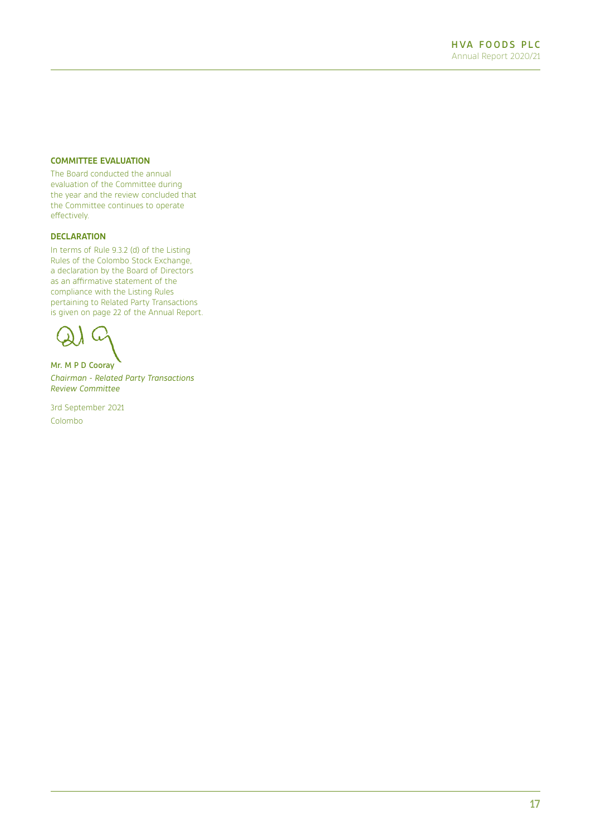#### **COMMITTEE EVALUATION**

The Board conducted the annual evaluation of the Committee during the year and the review concluded that the Committee continues to operate effectively.

#### **DECLARATION**

In terms of Rule 9.3.2 (d) of the Listing Rules of the Colombo Stock Exchange, a declaration by the Board of Directors as an affirmative statement of the compliance with the Listing Rules pertaining to Related Party Transactions is given on page 22 of the Annual Report.

Mr. M P D Cooray

*Chairman - Related Party Transactions Review Committee*

3rd September 2021 Colombo

17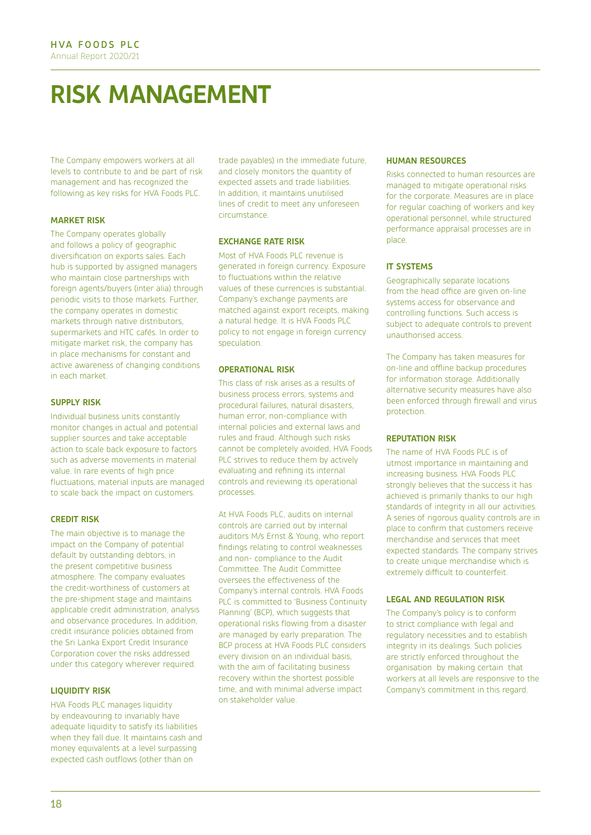# **RISK MANAGEMENT**

The Company empowers workers at all levels to contribute to and be part of risk management and has recognized the following as key risks for HVA Foods PLC.

#### **MARKET RISK**

The Company operates globally and follows a policy of geographic diversification on exports sales. Each hub is supported by assigned managers who maintain close partnerships with foreign agents/buyers (inter alia) through periodic visits to those markets. Further, the company operates in domestic markets through native distributors, supermarkets and HTC cafés. In order to mitigate market risk, the company has in place mechanisms for constant and active awareness of changing conditions in each market.

#### **SUPPLY RISK**

Individual business units constantly monitor changes in actual and potential supplier sources and take acceptable action to scale back exposure to factors such as adverse movements in material value. In rare events of high price fluctuations, material inputs are managed to scale back the impact on customers.

#### **CREDIT RISK**

The main objective is to manage the impact on the Company of potential default by outstanding debtors, in the present competitive business atmosphere. The company evaluates the credit-worthiness of customers at the pre-shipment stage and maintains applicable credit administration, analysis and observance procedures. In addition, credit insurance policies obtained from the Sri Lanka Export Credit Insurance Corporation cover the risks addressed under this category wherever required.

#### **LIQUIDITY RISK**

HVA Foods PLC manages liquidity by endeavouring to invariably have adequate liquidity to satisfy its liabilities when they fall due. It maintains cash and money equivalents at a level surpassing expected cash outflows (other than on

trade payables) in the immediate future, and closely monitors the quantity of expected assets and trade liabilities. In addition, it maintains unutilised lines of credit to meet any unforeseen circumstance.

#### **EXCHANGE RATE RISK**

Most of HVA Foods PLC revenue is generated in foreign currency. Exposure to fluctuations within the relative values of these currencies is substantial. Company's exchange payments are matched against export receipts, making a natural hedge. It is HVA Foods PLC policy to not engage in foreign currency speculation.

#### **OPERATIONAL RISK**

This class of risk arises as a results of business process errors, systems and procedural failures, natural disasters, human error, non-compliance with internal policies and external laws and rules and fraud. Although such risks cannot be completely avoided, HVA Foods PLC strives to reduce them by actively evaluating and refining its internal controls and reviewing its operational processes.

At HVA Foods PLC, audits on internal controls are carried out by internal auditors M/s Ernst & Young, who report findings relating to control weaknesses and non- compliance to the Audit Committee. The Audit Committee oversees the effectiveness of the Company's internal controls. HVA Foods PLC is committed to 'Business Continuity Planning' (BCP), which suggests that operational risks flowing from a disaster are managed by early preparation. The BCP process at HVA Foods PLC considers every division on an individual basis, with the aim of facilitating business recovery within the shortest possible time, and with minimal adverse impact on stakeholder value.

#### **HUMAN RESOURCES**

Risks connected to human resources are managed to mitigate operational risks for the corporate. Measures are in place for regular coaching of workers and key operational personnel, while structured performance appraisal processes are in place.

#### **IT SYSTEMS**

Geographically separate locations from the head office are given on-line systems access for observance and controlling functions. Such access is subject to adequate controls to prevent unauthorised access.

The Company has taken measures for on-line and offline backup procedures for information storage. Additionally alternative security measures have also been enforced through firewall and virus protection.

#### **REPUTATION RISK**

The name of HVA Foods PLC is of utmost importance in maintaining and increasing business. HVA Foods PLC strongly believes that the success it has achieved is primarily thanks to our high standards of integrity in all our activities. A series of rigorous quality controls are in place to confirm that customers receive merchandise and services that meet expected standards. The company strives to create unique merchandise which is extremely difficult to counterfeit.

#### **LEGAL AND REGULATION RISK**

The Company's policy is to conform to strict compliance with legal and regulatory necessities and to establish integrity in its dealings. Such policies are strictly enforced throughout the organisation by making certain that workers at all levels are responsive to the Company's commitment in this regard.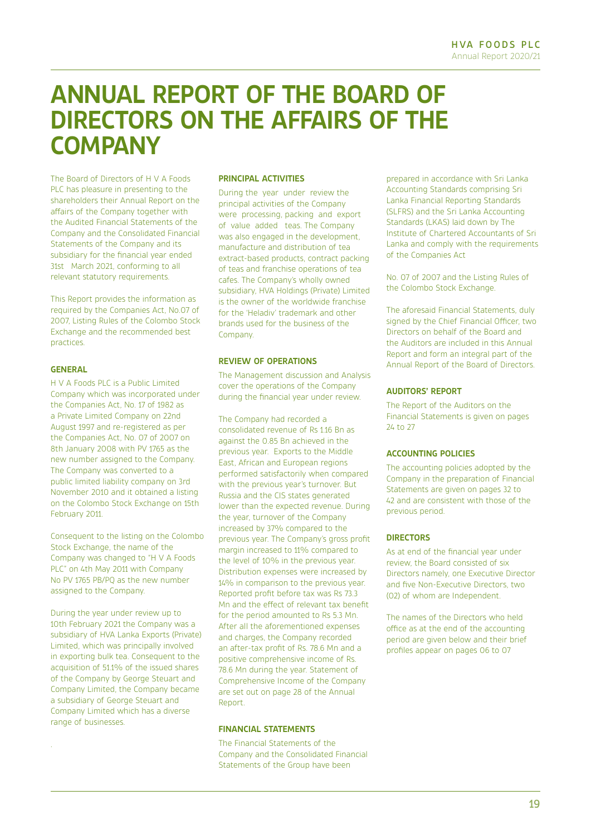## **ANNUAL REPORT OF THE BOARD OF DIRECTORS ON THE AFFAIRS OF THE COMPANY**

The Board of Directors of H V A Foods PLC has pleasure in presenting to the shareholders their Annual Report on the affairs of the Company together with the Audited Financial Statements of the Company and the Consolidated Financial Statements of the Company and its subsidiary for the financial year ended 31st March 2021, conforming to all relevant statutory requirements.

This Report provides the information as required by the Companies Act, No.07 of 2007, Listing Rules of the Colombo Stock Exchange and the recommended best practices.

#### **GENERAL**

H V A Foods PLC is a Public Limited Company which was incorporated under the Companies Act, No. 17 of 1982 as a Private Limited Company on 22nd August 1997 and re-registered as per the Companies Act, No. 07 of 2007 on 8th January 2008 with PV 1765 as the new number assigned to the Company. The Company was converted to a public limited liability company on 3rd November 2010 and it obtained a listing on the Colombo Stock Exchange on 15th February 2011.

Consequent to the listing on the Colombo Stock Exchange, the name of the Company was changed to "H V A Foods PLC" on 4th May 2011 with Company No PV 1765 PB/PQ as the new number assigned to the Company.

During the year under review up to 10th February 2021 the Company was a subsidiary of HVA Lanka Exports (Private) Limited, which was principally involved in exporting bulk tea. Consequent to the acquisition of 51.1% of the issued shares of the Company by George Steuart and Company Limited, the Company became a subsidiary of George Steuart and Company Limited which has a diverse range of businesses.

.

#### **PRINCIPAL ACTIVITIES**

During the year under review the principal activities of the Company were processing, packing and export of value added teas. The Company was also engaged in the development, manufacture and distribution of tea extract-based products, contract packing of teas and franchise operations of tea cafes. The Company's wholly owned subsidiary, HVA Holdings (Private) Limited is the owner of the worldwide franchise for the 'Heladiv' trademark and other brands used for the business of the Company.

#### **REVIEW OF OPERATIONS**

The Management discussion and Analysis cover the operations of the Company during the financial year under review.

The Company had recorded a consolidated revenue of Rs 1.16 Bn as against the 0.85 Bn achieved in the previous year. Exports to the Middle East, African and European regions performed satisfactorily when compared with the previous year's turnover. But Russia and the CIS states generated lower than the expected revenue. During the year, turnover of the Company increased by 37% compared to the previous year. The Company's gross profit margin increased to 11% compared to the level of 10% in the previous year. Distribution expenses were increased by 14% in comparison to the previous year. Reported profit before tax was Rs 73.3 Mn and the effect of relevant tax benefit for the period amounted to Rs 5.3 Mn. After all the aforementioned expenses and charges, the Company recorded an after-tax profit of Rs. 78.6 Mn and a positive comprehensive income of Rs. 78.6 Mn during the year. Statement of Comprehensive Income of the Company are set out on page 28 of the Annual Report.

#### **FINANCIAL STATEMENTS**

The Financial Statements of the Company and the Consolidated Financial Statements of the Group have been

prepared in accordance with Sri Lanka Accounting Standards comprising Sri Lanka Financial Reporting Standards (SLFRS) and the Sri Lanka Accounting Standards (LKAS) laid down by The Institute of Chartered Accountants of Sri Lanka and comply with the requirements of the Companies Act

No. 07 of 2007 and the Listing Rules of the Colombo Stock Exchange.

The aforesaid Financial Statements, duly signed by the Chief Financial Officer, two Directors on behalf of the Board and the Auditors are included in this Annual Report and form an integral part of the Annual Report of the Board of Directors.

#### **AUDITORS' REPORT**

The Report of the Auditors on the Financial Statements is given on pages 24 to 27

#### **ACCOUNTING POLICIES**

The accounting policies adopted by the Company in the preparation of Financial Statements are given on pages 32 to 42 and are consistent with those of the previous period.

#### **DIRECTORS**

As at end of the financial year under review, the Board consisted of six Directors namely, one Executive Director and five Non-Executive Directors, two (02) of whom are Independent.

The names of the Directors who held office as at the end of the accounting period are given below and their brief profiles appear on pages 06 to 07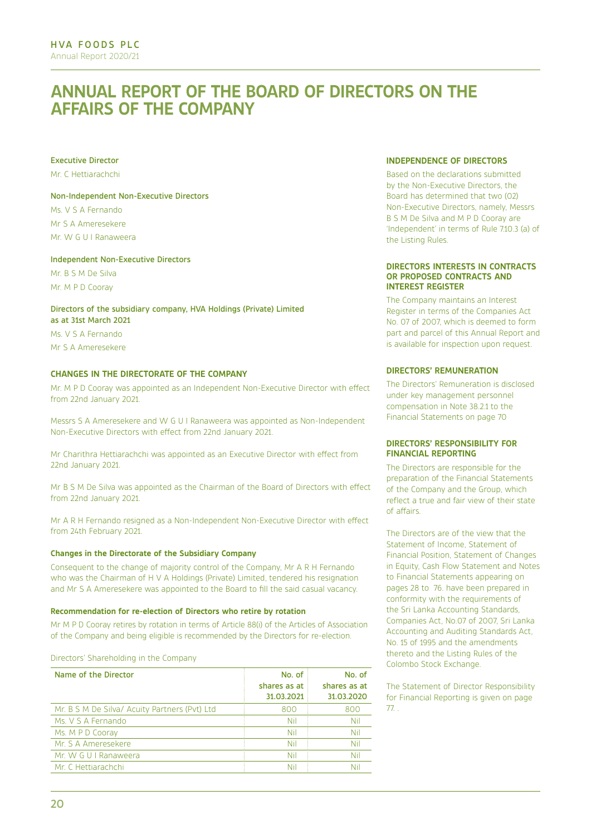## **ANNUAL REPORT OF THE BOARD OF DIRECTORS ON THE AFFAIRS OF THE COMPANY**

#### Executive Director

Mr. C Hettiarachchi

#### Non-Independent Non-Executive Directors

Ms. V S A Fernando Mr S A Ameresekere Mr. W G U I Ranaweera

#### Independent Non-Executive Directors

Mr. B S M De Silva Mr. M P D Cooray

#### Directors of the subsidiary company, HVA Holdings (Private) Limited as at 31st March 2021

Ms. V S A Fernando Mr S A Ameresekere

#### **CHANGES IN THE DIRECTORATE OF THE COMPANY**

Mr. M P D Cooray was appointed as an Independent Non-Executive Director with effect from 22nd January 2021.

Messrs S A Ameresekere and W G U I Ranaweera was appointed as Non-Independent Non-Executive Directors with effect from 22nd January 2021.

Mr Charithra Hettiarachchi was appointed as an Executive Director with effect from 22nd January 2021.

Mr B S M De Silva was appointed as the Chairman of the Board of Directors with effect from 22nd January 2021.

Mr A R H Fernando resigned as a Non-Independent Non-Executive Director with effect from 24th February 2021.

#### **Changes in the Directorate of the Subsidiary Company**

Consequent to the change of majority control of the Company, Mr A R H Fernando who was the Chairman of H V A Holdings (Private) Limited, tendered his resignation and Mr S A Ameresekere was appointed to the Board to fill the said casual vacancy.

#### **Recommendation for re-election of Directors who retire by rotation**

Mr M P D Cooray retires by rotation in terms of Article 88(i) of the Articles of Association of the Company and being eligible is recommended by the Directors for re-election.

Directors' Shareholding in the Company

| Name of the Director                          | No. of       | No. of       |
|-----------------------------------------------|--------------|--------------|
|                                               | shares as at | shares as at |
|                                               | 31.03.2021   | 31.03.2020   |
| Mr. B S M De Silva/ Acuity Partners (Pvt) Ltd | 800          | 800          |
| Ms. V S A Fernando                            | Nil          | Nil          |
| Ms. M P D Cooray                              | Nil          | Nil          |
| Mr. S A Ameresekere                           | Nil          | Nil          |
| Mr. W G U I Ranaweera                         | Nil          | Nil          |
| Mr. C. Hettiarachchi                          | Nil          | Nil          |

#### **INDEPENDENCE OF DIRECTORS**

Based on the declarations submitted by the Non-Executive Directors, the Board has determined that two (02) Non-Executive Directors, namely, Messrs B S M De Silva and M P D Cooray are 'Independent' in terms of Rule 7.10.3 (a) of the Listing Rules.

#### **DIRECTORS INTERESTS IN CONTRACTS OR PROPOSED CONTRACTS AND INTEREST REGISTER**

The Company maintains an Interest Register in terms of the Companies Act No. 07 of 2007, which is deemed to form part and parcel of this Annual Report and is available for inspection upon request.

#### **DIRECTORS' REMUNERATION**

The Directors' Remuneration is disclosed under key management personnel compensation in Note 38.2.1 to the Financial Statements on page 70

#### **DIRECTORS' RESPONSIBILITY FOR FINANCIAL REPORTING**

The Directors are responsible for the preparation of the Financial Statements of the Company and the Group, which reflect a true and fair view of their state of affairs.

The Directors are of the view that the Statement of Income, Statement of Financial Position, Statement of Changes in Equity, Cash Flow Statement and Notes to Financial Statements appearing on pages 28 to 76. have been prepared in conformity with the requirements of the Sri Lanka Accounting Standards, Companies Act, No.07 of 2007, Sri Lanka Accounting and Auditing Standards Act, No. 15 of 1995 and the amendments thereto and the Listing Rules of the Colombo Stock Exchange.

The Statement of Director Responsibility for Financial Reporting is given on page 77. .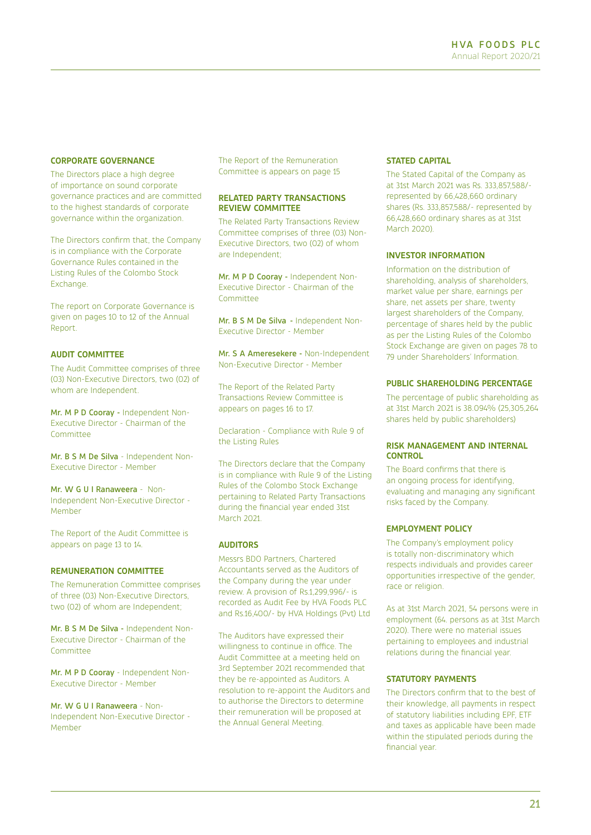#### **CORPORATE GOVERNANCE**

The Directors place a high degree of importance on sound corporate governance practices and are committed to the highest standards of corporate governance within the organization.

The Directors confirm that, the Company is in compliance with the Corporate Governance Rules contained in the Listing Rules of the Colombo Stock Exchange.

The report on Corporate Governance is given on pages 10 to 12 of the Annual Report.

#### **AUDIT COMMITTEE**

The Audit Committee comprises of three (03) Non-Executive Directors, two (02) of whom are Independent.

Mr. M P D Cooray - Independent Non-Executive Director - Chairman of the Committee

Mr. B S M De Silva - Independent Non-Executive Director - Member

Mr. W G U I Ranaweera - Non-Independent Non-Executive Director - Member

The Report of the Audit Committee is appears on page 13 to 14.

#### **REMUNERATION COMMITTEE**

The Remuneration Committee comprises of three (03) Non-Executive Directors, two (02) of whom are Independent;

Mr. B S M De Silva - Independent Non-Executive Director - Chairman of the Committee

Mr. M P D Cooray - Independent Non-Executive Director - Member

Mr. W G U I Ranaweera - Non-Independent Non-Executive Director - Member

The Report of the Remuneration Committee is appears on page 15

#### **RELATED PARTY TRANSACTIONS REVIEW COMMITTEE**

The Related Party Transactions Review Committee comprises of three (03) Non-Executive Directors, two (02) of whom are Independent;

Mr. M P D Cooray - Independent Non-Executive Director - Chairman of the Committee

Mr. B S M De Silva - Independent Non-Executive Director - Member

Mr. S A Ameresekere - Non-Independent Non-Executive Director - Member

The Report of the Related Party Transactions Review Committee is appears on pages 16 to 17.

Declaration - Compliance with Rule 9 of the Listing Rules

The Directors declare that the Company is in compliance with Rule 9 of the Listing Rules of the Colombo Stock Exchange pertaining to Related Party Transactions during the financial year ended 31st March 2021.

#### **AUDITORS**

Messrs BDO Partners, Chartered Accountants served as the Auditors of the Company during the year under review. A provision of Rs.1,299,996/- is recorded as Audit Fee by HVA Foods PLC and Rs.16,400/- by HVA Holdings (Pvt) Ltd

The Auditors have expressed their willingness to continue in office. The Audit Committee at a meeting held on 3rd September 2021 recommended that they be re-appointed as Auditors. A resolution to re-appoint the Auditors and to authorise the Directors to determine their remuneration will be proposed at the Annual General Meeting.

#### **STATED CAPITAL**

The Stated Capital of the Company as at 31st March 2021 was Rs. 333,857,588/ represented by 66,428,660 ordinary shares (Rs. 333,857,588/- represented by 66,428,660 ordinary shares as at 31st March 2020).

#### **INVESTOR INFORMATION**

Information on the distribution of shareholding, analysis of shareholders, market value per share, earnings per share, net assets per share, twenty largest shareholders of the Company, percentage of shares held by the public as per the Listing Rules of the Colombo Stock Exchange are given on pages 78 to 79 under Shareholders' Information.

#### **PUBLIC SHAREHOLDING PERCENTAGE**

The percentage of public shareholding as at 31st March 2021 is 38.094% (25,305,264 shares held by public shareholders)

#### **RISK MANAGEMENT AND INTERNAL CONTROL**

The Board confirms that there is an ongoing process for identifying, evaluating and managing any significant risks faced by the Company.

#### **EMPLOYMENT POLICY**

The Company's employment policy is totally non-discriminatory which respects individuals and provides career opportunities irrespective of the gender, race or religion.

As at 31st March 2021, 54 persons were in employment (64. persons as at 31st March 2020). There were no material issues pertaining to employees and industrial relations during the financial year.

#### **STATUTORY PAYMENTS**

The Directors confirm that to the best of their knowledge, all payments in respect of statutory liabilities including EPF, ETF and taxes as applicable have been made within the stipulated periods during the financial year.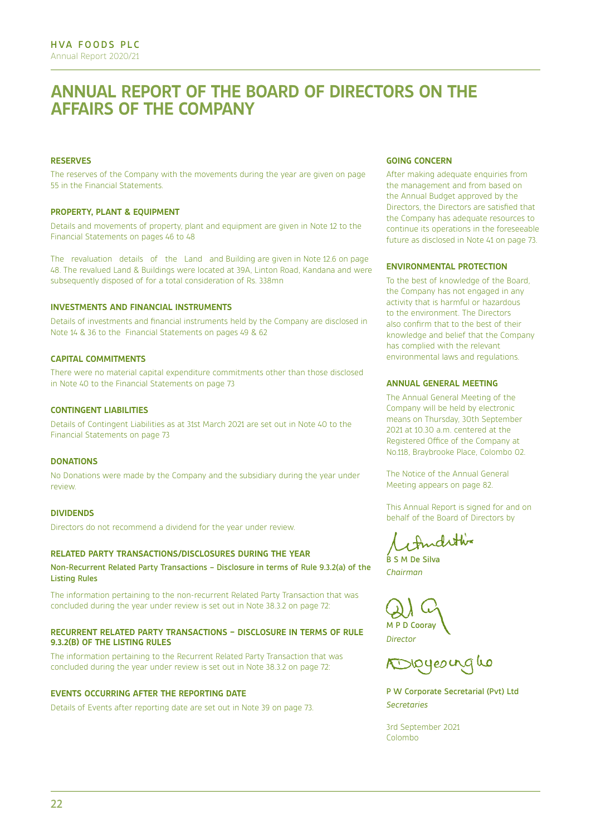## **ANNUAL REPORT OF THE BOARD OF DIRECTORS ON THE AFFAIRS OF THE COMPANY**

#### **RESERVES**

The reserves of the Company with the movements during the year are given on page 55 in the Financial Statements.

#### **PROPERTY, PLANT & EQUIPMENT**

Details and movements of property, plant and equipment are given in Note 12 to the Financial Statements on pages 46 to 48

The revaluation details of the Land and Building are given in Note 12.6 on page 48. The revalued Land & Buildings were located at 39A, Linton Road, Kandana and were subsequently disposed of for a total consideration of Rs. 338mn

#### **INVESTMENTS AND FINANCIAL INSTRUMENTS**

Details of investments and financial instruments held by the Company are disclosed in Note 14 & 36 to the Financial Statements on pages 49 & 62

#### **CAPITAL COMMITMENTS**

There were no material capital expenditure commitments other than those disclosed in Note 40 to the Financial Statements on page 73

#### **CONTINGENT LIABILITIES**

Details of Contingent Liabilities as at 31st March 2021 are set out in Note 40 to the Financial Statements on page 73

#### **DONATIONS**

No Donations were made by the Company and the subsidiary during the year under review.

#### **DIVIDENDS**

Directors do not recommend a dividend for the year under review.

#### **RELATED PARTY TRANSACTIONS/DISCLOSURES DURING THE YEAR**

Non-Recurrent Related Party Transactions – Disclosure in terms of Rule 9.3.2(a) of the Listing Rules

The information pertaining to the non-recurrent Related Party Transaction that was concluded during the year under review is set out in Note 38.3.2 on page 72:

#### **RECURRENT RELATED PARTY TRANSACTIONS – DISCLOSURE IN TERMS OF RULE 9.3.2(B) OF THE LISTING RULES**

The information pertaining to the Recurrent Related Party Transaction that was concluded during the year under review is set out in Note 38.3.2 on page 72:

#### **EVENTS OCCURRING AFTER THE REPORTING DATE**

Details of Events after reporting date are set out in Note 39 on page 73.

#### **GOING CONCERN**

After making adequate enquiries from the management and from based on the Annual Budget approved by the Directors, the Directors are satisfied that the Company has adequate resources to continue its operations in the foreseeable future as disclosed in Note 41 on page 73.

#### **ENVIRONMENTAL PROTECTION**

To the best of knowledge of the Board, the Company has not engaged in any activity that is harmful or hazardous to the environment. The Directors also confirm that to the best of their knowledge and belief that the Company has complied with the relevant environmental laws and regulations.

#### **ANNUAL GENERAL MEETING**

The Annual General Meeting of the Company will be held by electronic means on Thursday, 30th September 2021 at 10.30 a.m. centered at the Registered Office of the Company at No.118, Braybrooke Place, Colombo 02.

The Notice of the Annual General Meeting appears on page 82.

This Annual Report is signed for and on behalf of the Board of Directors by

Andethin B S M De Silva

*Chairman*

M P D Cooray

*Director*

P W Corporate Secretarial (Pvt) Ltd *Secretaries*

3rd September 2021 Colombo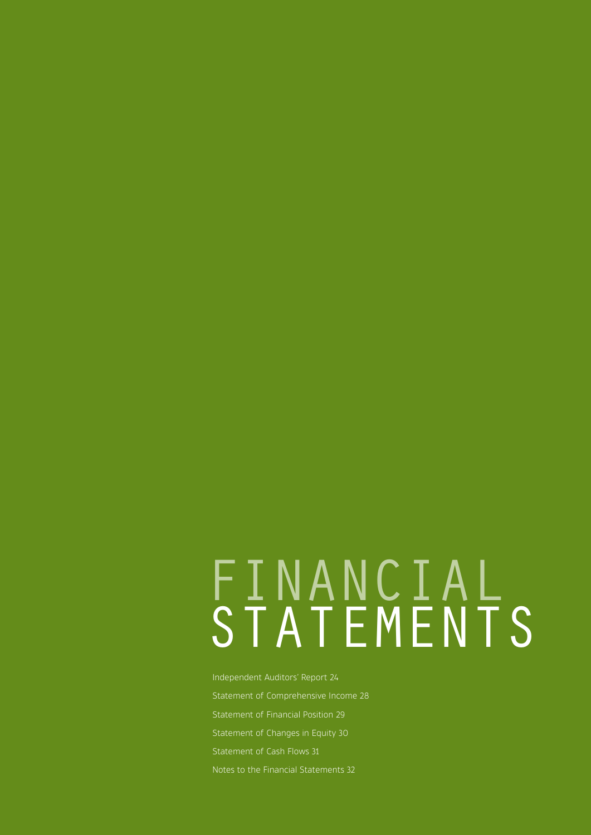# FINANCIAL STATEMENTS

Independent Auditors' Report 24 Statement of Comprehensive Income 28 Statement of Financial Position 29 Statement of Changes in Equity 30 Statement of Cash Flows 31 Notes to the Financial Statements 32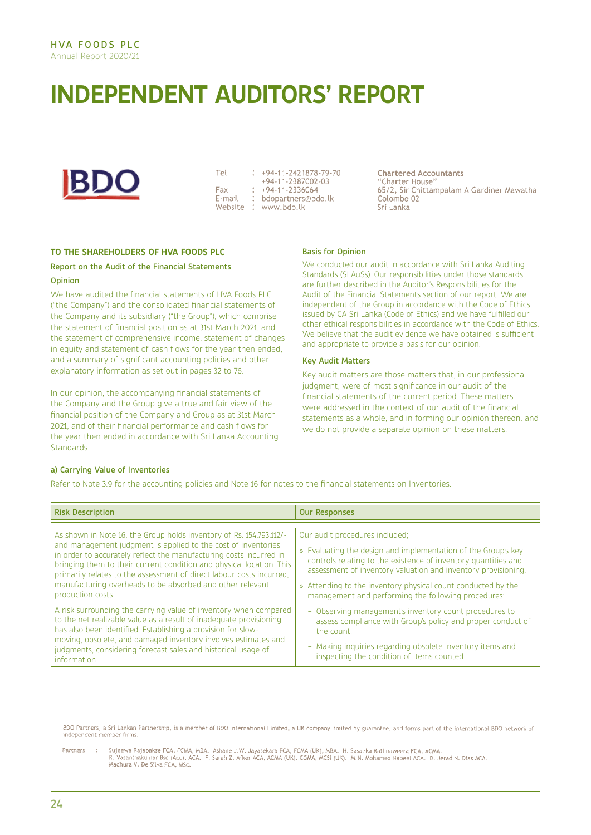## **INDEPENDENT AUDITORS' REPORT**



Tel Fax E-mail

+94-11-2421878-79-70 +94-11-2387002-03 +94-11-2336064 bdopartners@bdo.lk Website : www.bdo.lk

**Chartered Accountants** "Charter House" 65/2, Sir Chittampalam A Gardiner Mawatha Colombo<sub>02</sub> Sri Lanka

#### **TO THE SHAREHOLDERS OF HVA FOODS PLC**

#### Report on the Audit of the Financial Statements

#### **Opinion**

We have audited the financial statements of HVA Foods PLC ("the Company") and the consolidated financial statements of the Company and its subsidiary ("the Group"), which comprise the statement of financial position as at 31st March 2021, and the statement of comprehensive income, statement of changes in equity and statement of cash flows for the year then ended, and a summary of significant accounting policies and other explanatory information as set out in pages 32 to 76.

In our opinion, the accompanying financial statements of the Company and the Group give a true and fair view of the financial position of the Company and Group as at 31st March 2021, and of their financial performance and cash flows for the year then ended in accordance with Sri Lanka Accounting Standards.

#### Basis for Opinion

We conducted our audit in accordance with Sri Lanka Auditing Standards (SLAuSs). Our responsibilities under those standards are further described in the Auditor's Responsibilities for the Audit of the Financial Statements section of our report. We are independent of the Group in accordance with the Code of Ethics issued by CA Sri Lanka (Code of Ethics) and we have fulfilled our other ethical responsibilities in accordance with the Code of Ethics. We believe that the audit evidence we have obtained is sufficient and appropriate to provide a basis for our opinion.

#### Key Audit Matters

Key audit matters are those matters that, in our professional judgment, were of most significance in our audit of the financial statements of the current period. These matters were addressed in the context of our audit of the financial statements as a whole, and in forming our opinion thereon, and we do not provide a separate opinion on these matters.

#### a) Carrying Value of Inventories

Refer to Note 3.9 for the accounting policies and Note 16 for notes to the financial statements on Inventories.

| <b>Risk Description</b>                                                                                                                                                                                                                                                                                                                                                                                                                      | <b>Our Responses</b>                                                                                                                                                                                                                                                                                                                                      |
|----------------------------------------------------------------------------------------------------------------------------------------------------------------------------------------------------------------------------------------------------------------------------------------------------------------------------------------------------------------------------------------------------------------------------------------------|-----------------------------------------------------------------------------------------------------------------------------------------------------------------------------------------------------------------------------------------------------------------------------------------------------------------------------------------------------------|
| As shown in Note 16, the Group holds inventory of Rs. 154,793,112/-<br>and management judgment is applied to the cost of inventories<br>in order to accurately reflect the manufacturing costs incurred in<br>bringing them to their current condition and physical location. This<br>primarily relates to the assessment of direct labour costs incurred.<br>manufacturing overheads to be absorbed and other relevant<br>production costs. | Our audit procedures included;<br>» Evaluating the design and implementation of the Group's key<br>controls relating to the existence of inventory quantities and<br>assessment of inventory valuation and inventory provisioning.<br>» Attending to the inventory physical count conducted by the<br>management and performing the following procedures: |
| A risk surrounding the carrying value of inventory when compared<br>to the net realizable value as a result of inadequate provisioning<br>has also been identified. Establishing a provision for slow-<br>moving, obsolete, and damaged inventory involves estimates and<br>judgments, considering forecast sales and historical usage of<br>information.                                                                                    | - Observing management's inventory count procedures to<br>assess compliance with Group's policy and proper conduct of<br>the count.<br>- Making inquiries regarding obsolete inventory items and<br>inspecting the condition of items counted.                                                                                                            |

BDO Partners, a Sri Lankan Partnership, is a member of BDO International Limited, a UK company limited by guarantee, and forms part of the international BDO network of independent member firms

Sujeewa Rajapakse FCA, FCMA, MBA. Ashane J.W. Jayasekara FCA, FCMA (UK), MBA. H. Sasanka Rathnaweera FCA, ACMA.<br>R. Vasanthakumar Bsc (Acc), ACA. F. Sarah Z. Afker ACA, ACMA (UK), CGMA, MCSI (UK). M.N. Mohamed Nabeel ACA. D Partners  $\sim$ Madhura V. De Silva FCA, MSc.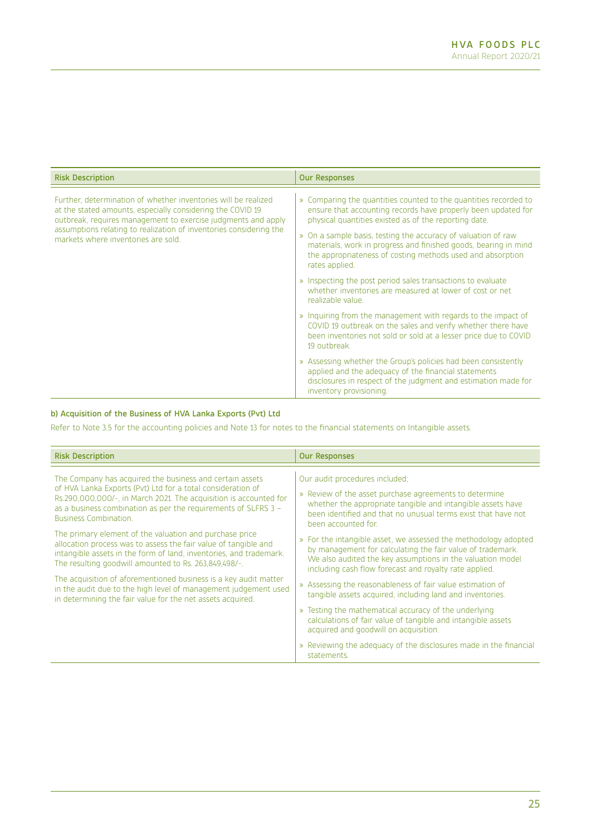| <b>Risk Description</b>                                                                                                                                                                                                                                                                                    | <b>Our Responses</b>                                                                                                                                                                                                                                                                                                                                                                                           |
|------------------------------------------------------------------------------------------------------------------------------------------------------------------------------------------------------------------------------------------------------------------------------------------------------------|----------------------------------------------------------------------------------------------------------------------------------------------------------------------------------------------------------------------------------------------------------------------------------------------------------------------------------------------------------------------------------------------------------------|
| Further, determination of whether inventories will be realized<br>at the stated amounts, especially considering the COVID 19<br>outbreak, requires management to exercise judgments and apply<br>assumptions relating to realization of inventories considering the<br>markets where inventories are sold. | » Comparing the quantities counted to the quantities recorded to<br>ensure that accounting records have properly been updated for<br>physical quantities existed as of the reporting date.<br>» On a sample basis, testing the accuracy of valuation of raw<br>materials, work in progress and finished goods, bearing in mind<br>the appropriateness of costing methods used and absorption<br>rates applied. |
|                                                                                                                                                                                                                                                                                                            | » Inspecting the post period sales transactions to evaluate<br>whether inventories are measured at lower of cost or net.<br>realizable value.                                                                                                                                                                                                                                                                  |
|                                                                                                                                                                                                                                                                                                            | » Inquiring from the management with regards to the impact of<br>COVID 19 outbreak on the sales and verify whether there have<br>been inventories not sold or sold at a lesser price due to COVID<br>19 outbreak.                                                                                                                                                                                              |
|                                                                                                                                                                                                                                                                                                            | » Assessing whether the Group's policies had been consistently<br>applied and the adequacy of the financial statements<br>disclosures in respect of the judgment and estimation made for<br>inventory provisioning.                                                                                                                                                                                            |

#### b) Acquisition of the Business of HVA Lanka Exports (Pvt) Ltd

Refer to Note 3.5 for the accounting policies and Note 13 for notes to the financial statements on Intangible assets.

| <b>Risk Description</b>                                                                                                                                                                                                                                                                                                                                                                                                                                                                                                                                                                                                                                                                                                                                          | <b>Our Responses</b>                                                                                                                                                                                                                                                                                                                                                                                                                                                                                                                                                                                                                                                                                                                                                                                                                                                                      |
|------------------------------------------------------------------------------------------------------------------------------------------------------------------------------------------------------------------------------------------------------------------------------------------------------------------------------------------------------------------------------------------------------------------------------------------------------------------------------------------------------------------------------------------------------------------------------------------------------------------------------------------------------------------------------------------------------------------------------------------------------------------|-------------------------------------------------------------------------------------------------------------------------------------------------------------------------------------------------------------------------------------------------------------------------------------------------------------------------------------------------------------------------------------------------------------------------------------------------------------------------------------------------------------------------------------------------------------------------------------------------------------------------------------------------------------------------------------------------------------------------------------------------------------------------------------------------------------------------------------------------------------------------------------------|
| The Company has acquired the business and certain assets<br>of HVA Lanka Exports (Pvt) Ltd for a total consideration of<br>Rs.290,000,000/-, in March 2021. The acquisition is accounted for<br>as a business combination as per the requirements of SLFRS 3 -<br><b>Business Combination.</b><br>The primary element of the valuation and purchase price<br>allocation process was to assess the fair value of tangible and<br>intangible assets in the form of land, inventories, and trademark.<br>The resulting goodwill amounted to Rs. 263,849,498/-.<br>The acquisition of aforementioned business is a key audit matter<br>in the audit due to the high level of management judgement used<br>in determining the fair value for the net assets acquired. | Our audit procedures included;<br>» Review of the asset purchase agreements to determine<br>whether the appropriate tangible and intangible assets have<br>been identified and that no unusual terms exist that have not<br>been accounted for.<br>» For the intangible asset, we assessed the methodology adopted<br>by management for calculating the fair value of trademark.<br>We also audited the key assumptions in the valuation model<br>including cash flow forecast and royalty rate applied.<br>» Assessing the reasonableness of fair value estimation of<br>tangible assets acquired, including land and inventories.<br>» Testing the mathematical accuracy of the underlying<br>calculations of fair value of tangible and intangible assets<br>acquired and goodwill on acquisition.<br>» Reviewing the adequacy of the disclosures made in the financial<br>statements. |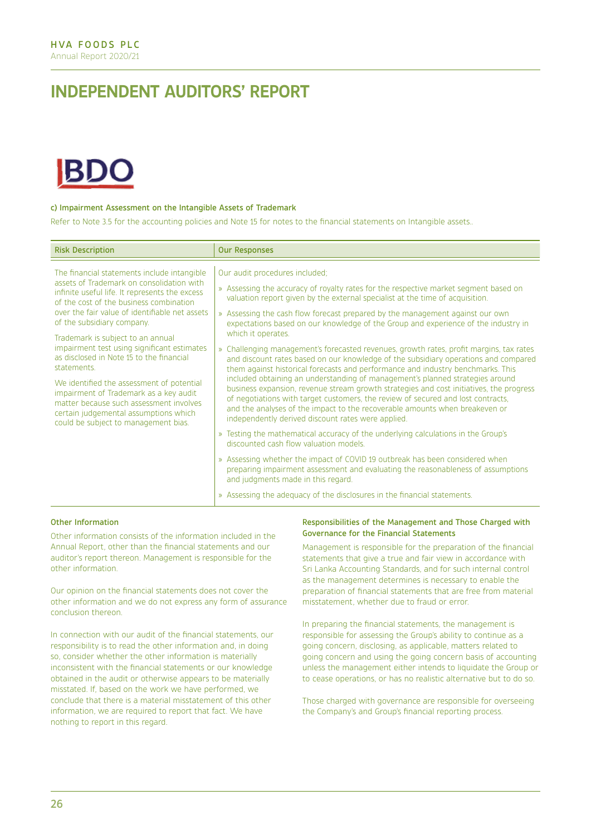## **INDEPENDENT AUDITORS' REPORT**



#### c) Impairment Assessment on the Intangible Assets of Trademark

Refer to Note 3.5 for the accounting policies and Note 15 for notes to the financial statements on Intangible assets..

| <b>Our Responses</b>                                                                                                                                                                                                                                                                                                                                                                                                                                                                                                                                                                                                                                                                                                                                                                                                                                                                                                                                                                                                                                                                                                                                                                                                                                                                                                                                                              |
|-----------------------------------------------------------------------------------------------------------------------------------------------------------------------------------------------------------------------------------------------------------------------------------------------------------------------------------------------------------------------------------------------------------------------------------------------------------------------------------------------------------------------------------------------------------------------------------------------------------------------------------------------------------------------------------------------------------------------------------------------------------------------------------------------------------------------------------------------------------------------------------------------------------------------------------------------------------------------------------------------------------------------------------------------------------------------------------------------------------------------------------------------------------------------------------------------------------------------------------------------------------------------------------------------------------------------------------------------------------------------------------|
| Our audit procedures included;<br>» Assessing the accuracy of royalty rates for the respective market segment based on<br>valuation report given by the external specialist at the time of acquisition.<br>» Assessing the cash flow forecast prepared by the management against our own<br>expectations based on our knowledge of the Group and experience of the industry in<br>which it operates.<br>» Challenging management's forecasted revenues, growth rates, profit margins, tax rates<br>and discount rates based on our knowledge of the subsidiary operations and compared<br>them against historical forecasts and performance and industry benchmarks. This<br>included obtaining an understanding of management's planned strategies around<br>business expansion, revenue stream growth strategies and cost initiatives, the progress<br>of negotiations with target customers, the review of secured and lost contracts,<br>and the analyses of the impact to the recoverable amounts when breakeven or<br>independently derived discount rates were applied.<br>» Testing the mathematical accuracy of the underlying calculations in the Group's<br>discounted cash flow valuation models.<br>» Assessing whether the impact of COVID 19 outbreak has been considered when<br>preparing impairment assessment and evaluating the reasonableness of assumptions |
| and judgments made in this regard.<br>» Assessing the adequacy of the disclosures in the financial statements.                                                                                                                                                                                                                                                                                                                                                                                                                                                                                                                                                                                                                                                                                                                                                                                                                                                                                                                                                                                                                                                                                                                                                                                                                                                                    |
|                                                                                                                                                                                                                                                                                                                                                                                                                                                                                                                                                                                                                                                                                                                                                                                                                                                                                                                                                                                                                                                                                                                                                                                                                                                                                                                                                                                   |

#### Other Information

Other information consists of the information included in the Annual Report, other than the financial statements and our auditor's report thereon. Management is responsible for the other information.

Our opinion on the financial statements does not cover the other information and we do not express any form of assurance conclusion thereon.

In connection with our audit of the financial statements, our responsibility is to read the other information and, in doing so, consider whether the other information is materially inconsistent with the financial statements or our knowledge obtained in the audit or otherwise appears to be materially misstated. If, based on the work we have performed, we conclude that there is a material misstatement of this other information, we are required to report that fact. We have nothing to report in this regard.

#### Responsibilities of the Management and Those Charged with Governance for the Financial Statements

Management is responsible for the preparation of the financial statements that give a true and fair view in accordance with Sri Lanka Accounting Standards, and for such internal control as the management determines is necessary to enable the preparation of financial statements that are free from material misstatement, whether due to fraud or error.

In preparing the financial statements, the management is responsible for assessing the Group's ability to continue as a going concern, disclosing, as applicable, matters related to going concern and using the going concern basis of accounting unless the management either intends to liquidate the Group or to cease operations, or has no realistic alternative but to do so.

Those charged with governance are responsible for overseeing the Company's and Group's financial reporting process.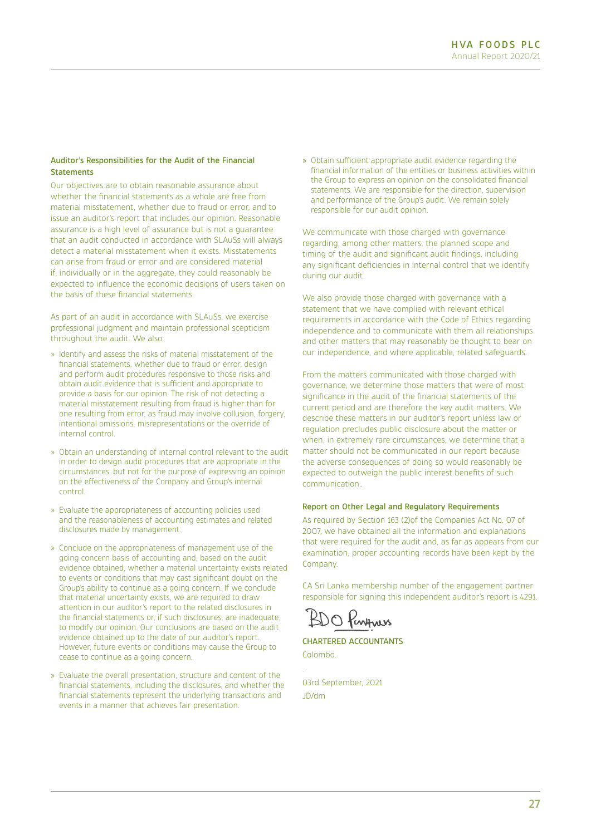#### Auditor's Responsibilities for the Audit of the Financial **Statements**

Our objectives are to obtain reasonable assurance about whether the financial statements as a whole are free from material misstatement, whether due to fraud or error, and to issue an auditor's report that includes our opinion. Reasonable assurance is a high level of assurance but is not a guarantee that an audit conducted in accordance with SLAuSs will always detect a material misstatement when it exists. Misstatements can arise from fraud or error and are considered material if, individually or in the aggregate, they could reasonably be expected to influence the economic decisions of users taken on the basis of these financial statements.

As part of an audit in accordance with SLAuSs, we exercise professional judgment and maintain professional scepticism throughout the audit. We also:

- » Identify and assess the risks of material misstatement of the financial statements, whether due to fraud or error, design and perform audit procedures responsive to those risks and obtain audit evidence that is sufficient and appropriate to provide a basis for our opinion. The risk of not detecting a material misstatement resulting from fraud is higher than for one resulting from error, as fraud may involve collusion, forgery, intentional omissions, misrepresentations or the override of internal control.
- » Obtain an understanding of internal control relevant to the audit in order to design audit procedures that are appropriate in the circumstances, but not for the purpose of expressing an opinion on the effectiveness of the Company and Group's internal control.
- » Evaluate the appropriateness of accounting policies used and the reasonableness of accounting estimates and related disclosures made by management.
- » Conclude on the appropriateness of management use of the going concern basis of accounting and, based on the audit evidence obtained, whether a material uncertainty exists related to events or conditions that may cast significant doubt on the Group's ability to continue as a going concern. If we conclude that material uncertainty exists, we are required to draw attention in our auditor's report to the related disclosures in the financial statements or, if such disclosures, are inadequate, to modify our opinion. Our conclusions are based on the audit evidence obtained up to the date of our auditor's report. However, future events or conditions may cause the Group to cease to continue as a going concern.
- » Evaluate the overall presentation, structure and content of the financial statements, including the disclosures, and whether the financial statements represent the underlying transactions and events in a manner that achieves fair presentation.

» Obtain sufficient appropriate audit evidence regarding the financial information of the entities or business activities within the Group to express an opinion on the consolidated financial statements. We are responsible for the direction, supervision and performance of the Group's audit. We remain solely responsible for our audit opinion.

We communicate with those charged with governance regarding, among other matters, the planned scope and timing of the audit and significant audit findings, including any significant deficiencies in internal control that we identify during our audit.

We also provide those charged with governance with a statement that we have complied with relevant ethical requirements in accordance with the Code of Ethics regarding independence and to communicate with them all relationships and other matters that may reasonably be thought to bear on our independence, and where applicable, related safeguards.

From the matters communicated with those charged with governance, we determine those matters that were of most significance in the audit of the financial statements of the current period and are therefore the key audit matters. We describe these matters in our auditor's report unless law or regulation precludes public disclosure about the matter or when, in extremely rare circumstances, we determine that a matter should not be communicated in our report because the adverse consequences of doing so would reasonably be expected to outweigh the public interest benefits of such communication..

#### Report on Other Legal and Regulatory Requirements

As required by Section 163 (2) of the Companies Act No. 07 of 2007, we have obtained all the information and explanations that were required for the audit and, as far as appears from our examination, proper accounting records have been kept by the Company.

CA Sri Lanka membership number of the engagement partner responsible for signing this independent auditor's report is 4291.

O Penyness

### CHARTERED ACCOUNTANTS

Colombo.

.

03rd September, 2021 JD/dm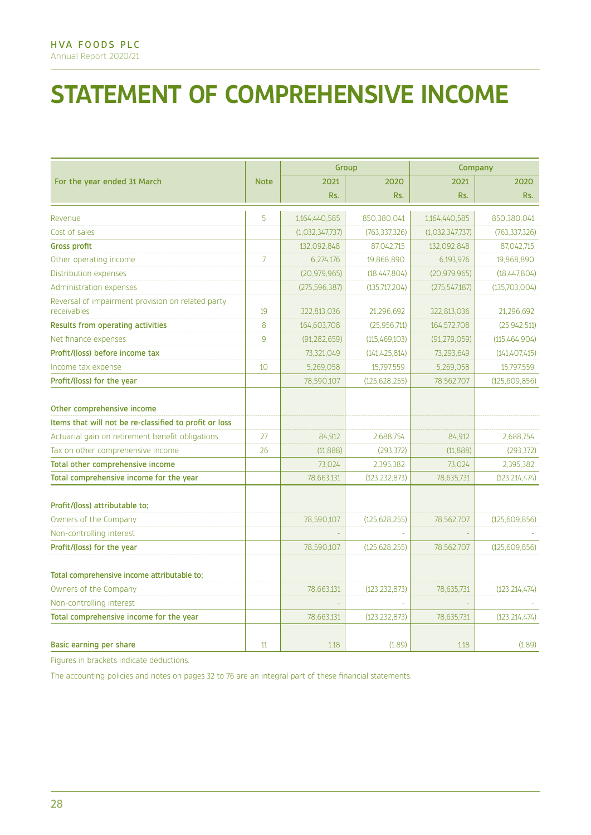# **STATEMENT OF COMPREHENSIVE INCOME**

|                                                                  |                |                 | Group           | Company         |                 |  |
|------------------------------------------------------------------|----------------|-----------------|-----------------|-----------------|-----------------|--|
| For the year ended 31 March                                      |                | 2021            | 2020            | 2021            | 2020            |  |
|                                                                  |                | Rs.             | Rs.             | Rs.             | Rs.             |  |
| Revenue                                                          | 5              | 1,164,440,585   | 850,380,041     | 1,164,440,585   | 850,380,041     |  |
| Cost of sales                                                    |                | (1,032,347,737) | (763, 337, 326) | (1,032,347,737) | (763, 337, 326) |  |
| <b>Gross profit</b>                                              |                | 132,092,848     | 87,042,715      | 132,092,848     | 87,042,715      |  |
| Other operating income                                           | $\overline{7}$ | 6,274,176       | 19.868.890      | 6,193,976       | 19.868.890      |  |
| Distribution expenses                                            |                | (20.979.965)    | (18,447,804)    | (20, 979, 965)  | (18,447,804)    |  |
| <b>Administration expenses</b>                                   |                | (275, 596, 387) | (135,717,204)   | (275, 547, 187) | (135,703,004)   |  |
| Reversal of impairment provision on related party<br>receivables | 19             | 322,813,036     | 21,296,692      | 322,813,036     | 21,296,692      |  |
| Results from operating activities                                | 8              | 164,603,708     | (25,956,711)    | 164,572,708     | (25, 942, 511)  |  |
| Net finance expenses                                             | 9              | (91, 282, 659)  | (115,469,103)   | (91, 279, 059)  | (115,464,904)   |  |
| Profit/(loss) before income tax                                  |                | 73,321,049      | (141, 425, 814) | 73,293,649      | (141, 407, 415) |  |
| Income tax expense                                               | 10             | 5,269,058       | 15,797,559      | 5,269,058       | 15,797,559      |  |
| Profit/(loss) for the year                                       |                | 78,590,107      | (125.628.255)   | 78,562,707      | (125,609,856)   |  |
|                                                                  |                |                 |                 |                 |                 |  |
| Other comprehensive income                                       |                |                 |                 |                 |                 |  |
| Items that will not be re-classified to profit or loss           |                |                 |                 |                 |                 |  |
| Actuarial gain on retirement benefit obligations                 | 27             | 84,912          | 2,688,754       | 84,912          | 2.688.754       |  |
| Tax on other comprehensive income                                | 26             | (11, 888)       | (293, 372)      | (11.888)        | (293, 372)      |  |
| Total other comprehensive income                                 |                | 73,024          | 2,395,382       | 73,024          | 2,395,382       |  |
| Total comprehensive income for the year                          |                | 78,663,131      | (123, 232, 873) | 78,635,731      | (123, 214, 474) |  |
| Profit/(loss) attributable to;                                   |                |                 |                 |                 |                 |  |
| Owners of the Company                                            |                | 78,590,107      | (125, 628, 255) | 78.562.707      | (125,609,856)   |  |
| Non-controlling interest                                         |                |                 |                 |                 |                 |  |
| Profit/(loss) for the year                                       |                | 78,590,107      | (125, 628, 255) | 78,562,707      | (125,609,856)   |  |
| Total comprehensive income attributable to;                      |                |                 |                 |                 |                 |  |
| Owners of the Company                                            |                | 78,663,131      | (123, 232, 873) | 78,635,731      | (123, 214, 474) |  |
| Non-controlling interest                                         |                |                 |                 |                 |                 |  |
| Total comprehensive income for the year                          |                | 78,663,131      | (123, 232, 873) | 78,635,731      | (123, 214, 474) |  |
|                                                                  |                |                 |                 |                 |                 |  |
| Basic earning per share                                          | 11             | 1.18            | (1.89)          | 1.18            | (1.89)          |  |

Figures in brackets indicate deductions.

The accounting policies and notes on pages 32 to 76 are an integral part of these financial statements.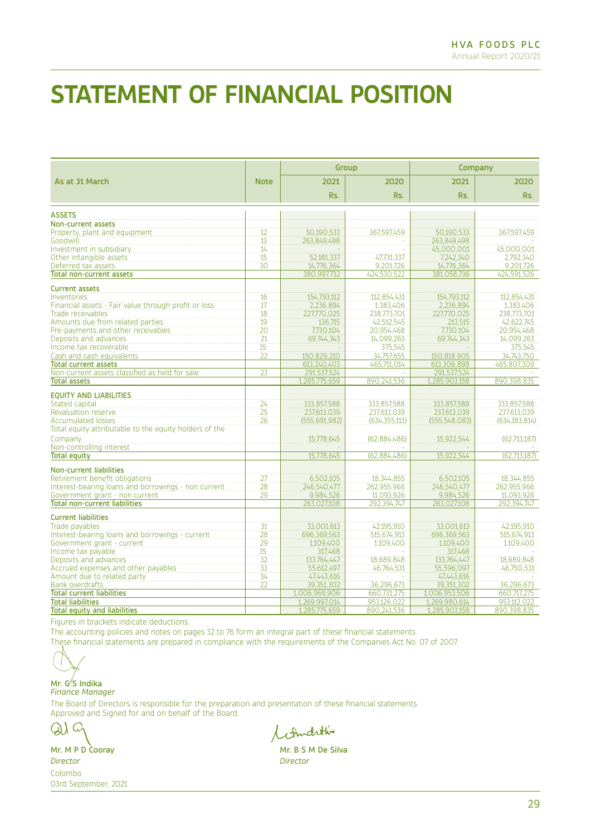## **STATEMENT OF FINANCIAL POSITION**

|                                                        |                 | Group           |                 | Company         |                 |  |
|--------------------------------------------------------|-----------------|-----------------|-----------------|-----------------|-----------------|--|
| As at 31 March                                         | <b>Note</b>     | 2021            | 2020            | 2021            | 2020            |  |
|                                                        |                 | Rs.             | Rs.             | Rs.             | Rs.             |  |
| <b>ASSETS</b>                                          |                 |                 |                 |                 |                 |  |
| <b>Non-current assets</b>                              |                 |                 |                 |                 |                 |  |
| Property, plant and equipment                          | 12              | 50,190,533      | 367,597,459     | 50,190,533      | 367,597,459     |  |
| Goodwill                                               | 13              | 263.849.498     |                 | 263.849.498     |                 |  |
| Investment in subsidiary                               | 14              |                 |                 | 45,000,001      | 45,000,001      |  |
| Other intangible assets                                | 15              | 52,181,337      | 47,731,337      | 7.242,340       | 2,792,340       |  |
| Deferred tax assets                                    | 30              | 14.776.364      | 9.201.726       | 14.776.364      | 9.201.726       |  |
| <b>Total non-current assets</b>                        |                 | 380,997,732     | 424,530,522     | 381,058,736     | 424,591,526     |  |
| <b>Current assets</b>                                  |                 |                 |                 |                 |                 |  |
| Inventories                                            | 16              | 154.793.112     | 112.854.431     | 154.793.112     | 112.854.431     |  |
| Financial assets - Fair value through profit or loss   | 17              | 2,236,894       | 1,383,406       | 2,236,894       | 1,383,406       |  |
| Trade receivables                                      | 18              | 227,770,025     | 238.773.701     | 227,770,025     | 238,773,701     |  |
| Amounts due from related parties                       | 19              | 136.715         | 42,512,545      | 213.515         | 42,622,745      |  |
| Pre-payments and other receivables                     | 20              | 7.730.104       | 20,954,468      | 7.730.104       | 20.954.468      |  |
| Deposits and advances                                  | 21              | 69,744,343      | 14,099,263      | 69,744,343      | 14,099,263      |  |
| Income tax recoverable                                 | 35              |                 | 375,545         |                 | 375,545         |  |
| Cash and cash equivalents                              | $\overline{22}$ | 150,829,210     | 34,757,655      | 150,818,905     | 34,743,750      |  |
| <b>Total current assets</b>                            |                 | 613,240,403     | 465,711,014     | 613,306,898     | 465,807,309     |  |
| Non-current assets classified as held for sale         | 23              | 291.537.524     |                 | 291.537.524     |                 |  |
| <b>Total assets</b>                                    |                 | 1.285.775.659   | 890.241.536     | 1.285.903.158   | 890,398,835     |  |
| <b>EQUITY AND LIABILITIES</b>                          |                 |                 |                 |                 |                 |  |
| Stated capital                                         | 24              | 333.857.588     | 333.857.588     | 333.857.588     | 333.857.588     |  |
| Revaluation reserve                                    | $\overline{25}$ | 237.613.039     | 237,613,039     | 237.613.039     | 237,613,039     |  |
| <b>Accumulated losses</b>                              | 26              | (555, 691, 982) | (634, 355, 113) | (555, 548, 083) | (634, 183, 814) |  |
| Total equity attributable to the equity holders of the |                 |                 |                 |                 |                 |  |
| Company                                                |                 | 15,778,645      | (62,884,486)    | 15,922,544      | (62,713,187)    |  |
| Non-controlling interest                               |                 |                 |                 |                 |                 |  |
| <b>Total equity</b>                                    |                 | 15,778,645      | (62,884,486)    | 15,922,544      | (62,713,187)    |  |
|                                                        |                 |                 |                 |                 |                 |  |
| <b>Non-current liabilities</b>                         |                 |                 |                 |                 |                 |  |
| Retirement benefit obligations                         | 27              | 6.502.105       | 18.344.855      | 6.502.105       | 18.344.855      |  |
| Interest-bearing loans and borrowings - non current    | 28              | 246.540.477     | 262.955.966     | 246.540.477     | 262.955.966     |  |
| Government grant - non current                         | 29              | 9,984,526       | 11,093,926      | 9,984,526       | 11,093,926      |  |
| <b>Total non-current liabilities</b>                   |                 | 263.027.108     | 292.394.747     | 263,027,108     | 292.394.747     |  |
| <b>Current liabilities</b>                             |                 |                 |                 |                 |                 |  |
| Trade payables                                         | 31              | 33,001,613      | 42,195,910      | 33,001,613      | 42,195,910      |  |
| Interest-bearing loans and borrowings - current        | 28              | 696,369,563     | 515.674.913     | 696,369,563     | 515.674.913     |  |
| Government grant - current                             | 29              | 1,109,400       | 1,109,400       | 1,109,400       | 1,109,400       |  |
| Income tax payable                                     | $\overline{35}$ | 317.468         |                 | 317.468         |                 |  |
| Deposits and advances                                  | $\overline{32}$ | 133,764,447     | 18,689,848      | 133,764,447     | 18,689,848      |  |
| Accrued expenses and other payables                    | 33              | 55,612,497      | 46,764,531      | 55,596,097      | 46,750,531      |  |
| Amount due to related party                            | 34              | 47,443,616      |                 | 47,443,616      |                 |  |
| <b>Bank overdrafts</b>                                 | 22              | 39,351,302      | 36,296,673      | 39,351,302      | 36,296,673      |  |
| <b>Total current liabilities</b>                       |                 | 1,006,969,906   | 660.731.275     | 1,006,953,506   | 660.717.275     |  |
| <b>Total liabilities</b>                               |                 | 1,269,997,014   | 953.126.022     | 1,269,980,614   | 953,112,022     |  |
| <b>Total equity and liabilities</b>                    |                 | 1,285,775,659   | 890,241,536     | 1,285,903,158   | 890,398,835     |  |

Figures in brackets indicate deductions.

The accounting policies and notes on pages 32 to 76 form an integral part of these financial statements.

These financial statements are prepared in compliance with the requirements of the Companies Act No. 07 of 2007.

Mr. G<sup>/</sup>S Indika *Finance Manager*

The Board of Directors is responsible for the preparation and presentation of these financial statements. Approved and Signed for and on behalf of the Board.

 $\omega$ C.

*Director Director*  Colombo 03rd September, 2021

Literalities

Mr. M P D Cooray Mr. B S M De Silva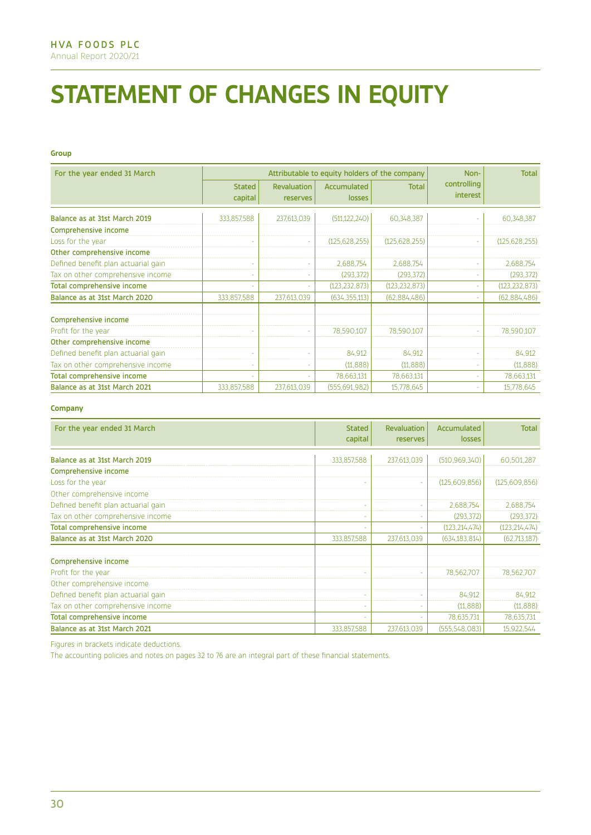# **STATEMENT OF CHANGES IN EQUITY**

#### **Group**

| For the year ended 31 March         | Attributable to equity holders of the company |                         |                       |                 | Non-                    | <b>Total</b>    |
|-------------------------------------|-----------------------------------------------|-------------------------|-----------------------|-----------------|-------------------------|-----------------|
|                                     | <b>Stated</b><br>capital                      | Revaluation<br>reserves | Accumulated<br>losses | <b>Total</b>    | controlling<br>interest |                 |
| Balance as at 31st March 2019       | 333,857,588                                   | 237,613,039             | (511, 122, 240)       | 60,348,387      |                         | 60,348,387      |
| Comprehensive income                |                                               |                         |                       |                 |                         |                 |
| Loss for the year                   |                                               |                         | (125, 628, 255)       | (125, 628, 255) |                         | (125, 628, 255) |
| Other comprehensive income          |                                               |                         |                       |                 |                         |                 |
| Defined benefit plan actuarial gain |                                               | ٠                       | 2,688,754             | 2,688,754       |                         | 2,688,754       |
| Tax on other comprehensive income   |                                               | $\sim$                  | (293, 372)            | (293, 372)      |                         | (293, 372)      |
| <b>Total comprehensive income</b>   |                                               | ÷                       | (123, 232, 873)       | (123, 232, 873) |                         | (123, 232, 873) |
| Balance as at 31st March 2020       | 333,857,588                                   | 237,613,039             | (634, 355, 113)       | (62,884,486)    |                         | (62,884,486)    |
| Comprehensive income                |                                               |                         |                       |                 |                         |                 |
| Profit for the year                 |                                               | ×                       | 78,590,107            | 78,590,107      |                         | 78,590,107      |
| Other comprehensive income          |                                               |                         |                       |                 |                         |                 |
| Defined benefit plan actuarial gain |                                               |                         | 84,912                | 84,912          |                         | 84,912          |
| Tax on other comprehensive income   |                                               |                         | (11, 888)             | (11, 888)       |                         | (11, 888)       |
| <b>Total comprehensive income</b>   |                                               | ٠                       | 78,663,131            | 78,663,131      |                         | 78,663,131      |
| Balance as at 31st March 2021       | 333,857,588                                   | 237.613.039             | (555, 691, 982)       | 15,778,645      |                         | 15,778,645      |

#### **Company**

| For the year ended 31 March         | <b>Stated</b><br>capital | Revaluation<br>reserves | Accumulated<br>losses | <b>Total</b>    |
|-------------------------------------|--------------------------|-------------------------|-----------------------|-----------------|
|                                     |                          |                         |                       |                 |
| Balance as at 31st March 2019       | 333,857,588              | 237,613,039             | (510, 969, 340)       | 60,501,287      |
| Comprehensive income                |                          |                         |                       |                 |
| Loss for the year                   |                          | ٠                       | (125,609,856)         | (125,609,856)   |
| Other comprehensive income          |                          |                         |                       |                 |
| Defined benefit plan actuarial gain | $\sim$                   |                         | 2,688,754             | 2,688,754       |
| Tax on other comprehensive income   | ÷                        | ٠                       | (293, 372)            | (293, 372)      |
| Total comprehensive income          | ٠                        | ٠                       | (123, 214, 474)       | (123, 214, 474) |
| Balance as at 31st March 2020       | 333,857,588              | 237,613,039             | (634, 183, 814)       | (62,713,187)    |
| Comprehensive income                |                          |                         |                       |                 |
| Profit for the year                 |                          | ٠                       | 78,562,707            | 78,562,707      |
| Other comprehensive income          |                          |                         |                       |                 |
| Defined benefit plan actuarial gain | ٠                        | ٠                       | 84,912                | 84,912          |
| Tax on other comprehensive income   | ٠                        |                         | (11, 888)             | (11, 888)       |
| <b>Total comprehensive income</b>   |                          |                         | 78,635,731            | 78,635,731      |
| Balance as at 31st March 2021       | 333,857,588              | 237,613,039             | (555,548,083)         | 15,922,544      |

Figures in brackets indicate deductions.

The accounting policies and notes on pages 32 to 76 are an integral part of these financial statements.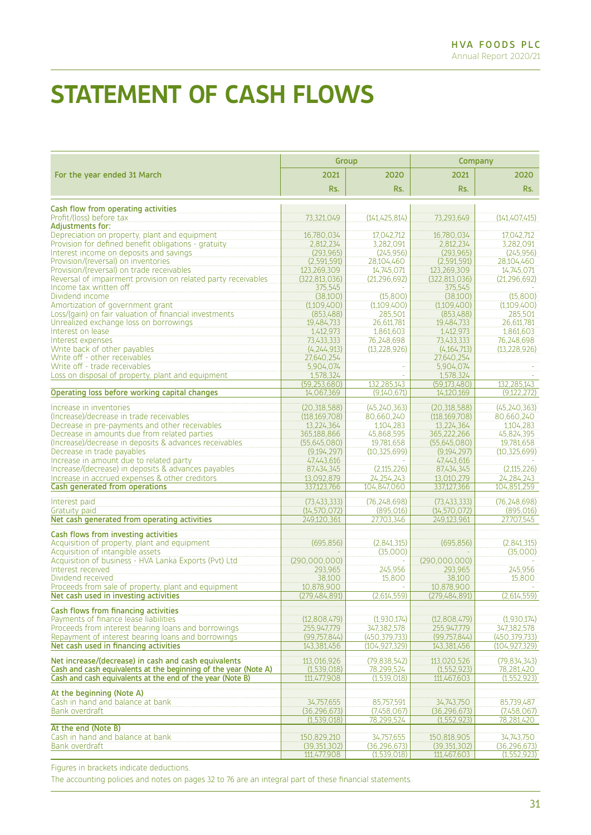## **STATEMENT OF CASH FLOWS**

|                                                                                             | Group                            |                                    | Company                          |                              |  |
|---------------------------------------------------------------------------------------------|----------------------------------|------------------------------------|----------------------------------|------------------------------|--|
| For the year ended 31 March                                                                 | 2021                             | 2020                               | 2021                             | 2020                         |  |
|                                                                                             | Rs.                              | Rs.                                | Rs.                              | Rs.                          |  |
| Cash flow from operating activities                                                         |                                  |                                    |                                  |                              |  |
| Profit/(loss) before tax                                                                    | 73,321,049                       | (141, 425, 814)                    | 73,293,649                       | (141, 407, 415)              |  |
| <b>Adjustments for:</b>                                                                     |                                  |                                    |                                  |                              |  |
| Depreciation on property, plant and equipment                                               | 16,780,034                       | 17,042,712                         | 16,780,034                       | 17,042,712                   |  |
| Provision for defined benefit obligations - gratuity                                        | 2,812,234                        | 3,282,091                          | 2,812,234                        | 3,282,091<br>(245, 956)      |  |
| Interest income on deposits and savings<br>Provision/(reversal) on inventories              | (293,965)<br>(2,591,591)         | (245, 956)<br>28,104,460           | (293, 965)<br>(2,591,591)        | 28.104.460                   |  |
| Provision/(reversal) on trade receivables                                                   | 123,269,309                      | 14,745,071                         | 123,269,309                      | 14,745,071                   |  |
| Reversal of impairment provision on related party receivables                               | (322, 813, 036)                  | (21.296.692)                       | (322, 813, 036)                  | (21.296.692)                 |  |
| Income tax written off                                                                      | 375,545                          |                                    | 375,545                          |                              |  |
| Dividend income                                                                             | (38,100)                         | (15,800)                           | (38,100)                         | (15,800)                     |  |
| Amortization of government grant                                                            | (1,109,400)                      | (1,109,400)                        | (1,109,400)                      | (1,109,400)                  |  |
| Loss/(gain) on fair valuation of financial investments                                      | (853,488)                        | 285,501                            | (853,488)                        | 285,501                      |  |
| Unrealized exchange loss on borrowings                                                      | 19,484,733                       | 26,611,781                         | 19,484,733                       | 26,611,781                   |  |
| Interest on lease                                                                           | 1,412,973                        | 1,861,603                          | 1,412,973                        | 1,861,603                    |  |
| Interest expenses                                                                           | 73,433,333                       | 76,248,698                         | 73,433,333                       | 76,248,698                   |  |
| Write back of other payables                                                                | (4, 244, 913)                    | (13, 228, 926)                     | (4,164,713)                      | (13, 228, 926)               |  |
| Write off - other receivables<br>Write off - trade receivables                              | 27,640,254<br>5.904.074          |                                    | 27,640,254<br>5,904,074          |                              |  |
| Loss on disposal of property, plant and equipment                                           | 1,578,324                        | $\omega$                           | 1,578,324                        |                              |  |
|                                                                                             | (59, 253, 680)                   | 132.285.143                        | (59, 173, 480)                   | 132,285,143                  |  |
| Operating loss before working capital changes                                               | 14,067,369                       | (9,140,671)                        | 14,120,169                       | (9, 122, 272)                |  |
|                                                                                             |                                  |                                    |                                  |                              |  |
| Increase in inventories                                                                     | (20.318.588)                     | (45, 240, 363)                     | (20, 318, 588)                   | (45, 240, 363)               |  |
| (Increase)/decrease in trade receivables                                                    | (118, 169, 708)                  | 80,660,240                         | (118, 169, 708)                  | 80,660,240                   |  |
| Decrease in pre-payments and other receivables                                              | 13,224,364                       | 1,104,283                          | 13,224,364                       | 1,104,283                    |  |
| Decrease in amounts due from related parties                                                | 365,188,866                      | 45,868,595<br>19,781,658           | 365,222,266                      | 45,824,395<br>19,781,658     |  |
| (Increase)/decrease in deposits & advances receivables<br>Decrease in trade payables        | (55.645.080)<br>(9, 194, 297)    | (10, 325, 699)                     | (55,645,080)<br>(9,194,297)      | (10, 325, 699)               |  |
| Increase in amount due to related party                                                     | 47,443,616                       |                                    | 47,443,616                       |                              |  |
| Increase/(decrease) in deposits & advances payables                                         | 87,434,345                       | (2,115,226)                        | 87,434,345                       | (2,115,226)                  |  |
| Increase in accrued expenses & other creditors                                              | 13,092,879                       | 24, 254, 243                       | 13,010,279                       | 24, 284, 243                 |  |
| Cash generated from operations                                                              | 337,123,766                      | 104,847,060                        | 337,127,366                      | 104,851,259                  |  |
|                                                                                             |                                  |                                    |                                  |                              |  |
| Interest paid                                                                               | (73, 433, 333)<br>(14, 570, 072) | (76, 248, 698)<br>(895,016)        | (73, 433, 333)<br>(14, 570, 072) | (76, 248, 698)<br>(895,016)  |  |
| Gratuity paid<br>Net cash generated from operating activities                               | 249,120,361                      | 27,703,346                         | 249,123,961                      | 27,707,545                   |  |
|                                                                                             |                                  |                                    |                                  |                              |  |
| Cash flows from investing activities                                                        |                                  |                                    |                                  |                              |  |
| Acquisition of property, plant and equipment                                                | (695.856)                        | (2,841,315)                        | (695, 856)                       | (2,841,315)                  |  |
| Acquisition of intangible assets                                                            |                                  | (35,000)                           |                                  | (35,000)                     |  |
| Acquisition of business - HVA Lanka Exports (Pvt) Ltd                                       | (290,000,000)                    | 245,956                            | (290,000,000)                    |                              |  |
| Interest received<br>Dividend received                                                      | 293,965<br>38,100                | 15,800                             | 293,965<br>38,100                | 245,956<br>15,800            |  |
| Proceeds from sale of property, plant and equipment                                         | 10,878,900                       | $\sim$                             | 10,878,900                       |                              |  |
| Net cash used in investing activities                                                       | (279,484,891)                    | (2,614,559)                        | (279,484,891)                    | (2,614,559)                  |  |
|                                                                                             |                                  |                                    |                                  |                              |  |
| Cash flows from financing activities                                                        |                                  |                                    |                                  |                              |  |
| Payments of finance lease liabilities                                                       | (12,808,479)                     | (1,930,174)                        | (12,808,479)                     | (1,930,174)                  |  |
| Proceeds from interest bearing loans and borrowings                                         | 255,947,779                      | 347,382,578                        | 255,947,779                      | 347,382,578<br>(450.379.733) |  |
| Repayment of interest bearing loans and borrowings<br>Net cash used in financing activities | (99, 757, 844)<br>143,381,456    | (450, 379, 733)<br>(104, 927, 329) | (99, 757, 844)<br>143,381,456    | (104, 927, 329)              |  |
|                                                                                             |                                  |                                    |                                  |                              |  |
| Net increase/(decrease) in cash and cash equivalents                                        | 113,016,926                      | (79.838.542)                       | 113,020,526                      | (79, 834, 343)               |  |
| Cash and cash equivalents at the beginning of the year (Note A)                             | (1,539,018)                      | 78,299,524                         | (1,552,923)                      | 78,281,420                   |  |
| Cash and cash equivalents at the end of the year (Note B)                                   | 111,477,908                      | (1,539,018)                        | 111,467,603                      | (1,552,923)                  |  |
| At the beginning (Note A)                                                                   |                                  |                                    |                                  |                              |  |
| Cash in hand and balance at bank                                                            | 34,757,655                       | 85,757,591                         | 34,743,750                       | 85,739,487                   |  |
| Bank overdraft                                                                              | (36, 296, 673)                   | (7,458,067)                        | (36, 296, 673)                   | (7,458,067)                  |  |
|                                                                                             | (1,539,018)                      | 78,299,524                         | (1, 552, 923)                    | 78,281,420                   |  |
| At the end (Note B)                                                                         |                                  |                                    |                                  |                              |  |
| Cash in hand and balance at bank                                                            | 150,829,210                      | 34,757,655                         | 150,818,905                      | 34,743,750                   |  |
| Bank overdraft                                                                              | (39, 351, 302)                   | (36, 296, 673)                     | (39,351,302)                     | (36, 296, 673)               |  |
|                                                                                             | 111,477,908                      | (1,539,018)                        | 111,467,603                      | (1,552,923)                  |  |

Figures in brackets indicate deductions.

The accounting policies and notes on pages 32 to 76 are an integral part of these financial statements.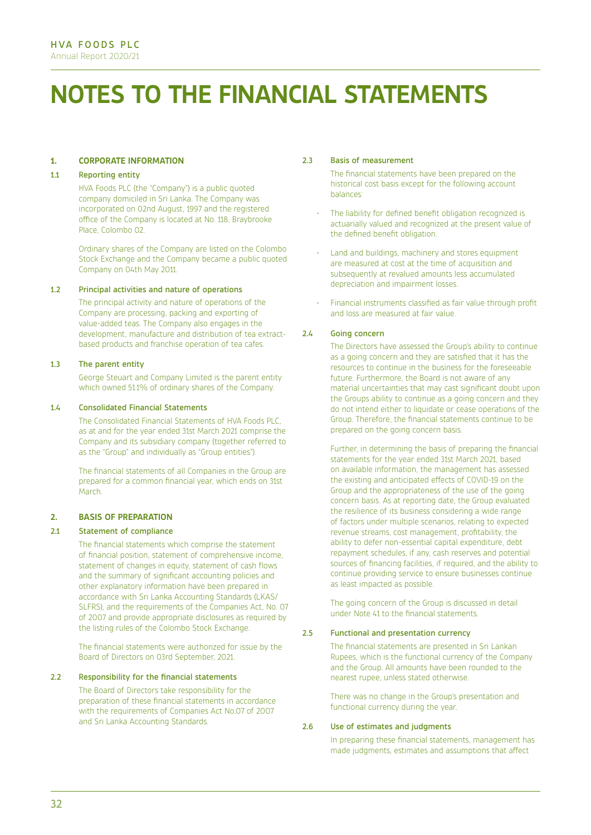# **NOTES TO THE FINANCIAL STATEMENTS**

#### **1. CORPORATE INFORMATION**

#### 1.1 Reporting entity

HVA Foods PLC (the "Company") is a public quoted company domiciled in Sri Lanka. The Company was incorporated on 02nd August, 1997 and the registered office of the Company is located at No. 118, Braybrooke Place, Colombo 02.

Ordinary shares of the Company are listed on the Colombo Stock Exchange and the Company became a public quoted Company on 04th May 2011.

#### 1.2 Principal activities and nature of operations

The principal activity and nature of operations of the Company are processing, packing and exporting of value-added teas. The Company also engages in the development, manufacture and distribution of tea extractbased products and franchise operation of tea cafes.

#### 1.3 The parent entity

George Steuart and Company Limited is the parent entity which owned 51.1% of ordinary shares of the Company

#### 1.4 Consolidated Financial Statements

The Consolidated Financial Statements of HVA Foods PLC, as at and for the year ended 31st March 2021 comprise the Company and its subsidiary company (together referred to as the "Group" and individually as "Group entities").

The financial statements of all Companies in the Group are prepared for a common financial year, which ends on 31st March.

#### **2. BASIS OF PREPARATION**

#### 2.1 Statement of compliance

The financial statements which comprise the statement of financial position, statement of comprehensive income, statement of changes in equity, statement of cash flows and the summary of significant accounting policies and other explanatory information have been prepared in accordance with Sri Lanka Accounting Standards (LKAS/ SLFRS), and the requirements of the Companies Act, No. 07 of 2007 and provide appropriate disclosures as required by the listing rules of the Colombo Stock Exchange.

The financial statements were authorized for issue by the Board of Directors on 03rd September, 2021.

#### 2.2 Responsibility for the financial statements

The Board of Directors take responsibility for the preparation of these financial statements in accordance with the requirements of Companies Act No.07 of 2007 and Sri Lanka Accounting Standards.

#### 2.3 Basis of measurement

The financial statements have been prepared on the historical cost basis except for the following account balances:

- The liability for defined benefit obligation recognized is actuarially valued and recognized at the present value of the defined benefit obligation.
- Land and buildings, machinery and stores equipment are measured at cost at the time of acquisition and subsequently at revalued amounts less accumulated depreciation and impairment losses.
- Financial instruments classified as fair value through profit and loss are measured at fair value.

#### 2.4 Going concern

The Directors have assessed the Group's ability to continue as a going concern and they are satisfied that it has the resources to continue in the business for the foreseeable future. Furthermore, the Board is not aware of any material uncertainties that may cast significant doubt upon the Groups ability to continue as a going concern and they do not intend either to liquidate or cease operations of the Group. Therefore, the financial statements continue to be prepared on the going concern basis.

Further, in determining the basis of preparing the financial statements for the year ended 31st March 2021, based on available information, the management has assessed the existing and anticipated effects of COVID-19 on the Group and the appropriateness of the use of the going concern basis. As at reporting date, the Group evaluated the resilience of its business considering a wide range of factors under multiple scenarios, relating to expected revenue streams, cost management, profitability, the ability to defer non-essential capital expenditure, debt repayment schedules, if any, cash reserves and potential sources of financing facilities, if required, and the ability to continue providing service to ensure businesses continue as least impacted as possible.

The going concern of the Group is discussed in detail under Note 41 to the financial statements.

#### 2.5 Functional and presentation currency

The financial statements are presented in Sri Lankan Rupees, which is the functional currency of the Company and the Group. All amounts have been rounded to the nearest rupee, unless stated otherwise.

There was no change in the Group's presentation and functional currency during the year.

#### 2.6 Use of estimates and judgments

In preparing these financial statements, management has made judgments, estimates and assumptions that affect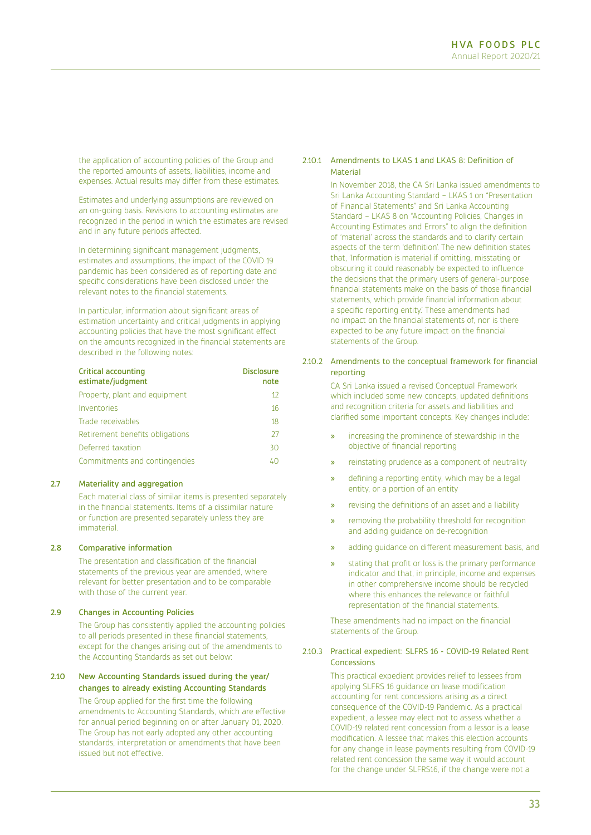the application of accounting policies of the Group and the reported amounts of assets, liabilities, income and expenses. Actual results may differ from these estimates.

Estimates and underlying assumptions are reviewed on an on-going basis. Revisions to accounting estimates are recognized in the period in which the estimates are revised and in any future periods affected.

In determining significant management judgments, estimates and assumptions, the impact of the COVID 19 pandemic has been considered as of reporting date and specific considerations have been disclosed under the relevant notes to the financial statements.

In particular, information about significant areas of estimation uncertainty and critical judgments in applying accounting policies that have the most significant effect on the amounts recognized in the financial statements are described in the following notes:

| <b>Critical accounting</b><br>estimate/judgment | <b>Disclosure</b><br>note |
|-------------------------------------------------|---------------------------|
| Property, plant and equipment                   | 12                        |
| Inventories                                     | 16                        |
| Trade receivables                               | 18                        |
| Retirement benefits obligations                 | 27                        |
| Deferred taxation                               | 30                        |
| Commitments and contingencies                   |                           |

#### 2.7 Materiality and aggregation

Each material class of similar items is presented separately in the financial statements. Items of a dissimilar nature or function are presented separately unless they are immaterial.

#### 2.8 Comparative information

The presentation and classification of the financial statements of the previous year are amended, where relevant for better presentation and to be comparable with those of the current year.

#### 2.9 Changes in Accounting Policies

The Group has consistently applied the accounting policies to all periods presented in these financial statements, except for the changes arising out of the amendments to the Accounting Standards as set out below:

#### 2.10 New Accounting Standards issued during the year/ changes to already existing Accounting Standards

The Group applied for the first time the following amendments to Accounting Standards, which are effective for annual period beginning on or after January 01, 2020. The Group has not early adopted any other accounting standards, interpretation or amendments that have been issued but not effective.

#### 2.10.1 Amendments to LKAS 1 and LKAS 8: Definition of **Material**

In November 2018, the CA Sri Lanka issued amendments to Sri Lanka Accounting Standard – LKAS 1 on "Presentation of Financial Statements" and Sri Lanka Accounting Standard – LKAS 8 on "Accounting Policies, Changes in Accounting Estimates and Errors" to align the definition of 'material' across the standards and to clarify certain aspects of the term 'definition'. The new definition states that, 'Information is material if omitting, misstating or obscuring it could reasonably be expected to influence the decisions that the primary users of general-purpose financial statements make on the basis of those financial statements, which provide financial information about a specific reporting entity.' These amendments had no impact on the financial statements of, nor is there expected to be any future impact on the financial statements of the Group.

#### 2.10.2 Amendments to the conceptual framework for financial reporting

CA Sri Lanka issued a revised Conceptual Framework which included some new concepts, updated definitions and recognition criteria for assets and liabilities and clarified some important concepts. Key changes include:

- increasing the prominence of stewardship in the objective of financial reporting
- » reinstating prudence as a component of neutrality
- » defining a reporting entity, which may be a legal entity, or a portion of an entity
- » revising the definitions of an asset and a liability
- » removing the probability threshold for recognition and adding guidance on de-recognition
- » adding guidance on different measurement basis, and
- » stating that profit or loss is the primary performance indicator and that, in principle, income and expenses in other comprehensive income should be recycled where this enhances the relevance or faithful representation of the financial statements.

These amendments had no impact on the financial statements of the Group.

#### 2.10.3 Practical expedient: SLFRS 16 - COVID-19 Related Rent Concessions

This practical expedient provides relief to lessees from applying SLFRS 16 guidance on lease modification accounting for rent concessions arising as a direct consequence of the COVID-19 Pandemic. As a practical expedient, a lessee may elect not to assess whether a COVID-19 related rent concession from a lessor is a lease modification. A lessee that makes this election accounts for any change in lease payments resulting from COVID-19 related rent concession the same way it would account for the change under SLFRS16, if the change were not a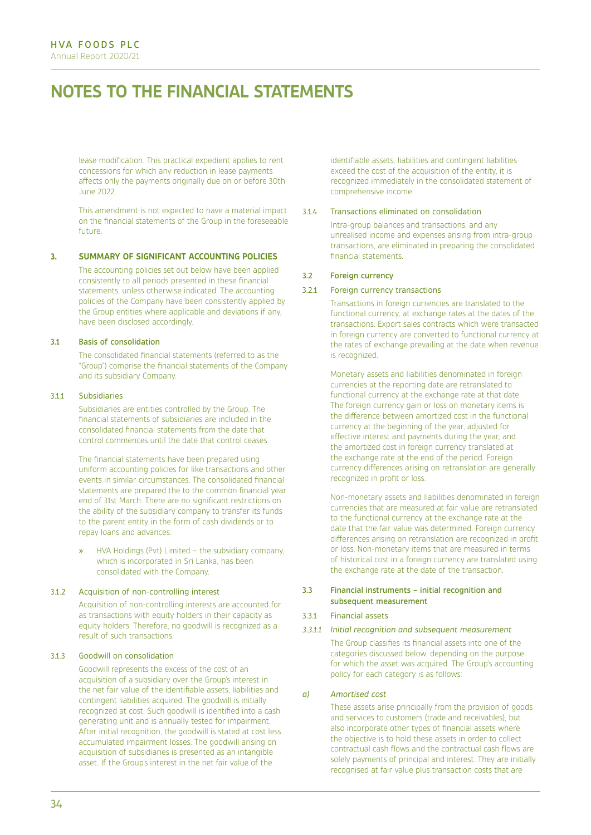## **NOTES TO THE FINANCIAL STATEMENTS**

lease modification. This practical expedient applies to rent concessions for which any reduction in lease payments affects only the payments originally due on or before 30th June 2022.

This amendment is not expected to have a material impact on the financial statements of the Group in the foreseeable future.

#### **3. SUMMARY OF SIGNIFICANT ACCOUNTING POLICIES**

The accounting policies set out below have been applied consistently to all periods presented in these financial statements, unless otherwise indicated. The accounting policies of the Company have been consistently applied by the Group entities where applicable and deviations if any, have been disclosed accordingly.

#### 3.1 Basis of consolidation

The consolidated financial statements (referred to as the "Group") comprise the financial statements of the Company and its subsidiary Company.

#### 3.1.1 Subsidiaries

Subsidiaries are entities controlled by the Group. The financial statements of subsidiaries are included in the consolidated financial statements from the date that control commences until the date that control ceases.

The financial statements have been prepared using uniform accounting policies for like transactions and other events in similar circumstances. The consolidated financial statements are prepared the to the common financial year end of 31st March. There are no significant restrictions on the ability of the subsidiary company to transfer its funds to the parent entity in the form of cash dividends or to repay loans and advances.

» HVA Holdings (Pvt) Limited – the subsidiary company, which is incorporated in Sri Lanka, has been consolidated with the Company.

#### 3.1.2 Acquisition of non-controlling interest

Acquisition of non-controlling interests are accounted for as transactions with equity holders in their capacity as equity holders. Therefore, no goodwill is recognized as a result of such transactions.

#### 3.1.3 Goodwill on consolidation

Goodwill represents the excess of the cost of an acquisition of a subsidiary over the Group's interest in the net fair value of the identifiable assets, liabilities and contingent liabilities acquired. The goodwill is initially recognized at cost. Such goodwill is identified into a cash generating unit and is annually tested for impairment. After initial recognition, the goodwill is stated at cost less accumulated impairment losses. The goodwill arising on acquisition of subsidiaries is presented as an intangible asset. If the Group's interest in the net fair value of the

identifiable assets, liabilities and contingent liabilities exceed the cost of the acquisition of the entity, it is recognized immediately in the consolidated statement of comprehensive income.

#### 3.1.4 Transactions eliminated on consolidation

Intra-group balances and transactions, and any unrealised income and expenses arising from intra-group transactions, are eliminated in preparing the consolidated financial statements.

#### 3.2 Foreign currency

#### 3.2.1 Foreign currency transactions

Transactions in foreign currencies are translated to the functional currency, at exchange rates at the dates of the transactions. Export sales contracts which were transacted in foreign currency are converted to functional currency at the rates of exchange prevailing at the date when revenue is recognized.

Monetary assets and liabilities denominated in foreign currencies at the reporting date are retranslated to functional currency at the exchange rate at that date. The foreign currency gain or loss on monetary items is the difference between amortized cost in the functional currency at the beginning of the year, adjusted for effective interest and payments during the year, and the amortized cost in foreign currency translated at the exchange rate at the end of the period. Foreign currency differences arising on retranslation are generally recognized in profit or loss.

Non-monetary assets and liabilities denominated in foreign currencies that are measured at fair value are retranslated to the functional currency at the exchange rate at the date that the fair value was determined. Foreign currency differences arising on retranslation are recognized in profit or loss. Non-monetary items that are measured in terms of historical cost in a foreign currency are translated using the exchange rate at the date of the transaction.

#### 3.3 Financial instruments – initial recognition and subsequent measurement

#### 3.3.1 Financial assets

#### *3.3.1.1 Initial recognition and subsequent measurement*

The Group classifies its financial assets into one of the categories discussed below, depending on the purpose for which the asset was acquired. The Group's accounting policy for each category is as follows:

#### *a) Amortised cost*

These assets arise principally from the provision of goods and services to customers (trade and receivables), but also incorporate other types of financial assets where the objective is to hold these assets in order to collect contractual cash flows and the contractual cash flows are solely payments of principal and interest. They are initially recognised at fair value plus transaction costs that are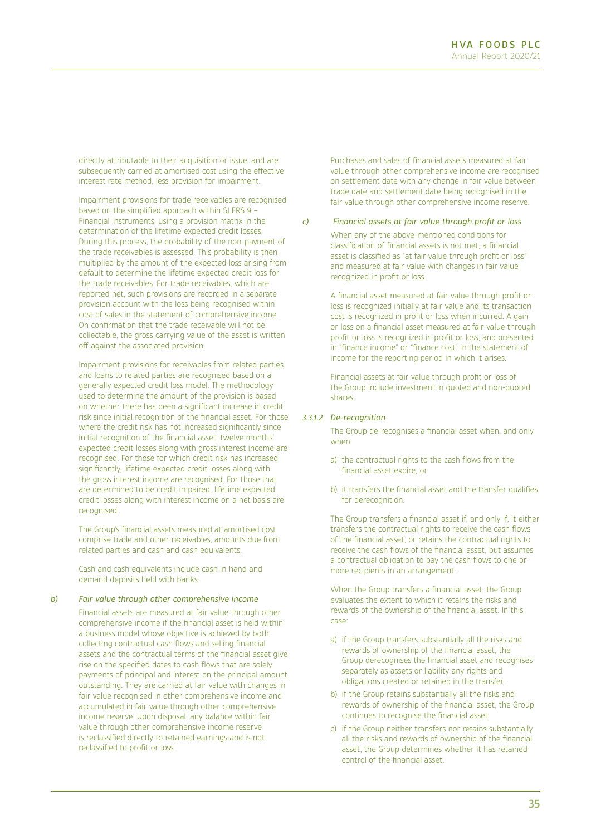directly attributable to their acquisition or issue, and are subsequently carried at amortised cost using the effective interest rate method, less provision for impairment.

Impairment provisions for trade receivables are recognised based on the simplified approach within SLFRS 9 – Financial Instruments, using a provision matrix in the determination of the lifetime expected credit losses. During this process, the probability of the non-payment of the trade receivables is assessed. This probability is then multiplied by the amount of the expected loss arising from default to determine the lifetime expected credit loss for the trade receivables. For trade receivables, which are reported net, such provisions are recorded in a separate provision account with the loss being recognised within cost of sales in the statement of comprehensive income. On confirmation that the trade receivable will not be collectable, the gross carrying value of the asset is written off against the associated provision.

Impairment provisions for receivables from related parties and loans to related parties are recognised based on a generally expected credit loss model. The methodology used to determine the amount of the provision is based on whether there has been a significant increase in credit risk since initial recognition of the financial asset. For those where the credit risk has not increased significantly since initial recognition of the financial asset, twelve months' expected credit losses along with gross interest income are recognised. For those for which credit risk has increased significantly, lifetime expected credit losses along with the gross interest income are recognised. For those that are determined to be credit impaired, lifetime expected credit losses along with interest income on a net basis are recognised.

The Group's financial assets measured at amortised cost comprise trade and other receivables, amounts due from related parties and cash and cash equivalents.

Cash and cash equivalents include cash in hand and demand deposits held with banks.

### *b) Fair value through other comprehensive income*

Financial assets are measured at fair value through other comprehensive income if the financial asset is held within a business model whose objective is achieved by both collecting contractual cash flows and selling financial assets and the contractual terms of the financial asset give rise on the specified dates to cash flows that are solely payments of principal and interest on the principal amount outstanding. They are carried at fair value with changes in fair value recognised in other comprehensive income and accumulated in fair value through other comprehensive income reserve. Upon disposal, any balance within fair value through other comprehensive income reserve is reclassified directly to retained earnings and is not reclassified to profit or loss.

Purchases and sales of financial assets measured at fair value through other comprehensive income are recognised on settlement date with any change in fair value between trade date and settlement date being recognised in the fair value through other comprehensive income reserve.

### *c) Financial assets at fair value through profit or loss*

When any of the above-mentioned conditions for classification of financial assets is not met, a financial asset is classified as "at fair value through profit or loss" and measured at fair value with changes in fair value recognized in profit or loss.

A financial asset measured at fair value through profit or loss is recognized initially at fair value and its transaction cost is recognized in profit or loss when incurred. A gain or loss on a financial asset measured at fair value through profit or loss is recognized in profit or loss, and presented in "finance income" or "finance cost" in the statement of income for the reporting period in which it arises.

Financial assets at fair value through profit or loss of the Group include investment in quoted and non-quoted shares.

## *3.3.1.2 De-recognition*

The Group de-recognises a financial asset when, and only when:

- a) the contractual rights to the cash flows from the financial asset expire, or
- b) it transfers the financial asset and the transfer qualifies for derecognition.

The Group transfers a financial asset if, and only if, it either transfers the contractual rights to receive the cash flows of the financial asset, or retains the contractual rights to receive the cash flows of the financial asset, but assumes a contractual obligation to pay the cash flows to one or more recipients in an arrangement.

When the Group transfers a financial asset, the Group evaluates the extent to which it retains the risks and rewards of the ownership of the financial asset. In this case:

- a) if the Group transfers substantially all the risks and rewards of ownership of the financial asset, the Group derecognises the financial asset and recognises separately as assets or liability any rights and obligations created or retained in the transfer.
- b) if the Group retains substantially all the risks and rewards of ownership of the financial asset, the Group continues to recognise the financial asset.
- c) if the Group neither transfers nor retains substantially all the risks and rewards of ownership of the financial asset, the Group determines whether it has retained control of the financial asset.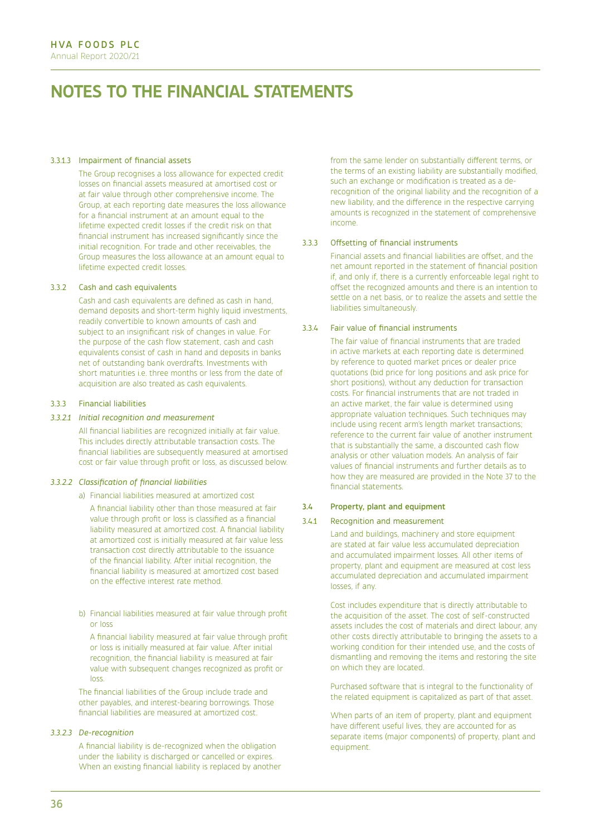### 3.3.1.3 Impairment of financial assets

The Group recognises a loss allowance for expected credit losses on financial assets measured at amortised cost or at fair value through other comprehensive income. The Group, at each reporting date measures the loss allowance for a financial instrument at an amount equal to the lifetime expected credit losses if the credit risk on that financial instrument has increased significantly since the initial recognition. For trade and other receivables, the Group measures the loss allowance at an amount equal to lifetime expected credit losses.

## 3.3.2 Cash and cash equivalents

Cash and cash equivalents are defined as cash in hand, demand deposits and short-term highly liquid investments, readily convertible to known amounts of cash and subject to an insignificant risk of changes in value. For the purpose of the cash flow statement, cash and cash equivalents consist of cash in hand and deposits in banks net of outstanding bank overdrafts. Investments with short maturities i.e. three months or less from the date of acquisition are also treated as cash equivalents.

### 3.3.3 Financial liabilities

### *3.3.2.1 Initial recognition and measurement*

All financial liabilities are recognized initially at fair value. This includes directly attributable transaction costs. The financial liabilities are subsequently measured at amortised cost or fair value through profit or loss, as discussed below.

### *3.3.2.2 Classification of financial liabilities*

a) Financial liabilities measured at amortized cost

A financial liability other than those measured at fair value through profit or loss is classified as a financial liability measured at amortized cost. A financial liability at amortized cost is initially measured at fair value less transaction cost directly attributable to the issuance of the financial liability. After initial recognition, the financial liability is measured at amortized cost based on the effective interest rate method.

b) Financial liabilities measured at fair value through profit or loss

A financial liability measured at fair value through profit or loss is initially measured at fair value. After initial recognition, the financial liability is measured at fair value with subsequent changes recognized as profit or loss.

The financial liabilities of the Group include trade and other payables, and interest-bearing borrowings. Those financial liabilities are measured at amortized cost.

## *3.3.2.3 De-recognition*

A financial liability is de-recognized when the obligation under the liability is discharged or cancelled or expires. When an existing financial liability is replaced by another

from the same lender on substantially different terms, or the terms of an existing liability are substantially modified, such an exchange or modification is treated as a derecognition of the original liability and the recognition of a new liability, and the difference in the respective carrying amounts is recognized in the statement of comprehensive income.

#### 3.3.3 Offsetting of financial instruments

Financial assets and financial liabilities are offset, and the net amount reported in the statement of financial position if, and only if, there is a currently enforceable legal right to offset the recognized amounts and there is an intention to settle on a net basis, or to realize the assets and settle the liabilities simultaneously.

#### 3.3.4 Fair value of financial instruments

The fair value of financial instruments that are traded in active markets at each reporting date is determined by reference to quoted market prices or dealer price quotations (bid price for long positions and ask price for short positions), without any deduction for transaction costs. For financial instruments that are not traded in an active market, the fair value is determined using appropriate valuation techniques. Such techniques may include using recent arm's length market transactions; reference to the current fair value of another instrument that is substantially the same, a discounted cash flow analysis or other valuation models. An analysis of fair values of financial instruments and further details as to how they are measured are provided in the Note 37 to the financial statements.

### 3.4 Property, plant and equipment

## 3.4.1 Recognition and measurement

Land and buildings, machinery and store equipment are stated at fair value less accumulated depreciation and accumulated impairment losses. All other items of property, plant and equipment are measured at cost less accumulated depreciation and accumulated impairment losses, if any.

Cost includes expenditure that is directly attributable to the acquisition of the asset. The cost of self-constructed assets includes the cost of materials and direct labour, any other costs directly attributable to bringing the assets to a working condition for their intended use, and the costs of dismantling and removing the items and restoring the site on which they are located.

Purchased software that is integral to the functionality of the related equipment is capitalized as part of that asset.

When parts of an item of property, plant and equipment have different useful lives, they are accounted for as separate items (major components) of property, plant and equipment.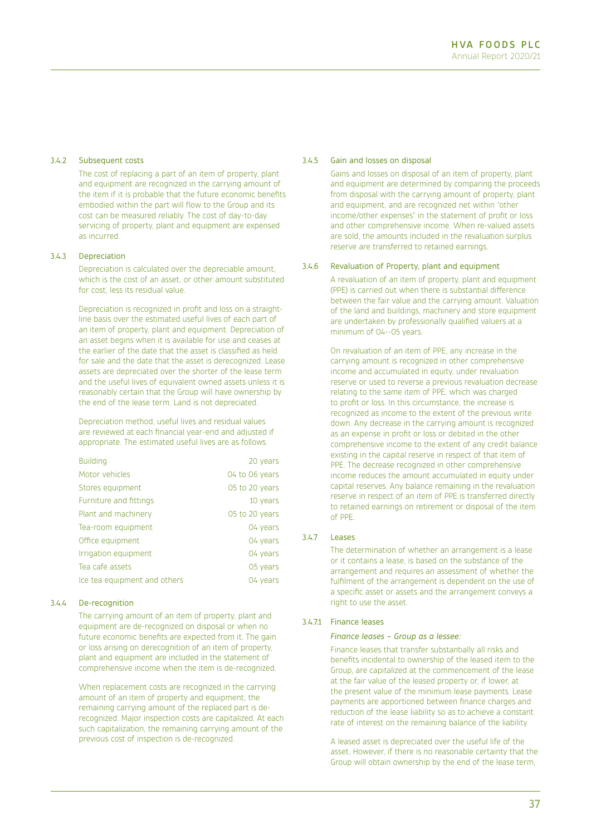## 3.4.2 Subsequent costs

The cost of replacing a part of an item of property, plant and equipment are recognized in the carrying amount of the item if it is probable that the future economic benefits embodied within the part will flow to the Group and its cost can be measured reliably. The cost of day-to-day servicing of property, plant and equipment are expensed as incurred.

### 3.4.3 Depreciation

Depreciation is calculated over the depreciable amount, which is the cost of an asset, or other amount substituted for cost, less its residual value.

Depreciation is recognized in profit and loss on a straightline basis over the estimated useful lives of each part of an item of property, plant and equipment. Depreciation of an asset begins when it is available for use and ceases at the earlier of the date that the asset is classified as held for sale and the date that the asset is derecognized. Lease assets are depreciated over the shorter of the lease term and the useful lives of equivalent owned assets unless it is reasonably certain that the Group will have ownership by the end of the lease term. Land is not depreciated.

Depreciation method, useful lives and residual values are reviewed at each financial year-end and adjusted if appropriate. The estimated useful lives are as follows.

| <b>Building</b>              | 20 years       |
|------------------------------|----------------|
| Motor vehicles               | 04 to 06 years |
| Stores equipment             | 05 to 20 years |
| Furniture and fittings       | 10 years       |
| Plant and machinery          | 05 to 20 years |
| Tea-room equipment           | 04 years       |
| Office equipment             | 04 years       |
| Irrigation equipment         | 04 years       |
| Tea cafe assets              | 05 years       |
| Ice tea equipment and others | 04 years       |

### 3.4.4 De-recognition

The carrying amount of an item of property, plant and equipment are de-recognized on disposal or when no future economic benefits are expected from it. The gain or loss arising on derecognition of an item of property, plant and equipment are included in the statement of comprehensive income when the item is de-recognized.

When replacement costs are recognized in the carrying amount of an item of property and equipment, the remaining carrying amount of the replaced part is derecognized. Major inspection costs are capitalized. At each such capitalization, the remaining carrying amount of the previous cost of inspection is de-recognized.

#### 3.4.5 Gain and losses on disposal

Gains and losses on disposal of an item of property, plant and equipment are determined by comparing the proceeds from disposal with the carrying amount of property, plant and equipment, and are recognized net within "other income/other expenses" in the statement of profit or loss and other comprehensive income. When re-valued assets are sold, the amounts included in the revaluation surplus reserve are transferred to retained earnings.

### 3.4.6 Revaluation of Property, plant and equipment

A revaluation of an item of property, plant and equipment (PPE) is carried out when there is substantial difference between the fair value and the carrying amount. Valuation of the land and buildings, machinery and store equipment are undertaken by professionally qualified valuers at a minimum of 04--05 years.

On revaluation of an item of PPE, any increase in the carrying amount is recognized in other comprehensive income and accumulated in equity, under revaluation reserve or used to reverse a previous revaluation decrease relating to the same item of PPE, which was charged to profit or loss. In this circumstance, the increase is recognized as income to the extent of the previous write down. Any decrease in the carrying amount is recognized as an expense in profit or loss or debited in the other comprehensive income to the extent of any credit balance existing in the capital reserve in respect of that item of PPE. The decrease recognized in other comprehensive income reduces the amount accumulated in equity under capital reserves. Any balance remaining in the revaluation reserve in respect of an item of PPE is transferred directly to retained earnings on retirement or disposal of the item of PPE.

## 3.4.7 Leases

The determination of whether an arrangement is a lease or it contains a lease, is based on the substance of the arrangement and requires an assessment of whether the fulfilment of the arrangement is dependent on the use of a specific asset or assets and the arrangement conveys a right to use the asset.

## 3.4.7.1 Finance leases

### *Finance leases – Group as a lessee:*

Finance leases that transfer substantially all risks and benefits incidental to ownership of the leased item to the Group, are capitalized at the commencement of the lease at the fair value of the leased property or, if lower, at the present value of the minimum lease payments. Lease payments are apportioned between finance charges and reduction of the lease liability so as to achieve a constant rate of interest on the remaining balance of the liability.

A leased asset is depreciated over the useful life of the asset. However, if there is no reasonable certainty that the Group will obtain ownership by the end of the lease term,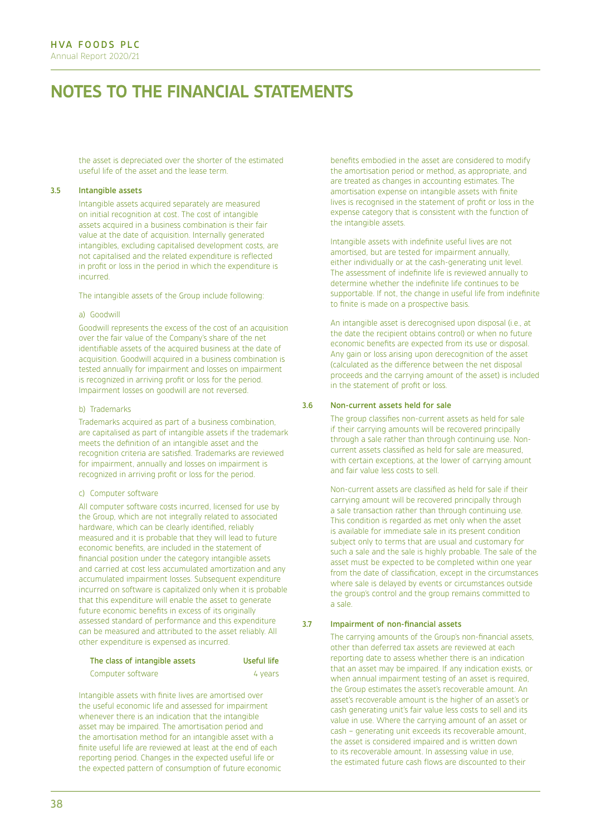the asset is depreciated over the shorter of the estimated useful life of the asset and the lease term.

## 3.5 Intangible assets

Intangible assets acquired separately are measured on initial recognition at cost. The cost of intangible assets acquired in a business combination is their fair value at the date of acquisition. Internally generated intangibles, excluding capitalised development costs, are not capitalised and the related expenditure is reflected in profit or loss in the period in which the expenditure is incurred.

The intangible assets of the Group include following:

#### a) Goodwill

Goodwill represents the excess of the cost of an acquisition over the fair value of the Company's share of the net identifiable assets of the acquired business at the date of acquisition. Goodwill acquired in a business combination is tested annually for impairment and losses on impairment is recognized in arriving profit or loss for the period. Impairment losses on goodwill are not reversed.

### b) Trademarks

Trademarks acquired as part of a business combination, are capitalised as part of intangible assets if the trademark meets the definition of an intangible asset and the recognition criteria are satisfied. Trademarks are reviewed for impairment, annually and losses on impairment is recognized in arriving profit or loss for the period.

#### c) Computer software

All computer software costs incurred, licensed for use by the Group, which are not integrally related to associated hardware, which can be clearly identified, reliably measured and it is probable that they will lead to future economic benefits, are included in the statement of financial position under the category intangible assets and carried at cost less accumulated amortization and any accumulated impairment losses. Subsequent expenditure incurred on software is capitalized only when it is probable that this expenditure will enable the asset to generate future economic benefits in excess of its originally assessed standard of performance and this expenditure can be measured and attributed to the asset reliably. All other expenditure is expensed as incurred.

## The class of intangible assets Useful life

Computer software 4 years

Intangible assets with finite lives are amortised over the useful economic life and assessed for impairment whenever there is an indication that the intangible asset may be impaired. The amortisation period and the amortisation method for an intangible asset with a finite useful life are reviewed at least at the end of each reporting period. Changes in the expected useful life or the expected pattern of consumption of future economic

benefits embodied in the asset are considered to modify the amortisation period or method, as appropriate, and are treated as changes in accounting estimates. The amortisation expense on intangible assets with finite lives is recognised in the statement of profit or loss in the expense category that is consistent with the function of the intangible assets.

Intangible assets with indefinite useful lives are not amortised, but are tested for impairment annually, either individually or at the cash-generating unit level. The assessment of indefinite life is reviewed annually to determine whether the indefinite life continues to be supportable. If not, the change in useful life from indefinite to finite is made on a prospective basis.

An intangible asset is derecognised upon disposal (i.e., at the date the recipient obtains control) or when no future economic benefits are expected from its use or disposal. Any gain or loss arising upon derecognition of the asset (calculated as the difference between the net disposal proceeds and the carrying amount of the asset) is included in the statement of profit or loss.

#### 3.6 Non-current assets held for sale

The group classifies non-current assets as held for sale if their carrying amounts will be recovered principally through a sale rather than through continuing use. Noncurrent assets classified as held for sale are measured, with certain exceptions, at the lower of carrying amount and fair value less costs to sell.

Non-current assets are classified as held for sale if their carrying amount will be recovered principally through a sale transaction rather than through continuing use. This condition is regarded as met only when the asset is available for immediate sale in its present condition subject only to terms that are usual and customary for such a sale and the sale is highly probable. The sale of the asset must be expected to be completed within one year from the date of classification, except in the circumstances where sale is delayed by events or circumstances outside the group's control and the group remains committed to a sale.

### 3.7 Impairment of non-financial assets

The carrying amounts of the Group's non-financial assets, other than deferred tax assets are reviewed at each reporting date to assess whether there is an indication that an asset may be impaired. If any indication exists, or when annual impairment testing of an asset is required, the Group estimates the asset's recoverable amount. An asset's recoverable amount is the higher of an asset's or cash generating unit's fair value less costs to sell and its value in use. Where the carrying amount of an asset or cash – generating unit exceeds its recoverable amount, the asset is considered impaired and is written down to its recoverable amount. In assessing value in use, the estimated future cash flows are discounted to their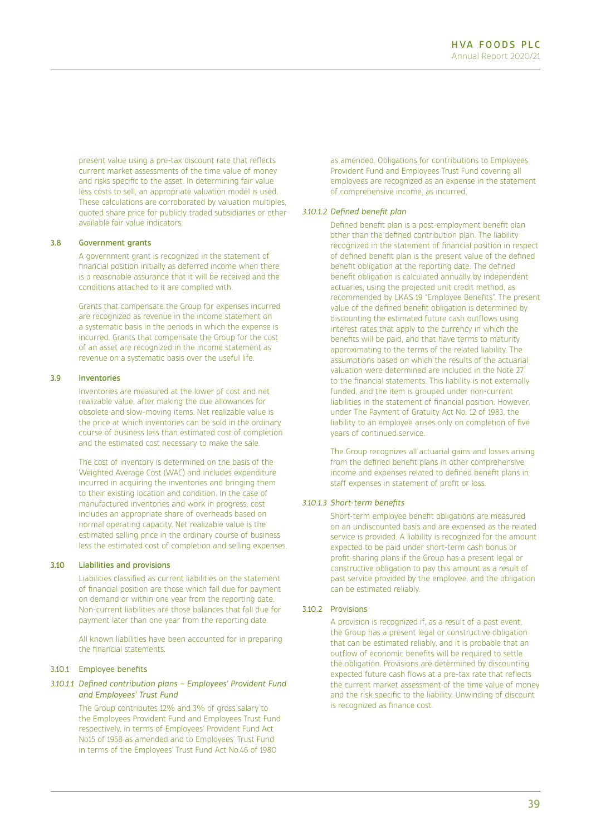present value using a pre-tax discount rate that reflects current market assessments of the time value of money and risks specific to the asset. In determining fair value less costs to sell, an appropriate valuation model is used. These calculations are corroborated by valuation multiples, quoted share price for publicly traded subsidiaries or other available fair value indicators.

## 3.8 Government grants

A government grant is recognized in the statement of financial position initially as deferred income when there is a reasonable assurance that it will be received and the conditions attached to it are complied with.

Grants that compensate the Group for expenses incurred are recognized as revenue in the income statement on a systematic basis in the periods in which the expense is incurred. Grants that compensate the Group for the cost of an asset are recognized in the income statement as revenue on a systematic basis over the useful life.

#### 3.9 Inventories

Inventories are measured at the lower of cost and net realizable value, after making the due allowances for obsolete and slow-moving items. Net realizable value is the price at which inventories can be sold in the ordinary course of business less than estimated cost of completion and the estimated cost necessary to make the sale.

The cost of inventory is determined on the basis of the Weighted Average Cost (WAC) and includes expenditure incurred in acquiring the inventories and bringing them to their existing location and condition. In the case of manufactured inventories and work in progress, cost includes an appropriate share of overheads based on normal operating capacity. Net realizable value is the estimated selling price in the ordinary course of business less the estimated cost of completion and selling expenses.

## 3.10 Liabilities and provisions

Liabilities classified as current liabilities on the statement of financial position are those which fall due for payment on demand or within one year from the reporting date. Non-current liabilities are those balances that fall due for payment later than one year from the reporting date.

All known liabilities have been accounted for in preparing the financial statements.

## 3.10.1 Employee benefits

## *3.10.1.1 Defined contribution plans – Employees' Provident Fund and Employees' Trust Fund*

The Group contributes 12% and 3% of gross salary to the Employees Provident Fund and Employees Trust Fund respectively, in terms of Employees' Provident Fund Act No15 of 1958 as amended and to Employees' Trust Fund in terms of the Employees' Trust Fund Act No.46 of 1980

as amended. Obligations for contributions to Employees Provident Fund and Employees Trust Fund covering all employees are recognized as an expense in the statement of comprehensive income, as incurred.

#### *3.10.1.2 Defined benefit plan*

Defined benefit plan is a post-employment benefit plan other than the defined contribution plan. The liability recognized in the statement of financial position in respect of defined benefit plan is the present value of the defined benefit obligation at the reporting date. The defined benefit obligation is calculated annually by independent actuaries, using the projected unit credit method, as recommended by LKAS 19 "Employee Benefits". The present value of the defined benefit obligation is determined by discounting the estimated future cash outflows using interest rates that apply to the currency in which the benefits will be paid, and that have terms to maturity approximating to the terms of the related liability. The assumptions based on which the results of the actuarial valuation were determined are included in the Note 27 to the financial statements. This liability is not externally funded, and the item is grouped under non-current liabilities in the statement of financial position. However, under The Payment of Gratuity Act No. 12 of 1983, the liability to an employee arises only on completion of five years of continued service.

The Group recognizes all actuarial gains and losses arising from the defined benefit plans in other comprehensive income and expenses related to defined benefit plans in staff expenses in statement of profit or loss.

## *3.10.1.3 Short-term benefits*

Short-term employee benefit obligations are measured on an undiscounted basis and are expensed as the related service is provided. A liability is recognized for the amount expected to be paid under short-term cash bonus or profit-sharing plans if the Group has a present legal or constructive obligation to pay this amount as a result of past service provided by the employee, and the obligation can be estimated reliably.

### 3.10.2 Provisions

A provision is recognized if, as a result of a past event, the Group has a present legal or constructive obligation that can be estimated reliably, and it is probable that an outflow of economic benefits will be required to settle the obligation. Provisions are determined by discounting expected future cash flows at a pre-tax rate that reflects the current market assessment of the time value of money and the risk specific to the liability. Unwinding of discount is recognized as finance cost.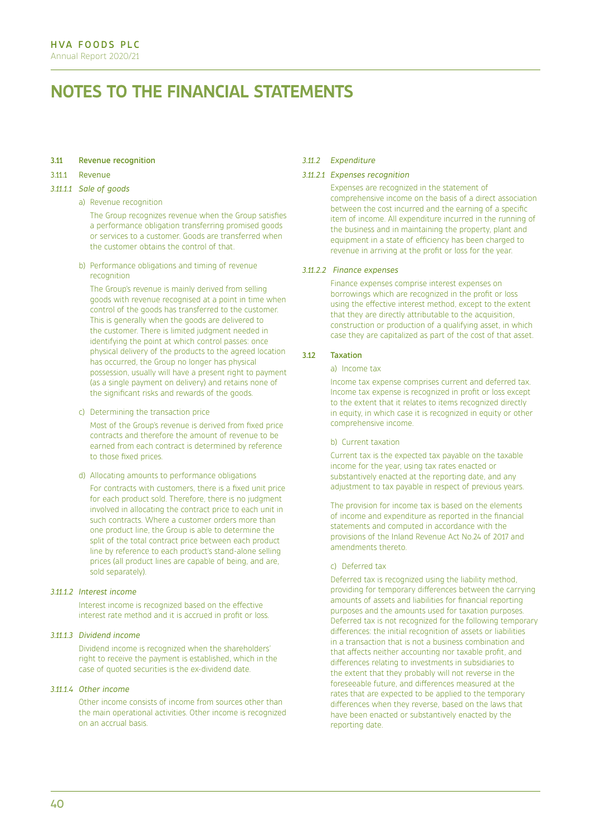### 3.11 Revenue recognition

#### 3.11.1 Revenue

#### *3.11.1.1 Sale of goods*

#### a) Revenue recognition

The Group recognizes revenue when the Group satisfies a performance obligation transferring promised goods or services to a customer. Goods are transferred when the customer obtains the control of that.

b) Performance obligations and timing of revenue recognition

The Group's revenue is mainly derived from selling goods with revenue recognised at a point in time when control of the goods has transferred to the customer. This is generally when the goods are delivered to the customer. There is limited judgment needed in identifying the point at which control passes: once physical delivery of the products to the agreed location has occurred, the Group no longer has physical possession, usually will have a present right to payment (as a single payment on delivery) and retains none of the significant risks and rewards of the goods.

c) Determining the transaction price

Most of the Group's revenue is derived from fixed price contracts and therefore the amount of revenue to be earned from each contract is determined by reference to those fixed prices.

d) Allocating amounts to performance obligations

For contracts with customers, there is a fixed unit price for each product sold. Therefore, there is no judgment involved in allocating the contract price to each unit in such contracts. Where a customer orders more than one product line, the Group is able to determine the split of the total contract price between each product line by reference to each product's stand-alone selling prices (all product lines are capable of being, and are, sold separately).

### *3.11.1.2 Interest income*

Interest income is recognized based on the effective interest rate method and it is accrued in profit or loss.

## *3.11.1.3 Dividend income*

Dividend income is recognized when the shareholders' right to receive the payment is established, which in the case of quoted securities is the ex-dividend date.

## *3.11.1.4 Other income*

Other income consists of income from sources other than the main operational activities. Other income is recognized on an accrual basis.

### *3.11.2 Expenditure*

#### *3.11.2.1 Expenses recognition*

Expenses are recognized in the statement of comprehensive income on the basis of a direct association between the cost incurred and the earning of a specific item of income. All expenditure incurred in the running of the business and in maintaining the property, plant and equipment in a state of efficiency has been charged to revenue in arriving at the profit or loss for the year.

### *3.11.2.2 Finance expenses*

Finance expenses comprise interest expenses on borrowings which are recognized in the profit or loss using the effective interest method, except to the extent that they are directly attributable to the acquisition, construction or production of a qualifying asset, in which case they are capitalized as part of the cost of that asset.

## 3.12 Taxation

### a) Income tax

Income tax expense comprises current and deferred tax. Income tax expense is recognized in profit or loss except to the extent that it relates to items recognized directly in equity, in which case it is recognized in equity or other comprehensive income.

### b) Current taxation

Current tax is the expected tax payable on the taxable income for the year, using tax rates enacted or substantively enacted at the reporting date, and any adjustment to tax payable in respect of previous years.

The provision for income tax is based on the elements of income and expenditure as reported in the financial statements and computed in accordance with the provisions of the Inland Revenue Act No.24 of 2017 and amendments thereto.

#### c) Deferred tax

Deferred tax is recognized using the liability method, providing for temporary differences between the carrying amounts of assets and liabilities for financial reporting purposes and the amounts used for taxation purposes. Deferred tax is not recognized for the following temporary differences: the initial recognition of assets or liabilities in a transaction that is not a business combination and that affects neither accounting nor taxable profit, and differences relating to investments in subsidiaries to the extent that they probably will not reverse in the foreseeable future, and differences measured at the rates that are expected to be applied to the temporary differences when they reverse, based on the laws that have been enacted or substantively enacted by the reporting date.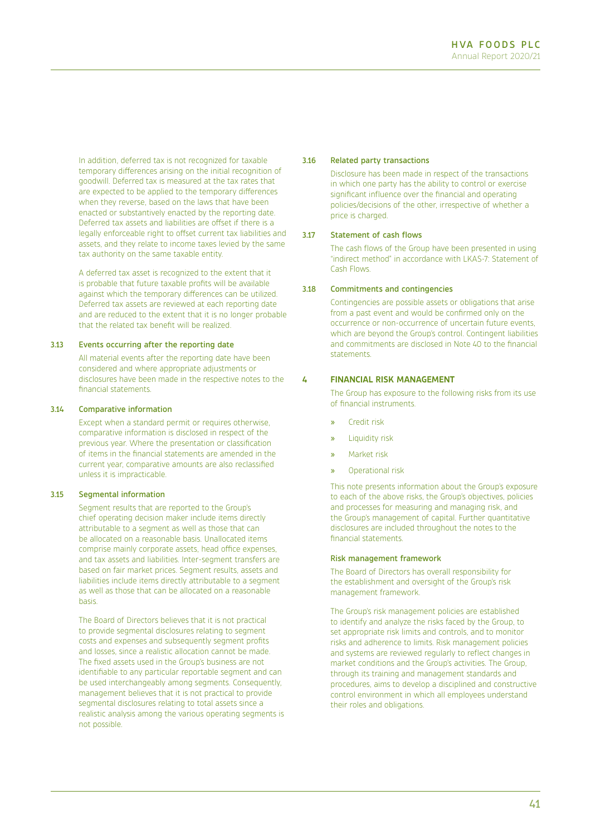In addition, deferred tax is not recognized for taxable temporary differences arising on the initial recognition of goodwill. Deferred tax is measured at the tax rates that are expected to be applied to the temporary differences when they reverse, based on the laws that have been enacted or substantively enacted by the reporting date. Deferred tax assets and liabilities are offset if there is a legally enforceable right to offset current tax liabilities and assets, and they relate to income taxes levied by the same tax authority on the same taxable entity.

A deferred tax asset is recognized to the extent that it is probable that future taxable profits will be available against which the temporary differences can be utilized. Deferred tax assets are reviewed at each reporting date and are reduced to the extent that it is no longer probable that the related tax benefit will be realized.

## 3.13 Events occurring after the reporting date

All material events after the reporting date have been considered and where appropriate adjustments or disclosures have been made in the respective notes to the financial statements.

### 3.14 Comparative information

Except when a standard permit or requires otherwise, comparative information is disclosed in respect of the previous year. Where the presentation or classification of items in the financial statements are amended in the current year, comparative amounts are also reclassified unless it is impracticable.

### 3.15 Segmental information

Segment results that are reported to the Group's chief operating decision maker include items directly attributable to a segment as well as those that can be allocated on a reasonable basis. Unallocated items comprise mainly corporate assets, head office expenses, and tax assets and liabilities. Inter-segment transfers are based on fair market prices. Segment results, assets and liabilities include items directly attributable to a segment as well as those that can be allocated on a reasonable basis.

The Board of Directors believes that it is not practical to provide segmental disclosures relating to segment costs and expenses and subsequently segment profits and losses, since a realistic allocation cannot be made. The fixed assets used in the Group's business are not identifiable to any particular reportable segment and can be used interchangeably among segments. Consequently, management believes that it is not practical to provide segmental disclosures relating to total assets since a realistic analysis among the various operating segments is not possible.

### 3.16 Related party transactions

Disclosure has been made in respect of the transactions in which one party has the ability to control or exercise significant influence over the financial and operating policies/decisions of the other, irrespective of whether a price is charged.

### 3.17 Statement of cash flows

The cash flows of the Group have been presented in using "indirect method" in accordance with LKAS-7: Statement of Cash Flows.

## 3.18 Commitments and contingencies

Contingencies are possible assets or obligations that arise from a past event and would be confirmed only on the occurrence or non-occurrence of uncertain future events, which are beyond the Group's control. Contingent liabilities and commitments are disclosed in Note 40 to the financial statements.

## **4 FINANCIAL RISK MANAGEMENT**

The Group has exposure to the following risks from its use of financial instruments.

- » Credit risk
- » Liquidity risk
- » Market risk
- » Operational risk

This note presents information about the Group's exposure to each of the above risks, the Group's objectives, policies and processes for measuring and managing risk, and the Group's management of capital. Further quantitative disclosures are included throughout the notes to the financial statements.

#### Risk management framework

The Board of Directors has overall responsibility for the establishment and oversight of the Group's risk management framework.

The Group's risk management policies are established to identify and analyze the risks faced by the Group, to set appropriate risk limits and controls, and to monitor risks and adherence to limits. Risk management policies and systems are reviewed regularly to reflect changes in market conditions and the Group's activities. The Group, through its training and management standards and procedures, aims to develop a disciplined and constructive control environment in which all employees understand their roles and obligations.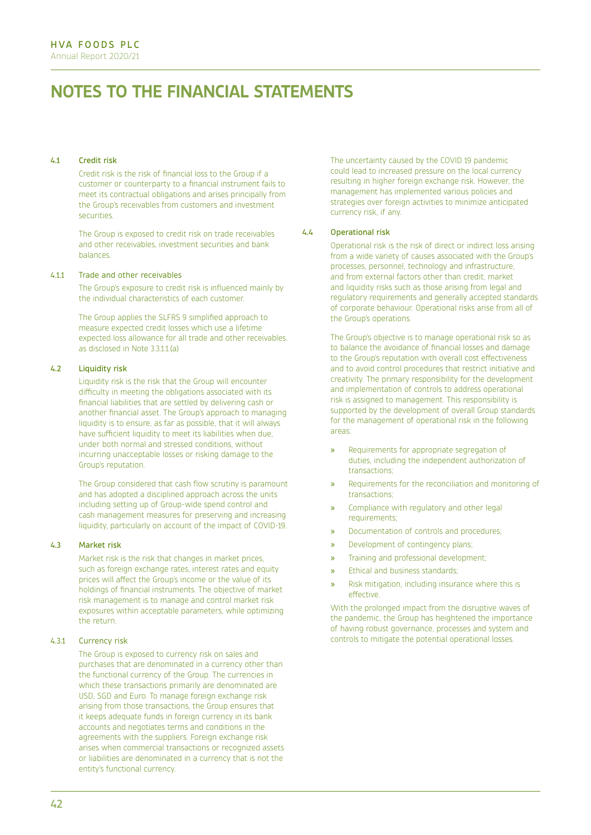## 4.1 Credit risk

Credit risk is the risk of financial loss to the Group if a customer or counterparty to a financial instrument fails to meet its contractual obligations and arises principally from the Group's receivables from customers and investment securities.

The Group is exposed to credit risk on trade receivables and other receivables, investment securities and bank balances.

### 4.1.1 Trade and other receivables

The Group's exposure to credit risk is influenced mainly by the individual characteristics of each customer.

The Group applies the SLFRS 9 simplified approach to measure expected credit losses which use a lifetime expected loss allowance for all trade and other receivables. as disclosed in Note 3.3.1.1.(a)

## 4.2 Liquidity risk

Liquidity risk is the risk that the Group will encounter difficulty in meeting the obligations associated with its financial liabilities that are settled by delivering cash or another financial asset. The Group's approach to managing liquidity is to ensure, as far as possible, that it will always have sufficient liquidity to meet its liabilities when due, under both normal and stressed conditions, without incurring unacceptable losses or risking damage to the Group's reputation.

The Group considered that cash flow scrutiny is paramount and has adopted a disciplined approach across the units including setting up of Group-wide spend control and cash management measures for preserving and increasing liquidity, particularly on account of the impact of COVID-19.

#### 4.3 Market risk

Market risk is the risk that changes in market prices, such as foreign exchange rates, interest rates and equity prices will affect the Group's income or the value of its holdings of financial instruments. The objective of market risk management is to manage and control market risk exposures within acceptable parameters, while optimizing the return.

## 4.3.1 Currency risk

The Group is exposed to currency risk on sales and purchases that are denominated in a currency other than the functional currency of the Group. The currencies in which these transactions primarily are denominated are USD, SGD and Euro. To manage foreign exchange risk arising from those transactions, the Group ensures that it keeps adequate funds in foreign currency in its bank accounts and negotiates terms and conditions in the agreements with the suppliers. Foreign exchange risk arises when commercial transactions or recognized assets or liabilities are denominated in a currency that is not the entity's functional currency.

The uncertainty caused by the COVID 19 pandemic could lead to increased pressure on the local currency resulting in higher foreign exchange risk. However, the management has implemented various policies and strategies over foreign activities to minimize anticipated currency risk, if any.

### 4.4 Operational risk

Operational risk is the risk of direct or indirect loss arising from a wide variety of causes associated with the Group's processes, personnel, technology and infrastructure, and from external factors other than credit, market and liquidity risks such as those arising from legal and regulatory requirements and generally accepted standards of corporate behaviour. Operational risks arise from all of the Group's operations.

The Group's objective is to manage operational risk so as to balance the avoidance of financial losses and damage to the Group's reputation with overall cost effectiveness and to avoid control procedures that restrict initiative and creativity. The primary responsibility for the development and implementation of controls to address operational risk is assigned to management. This responsibility is supported by the development of overall Group standards for the management of operational risk in the following areas:

- » Requirements for appropriate segregation of duties, including the independent authorization of transactions;
- Requirements for the reconciliation and monitoring of transactions;
- » Compliance with regulatory and other legal requirements;
- » Documentation of controls and procedures;
- » Development of contingency plans;
- » Training and professional development;
- » Ethical and business standards;
- » Risk mitigation, including insurance where this is effective.

With the prolonged impact from the disruptive waves of the pandemic, the Group has heightened the importance of having robust governance, processes and system and controls to mitigate the potential operational losses.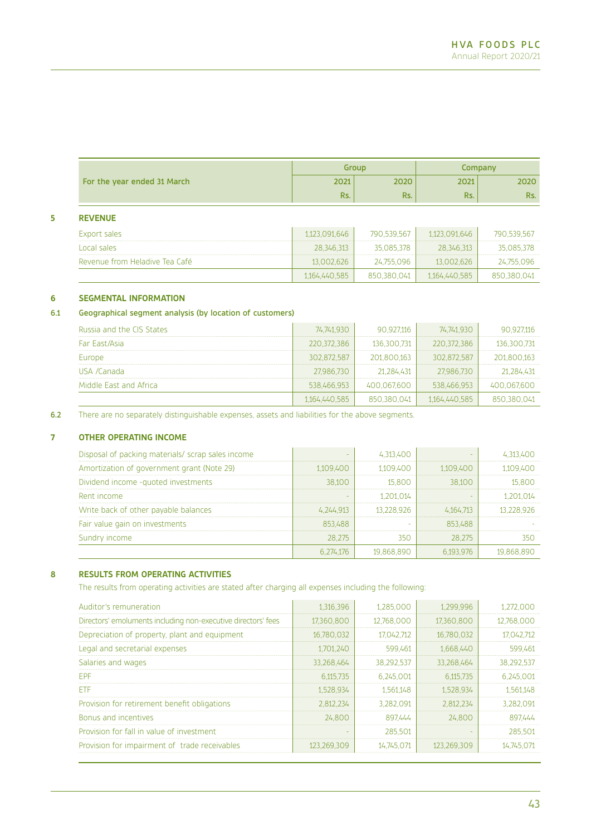|                             |      | Group |      | Company |
|-----------------------------|------|-------|------|---------|
| For the year ended 31 March | 2021 | 2020  | 2021 | 2020    |
|                             | Rs.  | Rs.   | Rs.  | Rs.     |

## **5 REVENUE**

| Export sales                   | 1.123.091.646 | 790.539.567 | 1.123.091.646 | 790.539.567 |
|--------------------------------|---------------|-------------|---------------|-------------|
| Local sales                    | 28.346.313    | 35.085.378  | 28.346.313    | 35.085.378  |
| Revenue from Heladive Tea Café | 13.002.626    | 24.755.096  | 13.002.626    | 24.755.096  |
|                                | 1,164,440,585 | 850.380.041 | 1.164.440.585 | 850.380.041 |

# **6 SEGMENTAL INFORMATION**

# 6.1 Geographical segment analysis (by location of customers)

| Russia and the CIS States | 74,741,930    | 90.927.116  | 74.741.930    | 90,927,116  |
|---------------------------|---------------|-------------|---------------|-------------|
| Far East/Asia             | 220.372.386   | 136.300.731 | 220.372.386   | 136.300.731 |
| Europe                    | 302,872,587   | 201,800,163 | 302.872.587   | 201,800,163 |
| USA /Canada               | 27,986,730    | 21.284.431  | 27.986.730    | 21,284,431  |
| Middle East and Africa    | 538.466.953   | 400.067.600 | 538.466.953   | 400.067.600 |
|                           | 1,164,440,585 | 850.380.041 | 1.164.440.585 | 850.380.041 |

6.2 There are no separately distinguishable expenses, assets and liabilities for the above segments.

## **7 OTHER OPERATING INCOME**

| Disposal of packing materials/ scrap sales income |           | 4,313,400  |           | 4,313,400  |
|---------------------------------------------------|-----------|------------|-----------|------------|
| Amortization of government grant (Note 29)        | 1.109.400 | 1.109.400  | 1.109.400 | 1,109,400  |
| Dividend income -quoted investments               | 38,100    | 15,800     | 38.100    | 15,800     |
| Rent income                                       |           | 1,201,014  |           | 1,201,014  |
| Write back of other payable balances              | 4.244.913 | 13.228.926 | 4,164,713 | 13.228.926 |
| Fair value gain on investments                    | 853.488   |            | 853,488   |            |
| Sundry income                                     | 28.275    | 350        | 28.275    | 350        |
|                                                   | 6.274.176 | 19.868.890 | 6.193.976 | 19.868.890 |

## **8 RESULTS FROM OPERATING ACTIVITIES**

The results from operating activities are stated after charging all expenses including the following:

| Auditor's remuneration                                        | 1,316,396   | 1,285,000  | 1,299,996   | 1,272,000  |
|---------------------------------------------------------------|-------------|------------|-------------|------------|
| Directors' emoluments including non-executive directors' fees | 17,360,800  | 12,768,000 | 17,360,800  | 12,768,000 |
| Depreciation of property, plant and equipment                 | 16,780,032  | 17.042.712 | 16,780,032  | 17.042.712 |
| Legal and secretarial expenses                                | 1,701,240   | 599,461    | 1,668,440   | 599,461    |
| Salaries and wages                                            | 33,268,464  | 38,292,537 | 33,268,464  | 38,292,537 |
| <b>FPF</b>                                                    | 6,115,735   | 6.245.001  | 6,115,735   | 6,245,001  |
| ETF                                                           | 1,528,934   | 1,561,148  | 1,528,934   | 1,561,148  |
| Provision for retirement benefit obligations                  | 2,812,234   | 3,282,091  | 2,812,234   | 3,282,091  |
| <b>Bonus and incentives</b>                                   | 24,800      | 897.444    | 24,800      | 897,444    |
| Provision for fall in value of investment                     |             | 285,501    |             | 285,501    |
| Provision for impairment of trade receivables                 | 123,269,309 | 14.745.071 | 123,269,309 | 14,745,071 |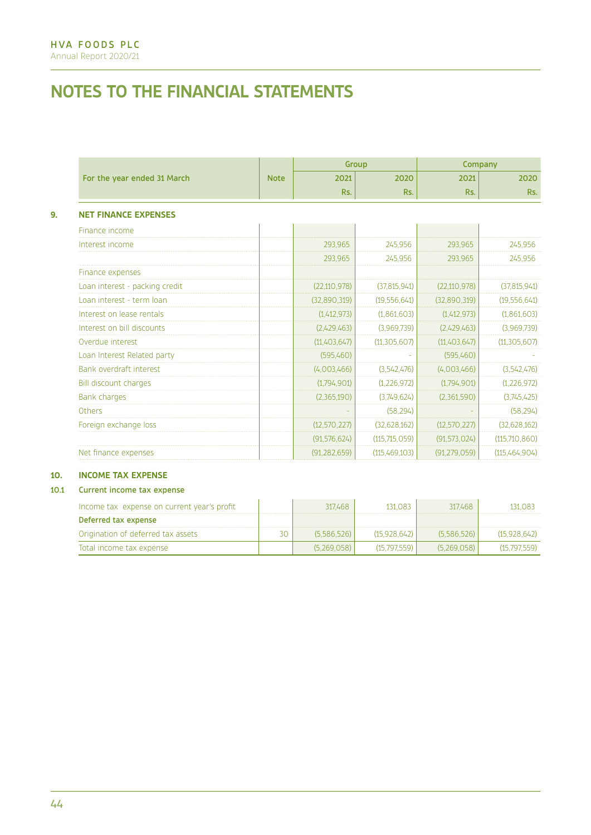|                                |             | Group          |                |                | Company        |
|--------------------------------|-------------|----------------|----------------|----------------|----------------|
| For the year ended 31 March    | <b>Note</b> | 2021           | 2020           | 2021           | 2020           |
|                                |             | Rs.            | Rs.            | Rs.            | Rs.            |
| <b>NET FINANCE EXPENSES</b>    |             |                |                |                |                |
| Finance income                 |             |                |                |                |                |
| Interest income                |             | 293,965        | 245,956        | 293,965        | 245,956        |
|                                |             | 293.965        | 245,956        | 293.965        | 245,956        |
| Finance expenses               |             |                |                |                |                |
| Loan interest - packing credit |             | (22, 110, 978) | (37, 815, 941) | (22, 110, 978) | (37, 815, 941) |
| Loan interest - term loan      |             | (32,890,319)   | (19,556,641)   | (32,890,319)   | (19, 556, 641) |
| Interest on lease rentals      |             | (1,412,973)    | (1,861,603)    | (1,412,973)    | (1,861,603)    |
| Interest on bill discounts     |             | (2,429,463)    | (3,969,739)    | (2,429,463)    | (3,969,739)    |
| Overdue interest               |             | (11,403,647)   | (11, 305, 607) | (11,403,647)   | (11, 305, 607) |
| Loan Interest Related party    |             | (595,460)      |                | (595,460)      |                |
| Bank overdraft interest        |             | (4,003,466)    | (3.542.476)    | (4,003,466)    | (3,542,476)    |
| Bill discount charges          |             | (1,794,901)    | (1,226,972)    | (1,794,901)    | (1,226,972)    |
| <b>Bank charges</b>            |             | (2,365,190)    | (3,749,624)    | (2,361,590)    | (3,745,425)    |
| <b>Others</b>                  |             |                | (58.294)       |                | (58, 294)      |
| Foreign exchange loss          |             | (12, 570, 227) | (32.628.162)   | (12, 570, 227) | (32, 628, 162) |
|                                |             | (91, 576, 624) | (115,715,059)  | (91, 573, 024) | (115,710,860)  |
| Net finance expenses           |             | (91, 282, 659) | (115,469,103)  | (91, 279, 059) | (115,464,904)  |

# **10. INCOME TAX EXPENSE**

## 10.1 Current income tax expense

| Income tax expense on current year's profit |    | 317.468     | 131 083      | 317.468     | 131,083      |
|---------------------------------------------|----|-------------|--------------|-------------|--------------|
| Deferred tax expense                        |    |             |              |             |              |
| Origination of deferred tax assets          | 30 | (5.586.526) | (15.928.642) | (5.586.526) | (15.928.642) |
| Total income tax expense                    |    | (5.269.058) | (15797559)   | (5.269.058) | (15.797.559) |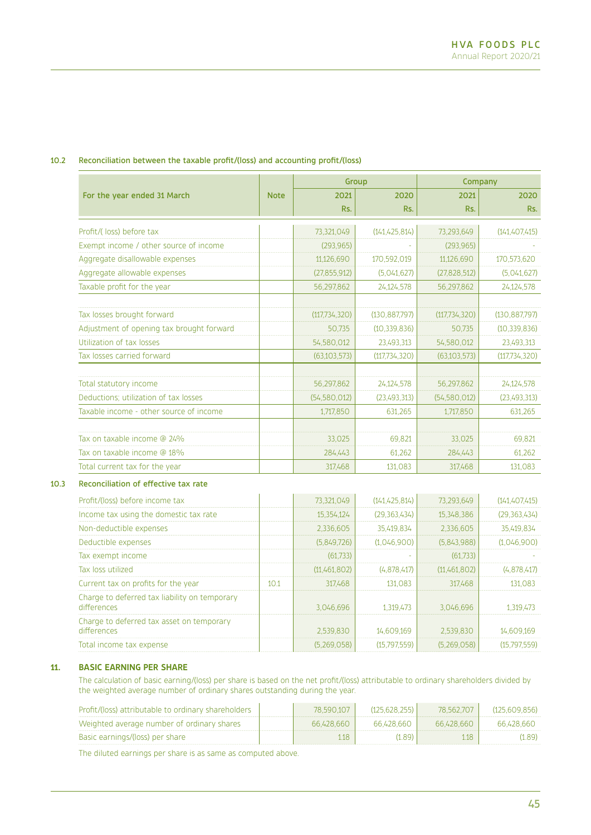## 10.2 Reconciliation between the taxable profit/(loss) and accounting profit/(loss)

|                                                                                                 |             | Group          |                 | Company        |                 |
|-------------------------------------------------------------------------------------------------|-------------|----------------|-----------------|----------------|-----------------|
| For the year ended 31 March                                                                     | <b>Note</b> | 2021           | 2020            | 2021           | 2020            |
|                                                                                                 |             | Rs.            | Rs.             | Rs.            | Rs.             |
| Profit/(loss) before tax                                                                        |             | 73,321,049     | (141, 425, 814) | 73,293,649     | (141, 407, 415) |
| Exempt income / other source of income                                                          |             | (293, 965)     |                 | (293, 965)     |                 |
| Aggregate disallowable expenses                                                                 |             | 11,126,690     | 170,592,019     | 11,126,690     | 170,573,620     |
| Aggregate allowable expenses                                                                    |             | (27, 855, 912) | (5.041.627)     | (27, 828, 512) | (5,041,627)     |
| Taxable profit for the year                                                                     |             | 56,297,862     | 24,124,578      | 56,297,862     | 24,124,578      |
| Tax losses brought forward                                                                      |             | (117,734,320)  | (130.887,797)   | (117,734,320)  | (130.887,797)   |
| Adjustment of opening tax brought forward                                                       |             | 50,735         | (10, 339, 836)  | 50,735         | (10, 339, 836)  |
| Utilization of tax losses                                                                       |             | 54,580,012     | 23,493,313      | 54,580,012     | 23,493,313      |
| Tax losses carried forward                                                                      |             | (63, 103, 573) | (117, 734, 320) | (63, 103, 573) | (117,734,320)   |
| Total statutory income                                                                          |             | 56,297,862     | 24,124,578      | 56,297,862     | 24,124,578      |
| Deductions; utilization of tax losses                                                           |             | (54, 580, 012) | (23, 493, 313)  | (54, 580, 012) | (23, 493, 313)  |
| Taxable income - other source of income                                                         |             | 1,717,850      | 631,265         | 1,717,850      | 631,265         |
| Tax on taxable income @ 24%                                                                     |             | 33,025         | 69,821          | 33,025         | 69,821          |
| Tax on taxable income @ 18%                                                                     |             | 284,443        | 61,262          | 284,443        | 61,262          |
| Total current tax for the year                                                                  |             | 317,468        | 131,083         | 317,468        | 131,083         |
| Reconciliation of effective tax rate                                                            |             |                |                 |                |                 |
| Profit/(loss) before income tax                                                                 |             | 73,321,049     | (141, 425, 814) | 73,293,649     | (141, 407, 415) |
| Income tax using the domestic tax rate                                                          |             | 15,354,124     | (29, 363, 434)  | 15,348,386     | (29, 363, 434)  |
| Non-deductible expenses                                                                         |             | 2,336,605      | 35,419,834      | 2,336,605      | 35,419,834      |
| Deductible expenses                                                                             |             | (5,849,726)    | (1,046,900)     | (5,843,988)    | (1,046,900)     |
| Tax exempt income                                                                               |             | (61,733)       |                 | (61,733)       |                 |
| Tax loss utilized                                                                               |             | (11,461,802)   | (4,878,417)     | (11,461,802)   | (4,878,417)     |
| Current tax on profits for the year                                                             | 10.1        | 317,468        | 131,083         | 317,468        | 131,083         |
| the contract of the contract of the contract of the contract of the contract of the contract of |             |                |                 |                |                 |

| Charge to deferred tax liability on temporary<br>differences | 3.046.696   | 1 319 473  | 3.046.696   | 1.319.473    |
|--------------------------------------------------------------|-------------|------------|-------------|--------------|
| Charge to deferred tax asset on temporary<br>differences     | 2.539.830   | 14.609.169 | 2539830     | 14.609.169   |
| Total income tax expense                                     | (5.269.058) | (15797559) | (5.269.058) | (15.797.559) |

## **11. BASIC EARNING PER SHARE**

The calculation of basic earning/(loss) per share is based on the net profit/(loss) attributable to ordinary shareholders divided by the weighted average number of ordinary shares outstanding during the year.

| Profit/(loss) attributable to ordinary shareholders | 78.590.107 | (125.628.255) | 78.562.707 | (125.609.856) |
|-----------------------------------------------------|------------|---------------|------------|---------------|
| Weighted average number of ordinary shares          | 66.428.660 | 66.428.660    | 66.428.660 | 66.428.660    |
| Basic earnings/(loss) per share                     | 118        | (1.89)        | 118        | (1.89)        |

The diluted earnings per share is as same as computed above.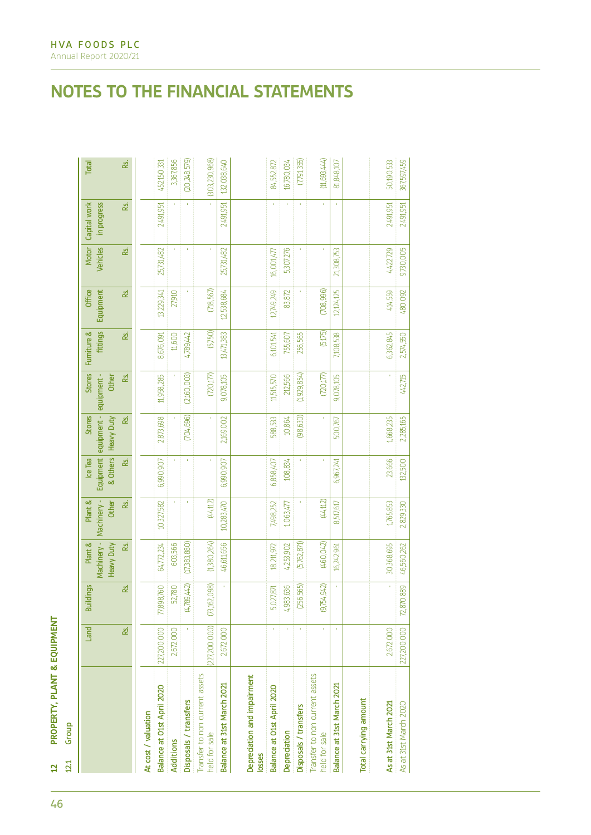| ī<br>Ï<br>ı<br>ī      |
|-----------------------|
| í<br>ï                |
| r<br>г<br>Е<br>I<br>ì |
|                       |
| ı<br>ı<br>ì<br>٩      |

| PROPERTY, PLANT & EQUIPMENT<br>Group<br>12.1<br>đ |              |                  |                                             |                                 |                                  |                                                               |                 |                         |                            |                                 |                             |                 |
|---------------------------------------------------|--------------|------------------|---------------------------------------------|---------------------------------|----------------------------------|---------------------------------------------------------------|-----------------|-------------------------|----------------------------|---------------------------------|-----------------------------|-----------------|
|                                                   | Land         | <b>Buildings</b> | Machinery -<br>Plant &<br><b>Heavy Duty</b> | Machinery -<br>Plant &<br>Other | Equipment<br>& Others<br>Ice Tea | equipment - equipment -<br><b>Stores</b><br><b>Heavy Duty</b> | Stores<br>Other | fittings<br>Furniture & | <b>Office</b><br>Equipment | <b>Vehicles</b><br><b>Motor</b> | Capital work<br>in progress | Total           |
|                                                   | ž            | ž                | æ                                           | ž                               | &                                | L                                                             | &               | ž                       | ž                          | æ                               | æ                           | &               |
| At cost / valuation                               |              |                  |                                             |                                 |                                  |                                                               |                 |                         |                            |                                 |                             |                 |
| Balance at O1st April 2020                        | 227,200,000  | 77,898,760       | 64,772,234                                  | 10,327,582                      | 6,990,907                        | 2,873,698                                                     | 11,958,285      | 8,676,091               | 13,229,341                 | 25,731,482                      | 2,491,951                   | 452,150,331     |
| Additions                                         | 2,672,000    | 52,780           | 603,566                                     |                                 |                                  |                                                               |                 | 11,600                  | 27,910                     |                                 |                             | 3,367,856       |
| Disposals / transfers                             |              | (4,789,442)      | (17,383,880)                                |                                 | $\mathbf{r}$                     | (704, 696)                                                    | (2,160,003)     | 4,789,442               |                            | ×                               |                             | (20,248,579)    |
| Transfer to non current assets<br>held for sale   | 227,200,000) | (73,162,098)     | (1,380,264)                                 | (44, 112)                       |                                  | ĭ,                                                            | (720,177)       | (5,750)                 | (718, 567)                 | f,                              |                             | (303, 230, 968) |
| Balance at 31st March 2021                        | 2,672,000    |                  | 46,611,656                                  | 10,283,470                      | 6,990,907                        | 2,169,002                                                     | 9,078,105       | 13,471,383              | 12,538,684                 | 25,731,482                      | 2,491,951                   | 132,038,640     |
| Depreciation and impairment<br><b>OSSes</b>       |              |                  |                                             |                                 |                                  |                                                               |                 |                         |                            |                                 |                             |                 |
| Balance at O1st April 2020                        | ٠            | 5,027,871        | 18,211,972                                  | 7,498,252                       | 6,858,407                        | 588,533                                                       | 11,515,570      | 6,101,541               | 12,749,249                 | 16,001,477                      |                             | 84,552,872      |
| Depreciation                                      |              | 4,983,636        | 4,253,902                                   | 1,063,477                       | 108,834                          | 10,864                                                        | 212,566         | 755,607                 | 83,872                     | 5,307,276                       |                             | 16,780,034      |
| Disposals / transfers                             | $\mathbf{r}$ | (256, 565)       | (5,762,871)                                 |                                 | $\mathbf{r}$                     | (98, 630)                                                     | (1,929,854)     | 256,565                 |                            | ¥,                              | $\mathbf{r}$                | (7, 91, 355)    |
| Transfer to non current assets<br>eld for sale    |              | (9,754,942)      | (460, 042)                                  | (44, 112)                       |                                  | Ŷ,                                                            | (720,177)       | (5,175)                 | (708, 996)                 |                                 |                             | (11,693,444)    |
| Balance at 31st March 2021                        | Ŷ.           |                  | 16,242,961                                  | 8,517,617                       | 6,967,241                        | 500,767                                                       | 9,078,105       | 7,108,538               | 12,124,125                 | 21,308,753                      | Ŷ,                          | 81,848,107      |
| Total carrying amount                             |              |                  |                                             |                                 |                                  |                                                               |                 |                         |                            |                                 |                             |                 |
| As at 31st March 2021                             | 2,672,000    |                  | 30,368,695                                  | 1,765,853                       | 23,666                           | 1,668,235                                                     |                 | 6,362,845               | 414,559                    | 4,422,729                       | 2,491,951                   | 50,190,533      |
| As at 31st March 2020                             | 227,200,000  | 72,870,889       | 46,560,262                                  | 2,829,330                       | 132,500                          | 2,285,165                                                     | 442,715         | 2,574,550               | 480,092                    | 9,730,005                       | 2,491,951                   | 367,597,459     |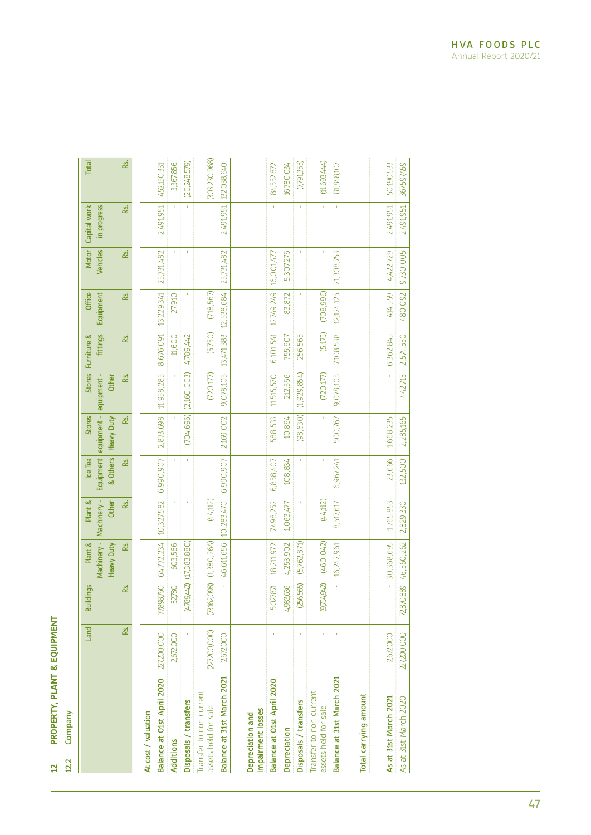PROPERTY, PLANT & EQUIPMENT **12 PROPERTY, PLANT & EQUIPMENT**  $\begin{array}{c|c} 12 & 22 \\ 22 & 22 \end{array}$ 

Company 12.2 Company

|                                                 | Land          | <b>Buildings</b> | Machinery -<br>Plant & | Plant &              | Ice Tea               | <b>Stores</b>                                | Stores                       | Furniture & | <b>Office</b> | <b>Motor</b>    | Capital work | Total         |
|-------------------------------------------------|---------------|------------------|------------------------|----------------------|-----------------------|----------------------------------------------|------------------------------|-------------|---------------|-----------------|--------------|---------------|
|                                                 |               |                  | <b>Heavy Duty</b>      | Machinery -<br>Other | Equipment<br>& Others | equipment - equipment -<br><b>Heavy Duty</b> | Other                        | fittings    | Equipment     | <b>Vehicles</b> | in progress  |               |
|                                                 | Rs.           | ž                | జ                      | ě.                   | ž,                    | జ                                            | ž,                           | ž           | ž,            | ě.              | ě.           | ž             |
| At cost / valuation                             |               |                  |                        |                      |                       |                                              |                              |             |               |                 |              |               |
| Balance at O1st April 2020                      | 227,200,000   | 77,898,760       | 64,772,234             | 10,327,582           | 6,990,907             | 2,873,698                                    | 11,958,285                   | 8,676,091   | 13,229,341    | 25,731,482      | 2,491,951    | 452,150,331   |
| Additions                                       | 2,672,000     | 52,780           | 603,566                |                      |                       |                                              |                              | 11,600      | 27,910        |                 |              | 3,367,856     |
| Disposals / transfers                           |               | (4,789,442)      | (17, 383, 880)         |                      |                       |                                              | $(704, 696)$ $(2, 160, 003)$ | 4,789,442   |               |                 |              | (20,248,579)  |
| Transfer to non current<br>assets held for sale | (227,200,000) | (73,162,098)     | (1,380,264)            | (44, 112)            | Î.                    |                                              | (720,177)                    | (5,750)     | (718, 567)    |                 |              | (303,230,968) |
| Balance at 31st March 2021                      | 2,672,000     | î,               | 46,611,656             | 10,283,470           | 6,990,907             | 2,169,002                                    | 9,078,105                    | 13,471,383  | 12,538,684    | 25,731,482      | 2,491.951    | 132,038,640   |
| impairment losses<br>Depreciation and           |               |                  |                        |                      |                       |                                              |                              |             |               |                 |              |               |
| Balance at O1st April 2020                      |               | 5,027,871        | 18,211,972             | 7,498,252            | 6,858,407             | 588,533                                      | 11,515,570                   | 6,101,541   | 12,749,249    | 16,001,477      | f,           | 84,552,872    |
| Depreciation                                    |               | 4,983,636        | 4,253,902              | 1,063,477            | 108,834               | 10,864                                       | 212,566                      | 755,607     | 83,872        | 5,307,276       | Ŷ.           | 16,780,034    |
| Disposals / transfers                           |               | (256,565)        | (5,762,871)            |                      |                       | (98, 630)                                    | (1,929,854)                  | 256,565     |               |                 | Î,           | (7,791,355)   |
| Transfer to non current<br>assets held for sale |               | (9,754,942)      | (460, 042)             | (44, 112)            |                       |                                              | (720, 177)                   | (5,175)     | (708, 996)    |                 |              | (11,693,444)  |
| Balance at 31st March 2021                      |               | ĭ.               | 16,242,961             | 8,517,617            | 6,967,241             | 500,767                                      | 9,078,105                    | 7,108,538   | 12,124,125    | 21.308,753      | ¥,           | 81,848,107    |
| Total carrying amount                           |               |                  |                        |                      |                       |                                              |                              |             |               |                 |              |               |
| As at 31st March 2021                           | 2,672,000     | Ţ                | 30,368,695             | 1,765,853            | 23,666                | 1,668,235                                    |                              | 6,362,845   | 414,559       | 4,422,729       | 2,491,951    | 50,190,533    |
| As at 31st March 2020                           | 227200,000    | 72,870,889       | 46,560,262             | 2,829,330            | 132,500               | 2,285,165                                    | 442,715                      | 2,574,550   | 480,092       | 9,730,005       | 2,491,951    | 367,597,459   |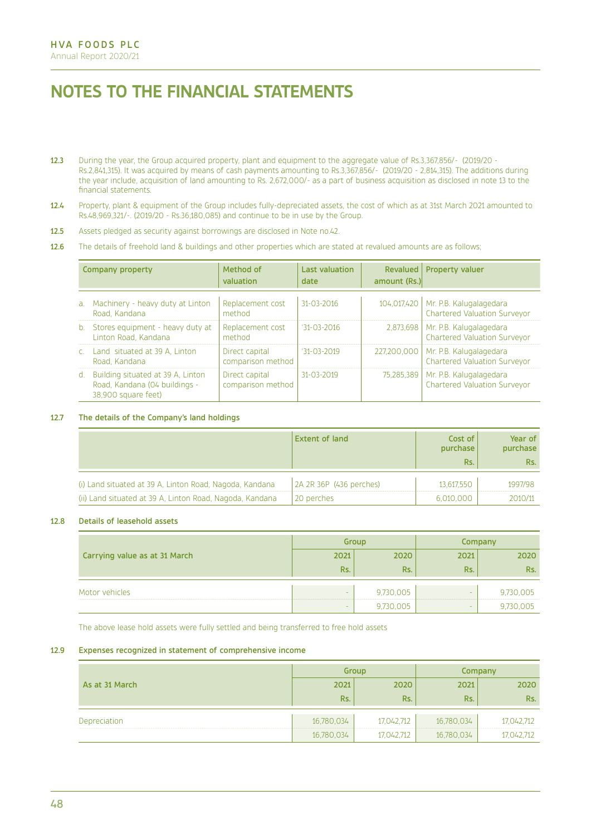- 12.3 During the year, the Group acquired property, plant and equipment to the aggregate value of Rs.3,367,856/- (2019/20 Rs.2,841,315). It was acquired by means of cash payments amounting to Rs.3,367,856/- (2019/20 - 2,814,315). The additions during the year include, acquisition of land amounting to Rs. 2,672,000/- as a part of business acquisition as disclosed in note 13 to the financial statements.
- 12.4 Property, plant & equipment of the Group includes fully-depreciated assets, the cost of which as at 31st March 2021 amounted to Rs.48,969,321/-. (2019/20 - Rs.36,180,085) and continue to be in use by the Group.
- 12.5 Assets pledged as security against borrowings are disclosed in Note no.42.
- 12.6 The details of freehold land & buildings and other properties which are stated at revalued amounts are as follows;

|                | Company property                                                                          | Method of<br>valuation              | <b>Last valuation</b><br>date | Revalued  <br>amount (Rs.) | Property valuer                                                |
|----------------|-------------------------------------------------------------------------------------------|-------------------------------------|-------------------------------|----------------------------|----------------------------------------------------------------|
| a <sub>1</sub> | Machinery - heavy duty at Linton<br>Road, Kandana                                         | Replacement cost<br>method          | $31 - 03 - 2016$              | 104.017.420                | Mr. P.B. Kalugalagedara<br><b>Chartered Valuation Surveyor</b> |
| $b_{-}$        | Stores equipment - heavy duty at<br>Linton Road, Kandana                                  | Replacement cost<br>method          | $131 - 03 - 2016$             | 2.873.698                  | Mr. P.B. Kalugalagedara<br><b>Chartered Valuation Surveyor</b> |
|                | Land situated at 39 A, Linton<br>Road, Kandana                                            | Direct capital<br>comparison method | $'31-03-2019$                 | 227,200,000                | Mr. P.B. Kalugalagedara<br><b>Chartered Valuation Surveyor</b> |
| $d_{-}$        | Building situated at 39 A, Linton<br>Road, Kandana (04 buildings -<br>38.900 square feet) | Direct capital<br>comparison method | $31 - 03 - 2019$              | 75,285,389                 | Mr. P.B. Kalugalagedara<br><b>Chartered Valuation Surveyor</b> |

## 12.7 The details of the Company's land holdings

|                                                          | <b>Extent of land</b>   | Cost of<br>purchase<br>Rs. | Year of<br>purchase<br>Rs. |
|----------------------------------------------------------|-------------------------|----------------------------|----------------------------|
| (i) Land situated at 39 A, Linton Road, Nagoda, Kandana  | 2A 2R 36P (436 perches) | 13.617.550                 | 1997/98                    |
| (ii) Land situated at 39 A, Linton Road, Nagoda, Kandana | 20 perches              | 6,010,000                  | 2010/11                    |

## 12.8 Details of leasehold assets

|                               |        | Group     |        | Company   |
|-------------------------------|--------|-----------|--------|-----------|
| Carrying value as at 31 March | 2021   | 2020      | 2021   | 2020      |
|                               | Rs.    | Rs.       | Rs.    | Rs.       |
| Motor vehicles                | $\sim$ | 9,730,005 | -      | 9,730,005 |
|                               | -      | 9,730,005 | $\sim$ | 9,730,005 |

The above lease hold assets were fully settled and being transferred to free hold assets

### 12.9 Expenses recognized in statement of comprehensive income

|                |            | Group      |            | Company    |
|----------------|------------|------------|------------|------------|
| As at 31 March | 2021       | 2020       | 2021       | 2020       |
|                | Rs.        | Rs.        | Rs.        | Rs.        |
| Depreciation   | 16,780,034 | 17,042,712 | 16,780,034 | 17,042,712 |
|                | 16,780,034 | 17,042,712 | 16,780,034 | 17,042,712 |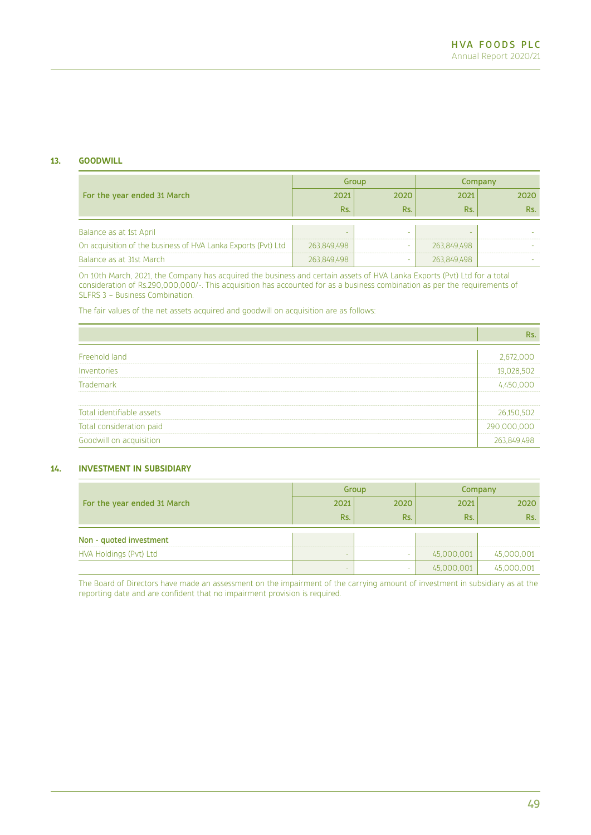## **13. GOODWILL**

|                                                               |             | Group |             | Company |
|---------------------------------------------------------------|-------------|-------|-------------|---------|
| For the year ended 31 March                                   | 2021        | 2020  | 2021        | 2020    |
|                                                               | Rs.         | Rs.   | Rs.         | Rs.     |
|                                                               |             |       |             |         |
| Balance as at 1st April                                       |             |       |             |         |
| On acquisition of the business of HVA Lanka Exports (Pvt) Ltd | 263,849,498 | -     | 263,849,498 |         |
| Balance as at 31st March                                      | 263,849,498 | -     | 263,849,498 |         |

On 10th March, 2021, the Company has acquired the business and certain assets of HVA Lanka Exports (Pvt) Ltd for a total consideration of Rs.290,000,000/-. This acquisition has accounted for as a business combination as per the requirements of SLFRS 3 – Business Combination.

The fair values of the net assets acquired and goodwill on acquisition are as follows:

|                           | Rs.         |
|---------------------------|-------------|
| Freehold land             | 2,672,000   |
| Inventories               | 19,028,502  |
| Trademark                 | 4,450,000   |
|                           |             |
| Total identifiable assets | 26,150,502  |
| Total consideration paid  | 290,000,000 |
| Goodwill on acquisition   | 263,849,498 |

## **14. INVESTMENT IN SUBSIDIARY**

|                             |          | Group |            | Company    |
|-----------------------------|----------|-------|------------|------------|
| For the year ended 31 March | 2021     | 2020  | 2021       | 2020       |
|                             | Rs.      | Rs.   | Rs.        | Rs.        |
| Non - quoted investment     |          |       |            |            |
| HVA Holdings (Pvt) Ltd      | <b>.</b> | -     | 45,000,001 | 45,000,001 |
|                             | -        | -     | 45,000,001 | 45,000,001 |

The Board of Directors have made an assessment on the impairment of the carrying amount of investment in subsidiary as at the reporting date and are confident that no impairment provision is required.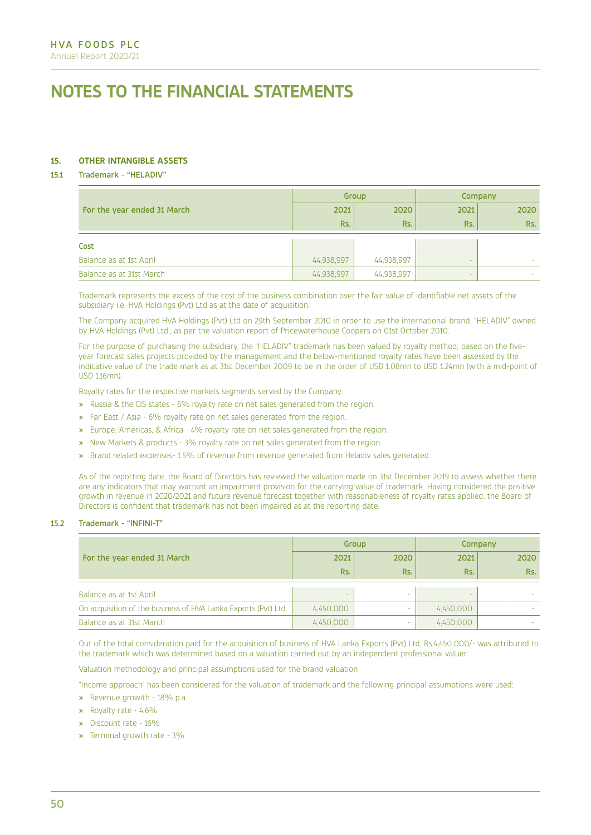## **15. OTHER INTANGIBLE ASSETS**

## 15.1 Trademark - "HELADIV"

|                             |            | Group      |        | Company |
|-----------------------------|------------|------------|--------|---------|
| For the year ended 31 March | 2021       | 2020       | 2021   | 2020    |
|                             | Rs.        | Rs.        | Rs.    | Rs.     |
|                             |            |            |        |         |
| Cost                        |            |            |        |         |
| Balance as at 1st April     | 44,938,997 | 44,938,997 | $\sim$ |         |
| Balance as at 31st March    | 44,938,997 | 44,938,997 | $\sim$ |         |

Trademark represents the excess of the cost of the business combination over the fair value of identifiable net assets of the subsidiary i.e. HVA Holdings (Pvt) Ltd as at the date of acquisition.

The Company acquired HVA Holdings (Pvt) Ltd on 29th September 2010 in order to use the international brand, "HELADIV" owned by HVA Holdings (Pvt) Ltd., as per the valuation report of Pricewaterhouse Coopers on 01st October 2010.

For the purpose of purchasing the subsidiary, the "HELADIV" trademark has been valued by royalty method, based on the fiveyear forecast sales projects provided by the management and the below-mentioned royalty rates have been assessed by the indicative value of the trade mark as at 31st December 2009 to be in the order of USD 1.08mn to USD 1.24mn (with a mid-point of USD 1.16mn).

Royalty rates for the respective markets segments served by the Company.

- » Russia & the CIS states 6% royalty rate on net sales generated from the region.
- » Far East / Asia 6% royalty rate on net sales generated from the region.
- » Europe, Americas, & Africa 4% royalty rate on net sales generated from the region.
- » New Markets & products 3% royalty rate on net sales generated from the region.
- » Brand related expenses- 1.5% of revenue from revenue generated from Heladiv sales generated.

As of the reporting date, the Board of Directors has reviewed the valuation made on 31st December 2019 to assess whether there are any indicators that may warrant an impairment provision for the carrying value of trademark. Having considered the positive growth in revenue in 2020/2021 and future revenue forecast together with reasonableness of royalty rates applied, the Board of Directors is confident that trademark has not been impaired as at the reporting date.

### 15.2 Trademark - "INFINI-T"

|                                                               |           | Group |           | Company |
|---------------------------------------------------------------|-----------|-------|-----------|---------|
| For the year ended 31 March                                   | 2021      | 2020  | 2021      | 2020    |
|                                                               | Rs.       | Rs.   | Rs.       | Rs.     |
| Balance as at 1st April                                       |           | -     | -         |         |
| On acquisition of the business of HVA Lanka Exports (Pvt) Ltd | 4,450,000 |       | 4,450,000 |         |
| Balance as at 31st March                                      | 4,450,000 | -     | 4,450,000 |         |

Out of the total consideration paid for the acquisition of business of HVA Lanka Exports (Pvt) Ltd, Rs.4,450,000/- was attributed to the trademark which was determined based on a valuation carried out by an independent professional valuer.

Valuation methodology and principal assumptions used for the brand valuation

"Income approach" has been considered for the valuation of trademark and the following principal assumptions were used:

- » Revenue growith 18% p.a.
- » Royalty rate 4.6%
- » Discount rate 16%
- » Terminal growth rate 3%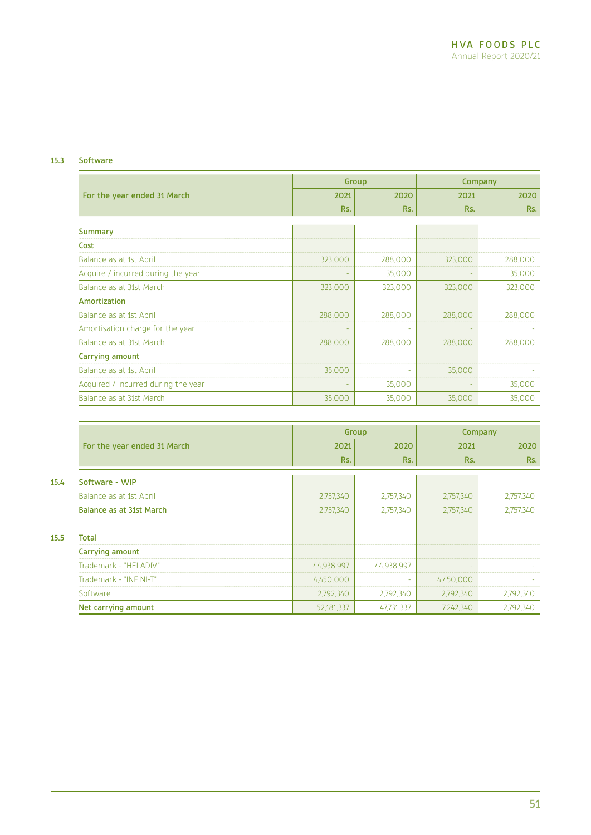# 15.3 Software

|                                     |         | Group   | Company |         |
|-------------------------------------|---------|---------|---------|---------|
| For the year ended 31 March         | 2021    | 2020    | 2021    | 2020    |
|                                     | Rs.     | Rs.     | Rs.     | Rs.     |
| Summary                             |         |         |         |         |
| Cost                                |         |         |         |         |
| Balance as at 1st April             | 323,000 | 288,000 | 323,000 | 288,000 |
| Acquire / incurred during the year  |         | 35,000  |         | 35,000  |
| Balance as at 31st March            | 323,000 | 323,000 | 323,000 | 323,000 |
| Amortization                        |         |         |         |         |
| Balance as at 1st April             | 288,000 | 288,000 | 288,000 | 288,000 |
| Amortisation charge for the year    |         |         |         |         |
| Balance as at 31st March            | 288,000 | 288,000 | 288,000 | 288,000 |
| Carrying amount                     |         |         |         |         |
| Balance as at 1st April             | 35,000  |         | 35,000  |         |
| Acquired / incurred during the year |         | 35,000  |         | 35,000  |
| Balance as at 31st March            | 35,000  | 35,000  | 35,000  | 35,000  |

|      |                             |            | Group      | Company   |           |
|------|-----------------------------|------------|------------|-----------|-----------|
|      | For the year ended 31 March | 2021       | 2020       | 2021      | 2020      |
|      |                             | Rs.        | Rs.        | Rs.       | Rs.       |
| 15.4 | Software - WIP              |            |            |           |           |
|      | Balance as at 1st April     | 2,757,340  | 2,757,340  | 2,757,340 | 2,757,340 |
|      | Balance as at 31st March    | 2,757,340  | 2,757,340  | 2,757,340 | 2,757,340 |
|      |                             |            |            |           |           |
| 15.5 | Total                       |            |            |           |           |
|      | Carrying amount             |            |            |           |           |
|      | Trademark - "HELADIV"       | 44,938,997 | 44,938,997 |           |           |
|      | Trademark - "INFINI-T"      | 4,450,000  |            | 4,450,000 |           |
|      | Software                    | 2,792,340  | 2,792,340  | 2,792,340 | 2,792,340 |
|      | Net carrying amount         | 52,181,337 | 47,731,337 | 7,242,340 | 2,792,340 |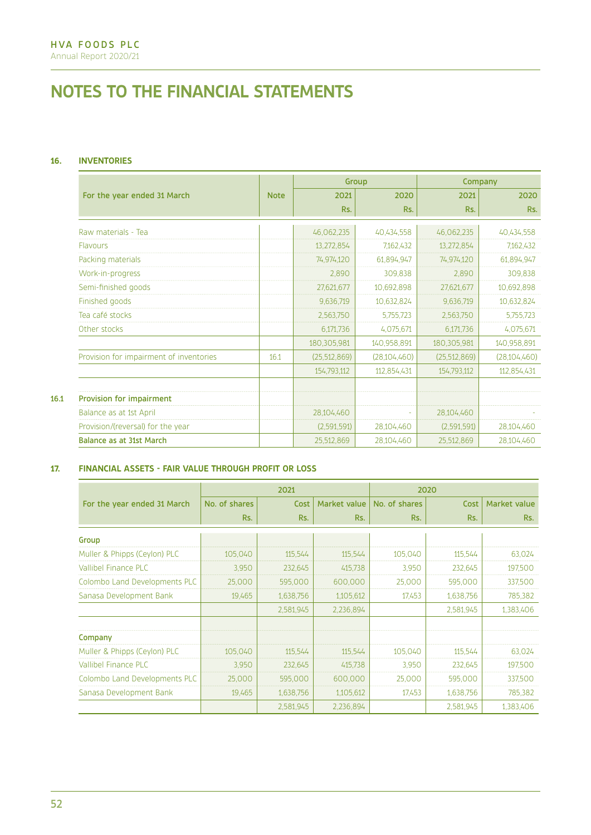# **16. INVENTORIES**

|                                         | Group       |                |                |                | Company        |
|-----------------------------------------|-------------|----------------|----------------|----------------|----------------|
| For the year ended 31 March             | <b>Note</b> | 2021           | 2020           | 2021           | 2020           |
|                                         |             | Rs.            | Rs.            | Rs.            | Rs.            |
| Raw materials - Tea                     |             | 46,062,235     | 40,434,558     | 46,062,235     | 40,434,558     |
| Flavours                                |             | 13,272,854     | 7,162,432      | 13,272,854     | 7,162,432      |
| Packing materials                       |             | 74,974,120     | 61,894,947     | 74,974,120     | 61,894,947     |
| Work-in-progress                        |             | 2,890          | 309,838        | 2,890          | 309,838        |
| Semi-finished goods                     |             | 27,621,677     | 10,692,898     | 27,621,677     | 10,692,898     |
| Finished goods                          |             | 9,636,719      | 10,632,824     | 9,636,719      | 10,632,824     |
| Tea café stocks                         |             | 2,563,750      | 5,755,723      | 2,563,750      | 5,755,723      |
| Other stocks                            |             | 6,171,736      | 4,075,671      | 6,171,736      | 4,075,671      |
|                                         |             | 180,305,981    | 140,958,891    | 180,305,981    | 140,958,891    |
| Provision for impairment of inventories | 16.1        | (25, 512, 869) | (28, 104, 460) | (25, 512, 869) | (28, 104, 460) |
|                                         |             | 154,793,112    | 112,854,431    | 154,793,112    | 112,854,431    |
| Provision for impairment                |             |                |                |                |                |
| Balance as at 1st April                 |             | 28,104,460     |                | 28,104,460     |                |
| Provision/(reversal) for the year       |             | (2,591,591)    | 28,104,460     | (2,591,591)    | 28,104,460     |
| <b>Balance as at 31st March</b>         |             | 25,512,869     | 28,104,460     | 25.512.869     | 28,104,460     |

# **17. FINANCIAL ASSETS - FAIR VALUE THROUGH PROFIT OR LOSS**

|                               |               | 2021      |              | 2020          |           |              |
|-------------------------------|---------------|-----------|--------------|---------------|-----------|--------------|
| For the year ended 31 March   | No. of shares | Cost      | Market value | No. of shares | Cost      | Market value |
|                               | Rs.           | Rs.       | Rs.          | Rs.           | Rs.       | Rs.          |
| Group                         |               |           |              |               |           |              |
| Muller & Phipps (Ceylon) PLC  | 105,040       | 115,544   | 115,544      | 105,040       | 115,544   | 63,024       |
| Vallibel Finance PLC          | 3.950         | 232,645   | 415,738      | 3,950         | 232,645   | 197,500      |
| Colombo Land Developments PLC | 25,000        | 595,000   | 600,000      | 25,000        | 595,000   | 337,500      |
| Sanasa Development Bank       | 19,465        | 1,638,756 | 1,105,612    | 17,453        | 1,638,756 | 785,382      |
|                               |               | 2,581,945 | 2,236,894    |               | 2,581,945 | 1,383,406    |
| Company                       |               |           |              |               |           |              |
| Muller & Phipps (Ceylon) PLC  | 105,040       | 115,544   | 115,544      | 105,040       | 115,544   | 63,024       |
| <b>Vallibel Finance PLC</b>   | 3.950         | 232,645   | 415,738      | 3,950         | 232,645   | 197,500      |
| Colombo Land Developments PLC | 25,000        | 595,000   | 600,000      | 25,000        | 595,000   | 337,500      |
| Sanasa Development Bank       | 19,465        | 1,638,756 | 1,105,612    | 17,453        | 1,638,756 | 785,382      |
|                               |               | 2,581,945 | 2,236,894    |               | 2,581,945 | 1,383,406    |

 $16.1$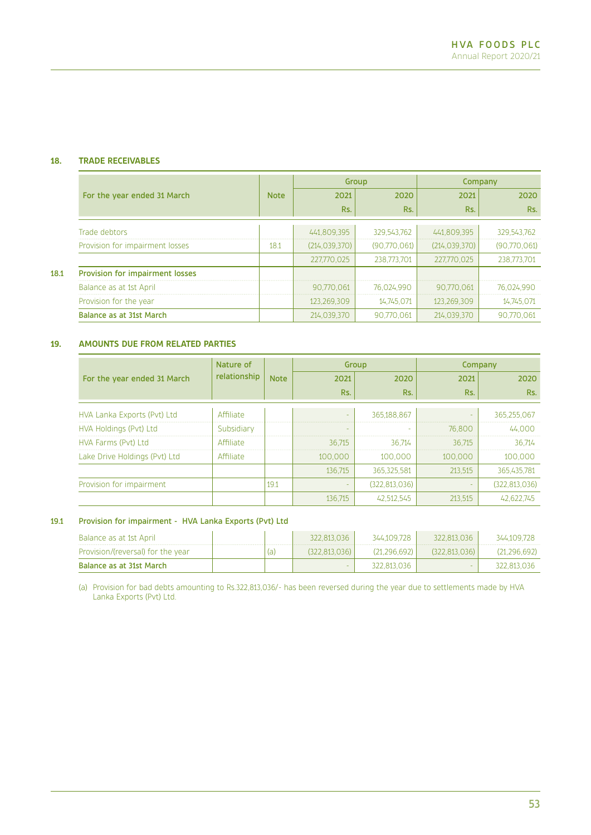# **18. TRADE RECEIVABLES**

|      |                                 |             | Group           |              | Company         |              |
|------|---------------------------------|-------------|-----------------|--------------|-----------------|--------------|
|      | For the year ended 31 March     | <b>Note</b> | 2021            | 2020         | 2021            | 2020         |
|      |                                 |             | Rs.             | Rs.          | Rs.             | Rs.          |
|      | Trade debtors                   |             | 441,809,395     | 329,543,762  | 441,809,395     | 329,543,762  |
|      | Provision for impairment losses | 18.1        | (214, 039, 370) | (90,770,061) | (214, 039, 370) | (90,770,061) |
|      |                                 |             | 227,770,025     | 238,773,701  | 227,770,025     | 238,773,701  |
| 18.1 | Provision for impairment losses |             |                 |              |                 |              |
|      | Balance as at 1st April         |             | 90,770,061      | 76,024,990   | 90.770.061      | 76,024,990   |
|      | Provision for the year          |             | 123,269,309     | 14,745,071   | 123,269,309     | 14,745,071   |
|      | Balance as at 31st March        |             | 214,039,370     | 90,770,061   | 214,039,370     | 90.770.061   |

# **19. AMOUNTS DUE FROM RELATED PARTIES**

|                               | Nature of<br>Group |             | Company                  |                 |         |                 |
|-------------------------------|--------------------|-------------|--------------------------|-----------------|---------|-----------------|
| For the year ended 31 March   | relationship       | <b>Note</b> | 2021                     | 2020            | 2021    | 2020            |
|                               |                    |             | Rs.                      | Rs.             | Rs.     | Rs.             |
| HVA Lanka Exports (Pvt) Ltd   | Affiliate          |             | ۰                        | 365,188,867     |         | 365,255,067     |
| HVA Holdings (Pvt) Ltd        | Subsidiary         |             | $\overline{\phantom{a}}$ |                 | 76,800  | 44,000          |
| HVA Farms (Pvt) Ltd           | Affiliate          |             | 36.715                   | 36.714          | 36,715  | 36.714          |
| Lake Drive Holdings (Pvt) Ltd | Affiliate          |             | 100,000                  | 100,000         | 100,000 | 100,000         |
|                               |                    |             | 136,715                  | 365,325,581     | 213,515 | 365,435,781     |
| Provision for impairment      |                    | 19.1        |                          | (322, 813, 036) |         | (322, 813, 036) |
|                               |                    |             | 136,715                  | 42,512,545      | 213,515 | 42.622.745      |

## 19.1 Provision for impairment - HVA Lanka Exports (Pvt) Ltd

| Balance as at 1st April           | 322.813.036   | 344.109.728  | 322 813 036   | 344.109.728    |
|-----------------------------------|---------------|--------------|---------------|----------------|
| Provision/(reversal) for the year | (322.813.036) | (21.296.692) | (322.813.036) | (21, 296, 692) |
| Balance as at 31st March          |               | 322,813,036  | <b>.</b>      | 322.813.036    |

(a) Provision for bad debts amounting to Rs.322,813,036/- has been reversed during the year due to settlements made by HVA Lanka Exports (Pvt) Ltd.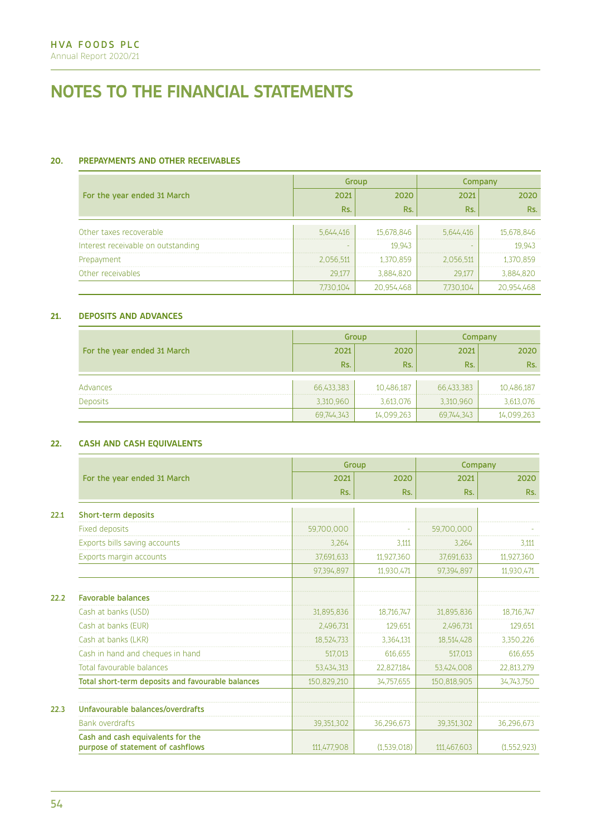# **20. PREPAYMENTS AND OTHER RECEIVABLES**

|                                    |           | Group      | Company   |            |
|------------------------------------|-----------|------------|-----------|------------|
| For the year ended 31 March        | 2021      | 2020       | 2021      | 2020       |
|                                    | Rs.       | Rs.        | Rs.       | Rs.        |
|                                    |           |            |           |            |
| Other taxes recoverable            | 5.644.416 | 15,678,846 | 5.644.416 | 15,678,846 |
| Interest receivable on outstanding |           | 19,943     |           | 19,943     |
| Prepayment                         | 2,056,511 | 1,370,859  | 2,056,511 | 1,370,859  |
| Other receivables                  | 29,177    | 3,884,820  | 29.177    | 3,884,820  |
|                                    | 7,730,104 | 20,954,468 | 7.730.104 | 20,954,468 |

## **21. DEPOSITS AND ADVANCES**

|                             |            | Group      | Company    |            |  |
|-----------------------------|------------|------------|------------|------------|--|
| For the year ended 31 March | 2021       | 2020       | 2021       | 2020       |  |
|                             | Rs.        | Rs.        | Rs.        | Rs.        |  |
|                             |            |            |            |            |  |
| Advances                    | 66,433,383 | 10,486,187 | 66,433,383 | 10,486,187 |  |
| <b>Deposits</b>             | 3,310,960  | 3,613,076  | 3,310,960  | 3,613,076  |  |
|                             | 69,744,343 | 14,099,263 | 69,744,343 | 14,099,263 |  |

## **22. CASH AND CASH EQUIVALENTS**

|      |                                                                        |             | Group       | Company     |             |
|------|------------------------------------------------------------------------|-------------|-------------|-------------|-------------|
|      | For the year ended 31 March                                            | 2021        | 2020        | 2021        | 2020        |
|      |                                                                        | Rs.         | Rs.         | Rs.         | Rs.         |
| 22.1 | Short-term deposits                                                    |             |             |             |             |
|      | <b>Fixed deposits</b>                                                  | 59,700,000  |             | 59.700.000  |             |
|      | Exports bills saving accounts                                          | 3.264       | 3,111       | 3.264       | 3.111       |
|      | Exports margin accounts                                                | 37,691,633  | 11,927,360  | 37,691,633  | 11,927,360  |
|      |                                                                        | 97.394.897  | 11.930.471  | 97.394.897  | 11,930,471  |
| 22.2 | <b>Favorable balances</b>                                              |             |             |             |             |
|      | Cash at banks (USD)                                                    | 31,895,836  | 18,716,747  | 31,895,836  | 18,716,747  |
|      | Cash at banks (EUR)                                                    | 2,496,731   | 129,651     | 2,496,731   | 129,651     |
|      | Cash at banks (LKR)                                                    | 18,524,733  | 3,364,131   | 18,514,428  | 3,350,226   |
|      | Cash in hand and cheques in hand                                       | 517.013     | 616,655     | 517.013     | 616,655     |
|      | Total favourable balances                                              | 53,434,313  | 22,827,184  | 53,424,008  | 22,813,279  |
|      | Total short-term deposits and favourable balances                      | 150,829,210 | 34,757,655  | 150,818,905 | 34,743,750  |
| 22.3 | Unfavourable balances/overdrafts                                       |             |             |             |             |
|      | <b>Bank overdrafts</b>                                                 | 39,351,302  | 36,296,673  | 39,351,302  | 36,296,673  |
|      | Cash and cash equivalents for the<br>purpose of statement of cashflows | 111,477,908 | (1,539,018) | 111,467,603 | (1,552,923) |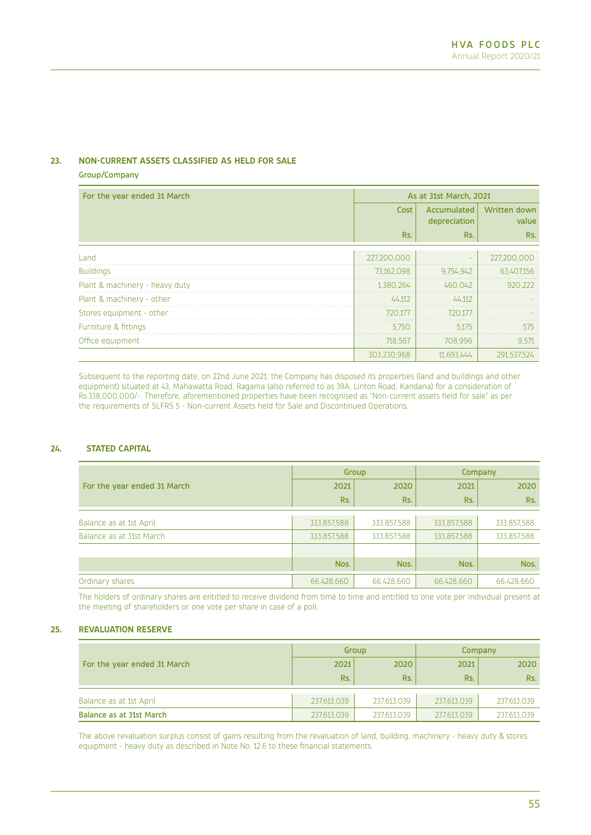## **23. NON-CURRENT ASSETS CLASSIFIED AS HELD FOR SALE**

Group/Company

| For the year ended 31 March    | As at 31st March, 2021 |                             |                              |  |
|--------------------------------|------------------------|-----------------------------|------------------------------|--|
|                                | Cost                   | Accumulated<br>depreciation | <b>Written down</b><br>value |  |
|                                | Rs.                    | Rs.                         | Rs.                          |  |
| Land                           | 227,200,000            |                             | 227,200,000                  |  |
| <b>Buildings</b>               | 73,162,098             | 9,754,942                   | 63,407,156                   |  |
| Plant & machinery - heavy duty | 1,380,264              | 460,042                     | 920,222                      |  |
| Plant & machinery - other      | 44,112                 | 44,112                      |                              |  |
| Stores equipment - other       | 720,177                | 720,177                     |                              |  |
| Furniture & fittings           | 5,750                  | 5.175                       | 575                          |  |
| Office equipment               | 718,567                | 708,996                     | 9.571                        |  |
|                                | 303,230,968            | 11,693,444                  | 291,537,524                  |  |

Subsequent to the reporting date, on 22nd June 2021, the Company has disposed its properties (land and buildings and other equipment) situated at 43, Mahawatta Road, Ragama (also referred to as 39A, Linton Road, Kandana) for a consideration of Rs.338,000,000/-. Therefore, aforementioned properties have been recognised as "Non-current assets held for sale" as per the requirements of SLFRS 5 - Non-current Assets held for Sale and Discontinued Operations.

## **24. STATED CAPITAL**

|                             | Group       |             | Company     |             |
|-----------------------------|-------------|-------------|-------------|-------------|
| For the year ended 31 March | 2021        | 2020        | 2021        | 2020        |
|                             | Rs.         | Rs.         | Rs.         | Rs.         |
|                             |             |             |             |             |
| Balance as at 1st April     | 333,857,588 | 333,857,588 | 333,857,588 | 333,857,588 |
| Balance as at 31st March    | 333,857,588 | 333,857,588 | 333,857,588 | 333,857,588 |
|                             |             |             |             |             |
|                             | Nos.        | Nos.        | Nos.        | Nos.        |
| Ordinary shares             | 66,428,660  | 66,428,660  | 66,428,660  | 66,428,660  |

The holders of ordinary shares are entitled to receive dividend from time to time and entitled to one vote per individual present at the meeting of shareholders or one vote per share in case of a poll.

## **25. REVALUATION RESERVE**

|                             | Group       |             | Company     |             |
|-----------------------------|-------------|-------------|-------------|-------------|
| For the year ended 31 March | 2021        | 2020        | 2021        | 2020        |
|                             | Rs.         | Rs.         | Rs.         | Rs.         |
| Balance as at 1st April     | 237,613,039 | 237,613,039 | 237,613,039 | 237,613,039 |
| Balance as at 31st March    | 237,613,039 | 237,613,039 | 237,613,039 | 237,613,039 |

The above revaluation surplus consist of gains resulting from the revaluation of land, building, machinery - heavy duty & stores equipment - heavy duty as described in Note No. 12.6 to these financial statements.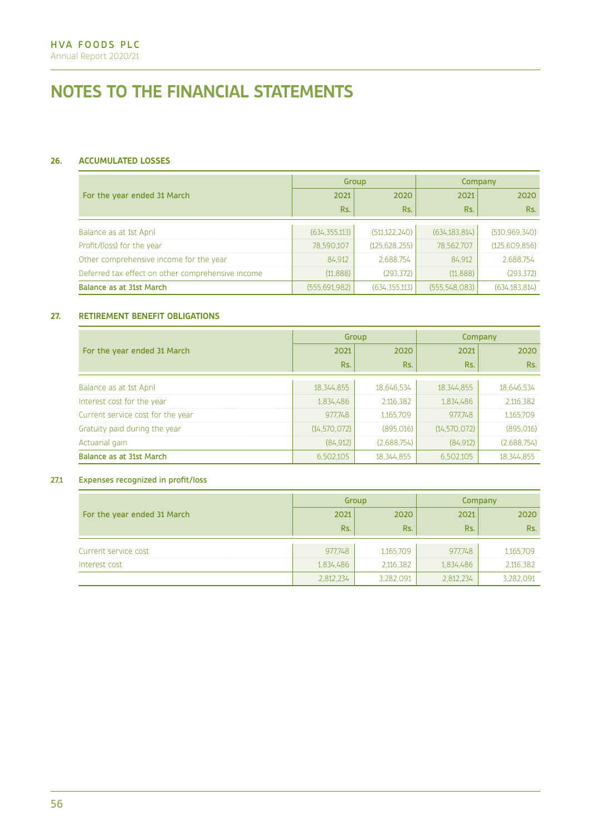# **26. ACCUMULATED LOSSES**

|                                                   |                 | Group           | Company         |                 |
|---------------------------------------------------|-----------------|-----------------|-----------------|-----------------|
| For the year ended 31 March                       | 2021            | 2020            | 2021            | 2020            |
|                                                   | Rs.             | Rs.             | Rs.             | Rs.             |
|                                                   |                 |                 |                 |                 |
| Balance as at 1st April                           | (634, 355, 113) | (511, 122, 240) | (634, 183, 814) | (510, 969, 340) |
| Profit/(loss) for the year                        | 78,590,107      | (125.628.255)   | 78,562,707      | (125,609,856)   |
| Other comprehensive income for the year           | 84,912          | 2.688.754       | 84,912          | 2,688,754       |
| Deferred tax effect on other comprehensive income | (11, 888)       | (293, 372)      | (11, 888)       | (293, 372)      |
| Balance as at 31st March                          | (555, 691, 982) | (634, 355, 113) | (555,548,083)   | (634, 183, 814) |

## **27. RETIREMENT BENEFIT OBLIGATIONS**

|                                   |                | Group       | Company        |              |
|-----------------------------------|----------------|-------------|----------------|--------------|
| For the year ended 31 March       | 2021           | 2020        | 2021           | 2020         |
|                                   | Rs.            | Rs.         | Rs.            | Rs.          |
| Balance as at 1st April           | 18, 344, 855   | 18,646,534  | 18,344,855     | 18,646,534   |
| Interest cost for the year        | 1,834,486      | 2,116,382   | 1,834,486      | 2,116,382    |
| Current service cost for the year | 977,748        | 1,165,709   | 977,748        | 1,165,709    |
| Gratuity paid during the year     | (14, 570, 072) | (895,016)   | (14, 570, 072) | (895, 016)   |
| Actuarial gain                    | (84, 912)      | (2,688,754) | (84, 912)      | (2,688,754)  |
| Balance as at 31st March          | 6,502,105      | 18,344,855  | 6,502,105      | 18, 344, 855 |

## 27.1 Expenses recognized in profit/loss

|                             | Group     |           | Company   |           |
|-----------------------------|-----------|-----------|-----------|-----------|
| For the year ended 31 March | 2021      | 2020      | 2021      | 2020      |
|                             | Rs.       | Rs.       | Rs.       | Rs.       |
| Current service cost        | 977,748   | 1,165,709 | 977,748   | 1,165,709 |
| Interest cost               | 1,834,486 | 2,116,382 | 1,834,486 | 2,116,382 |
|                             | 2,812,234 | 3,282,091 | 2,812,234 | 3,282,091 |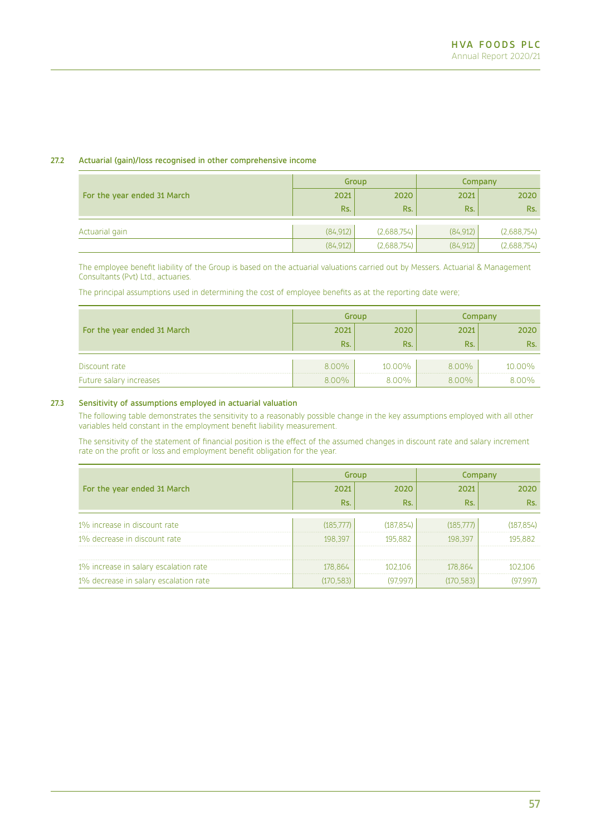## 27.2 Actuarial (gain)/loss recognised in other comprehensive income

|                             | Group     |             | Company   |             |
|-----------------------------|-----------|-------------|-----------|-------------|
| For the year ended 31 March | 2021      | 2020        | 2021      | 2020        |
|                             | Rs.       | Rs.         | Rs.       | Rs.         |
| Actuarial gain              | (84, 912) | (2,688,754) | (84, 912) | (2,688,754) |
|                             |           |             |           |             |
|                             | (84, 912) | (2,688,754) | (84, 912) | (2,688,754) |

The employee benefit liability of the Group is based on the actuarial valuations carried out by Messers. Actuarial & Management Consultants (Pvt) Ltd., actuaries.

The principal assumptions used in determining the cost of employee benefits as at the reporting date were;

|                             | Group |        | Company |        |
|-----------------------------|-------|--------|---------|--------|
| For the year ended 31 March | 2021  | 2020   | 2021    | 2020   |
|                             | Rs.   | Rs.    | Rs.     | Rs.    |
| Discount rate               | 8.00% | 10.00% | 8.00%   | 10.00% |
| Future salary increases     | 8.00% | 8.00%  | 8.00%   | 8.00%  |

## 27.3 Sensitivity of assumptions employed in actuarial valuation

The following table demonstrates the sensitivity to a reasonably possible change in the key assumptions employed with all other variables held constant in the employment benefit liability measurement.

The sensitivity of the statement of financial position is the effect of the assumed changes in discount rate and salary increment rate on the profit or loss and employment benefit obligation for the year.

|                                       |            | Group      | Company    |            |
|---------------------------------------|------------|------------|------------|------------|
| For the year ended 31 March           | 2021       | 2020       | 2021       | 2020       |
|                                       | Rs.        | Rs.        | Rs.        | Rs.        |
|                                       |            |            |            |            |
| 1% increase in discount rate          | (185,777)  | (187, 854) | (185,777)  | (187, 854) |
| 1% decrease in discount rate          | 198,397    | 195,882    | 198,397    | 195,882    |
|                                       |            |            |            |            |
| 1% increase in salary escalation rate | 178,864    | 102.106    | 178,864    | 102.106    |
| 1% decrease in salary escalation rate | (170, 583) | (97.997)   | (170, 583) | (97, 997)  |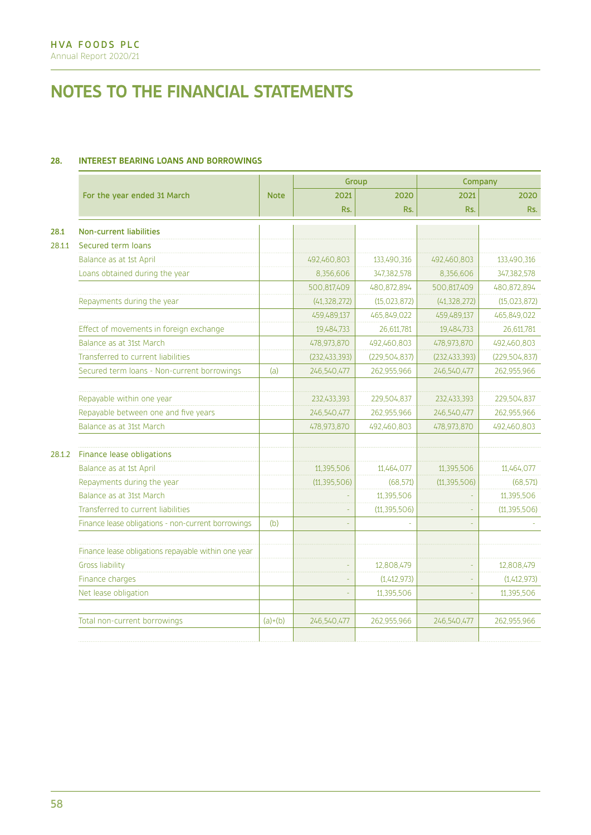# **28. INTEREST BEARING LOANS AND BORROWINGS**

|                                                    |                                                                                                                                                                                                                                                                                                                                                                                                            | Group           |                 | Company         |                 |
|----------------------------------------------------|------------------------------------------------------------------------------------------------------------------------------------------------------------------------------------------------------------------------------------------------------------------------------------------------------------------------------------------------------------------------------------------------------------|-----------------|-----------------|-----------------|-----------------|
| For the year ended 31 March                        | <b>Note</b>                                                                                                                                                                                                                                                                                                                                                                                                | 2021            | 2020            | 2021            | 2020            |
|                                                    |                                                                                                                                                                                                                                                                                                                                                                                                            | Rs.             | Rs.             | Rs.             | Rs.             |
| <b>Non-current liabilities</b>                     |                                                                                                                                                                                                                                                                                                                                                                                                            |                 |                 |                 |                 |
| Secured term loans                                 |                                                                                                                                                                                                                                                                                                                                                                                                            |                 |                 |                 |                 |
| Balance as at 1st April                            |                                                                                                                                                                                                                                                                                                                                                                                                            | 492,460,803     | 133,490,316     | 492,460,803     | 133,490,316     |
| Loans obtained during the year                     |                                                                                                                                                                                                                                                                                                                                                                                                            | 8,356,606       | 347,382,578     | 8,356,606       | 347,382,578     |
|                                                    |                                                                                                                                                                                                                                                                                                                                                                                                            | 500,817,409     | 480,872,894     | 500,817,409     | 480,872,894     |
| Repayments during the year                         |                                                                                                                                                                                                                                                                                                                                                                                                            | (41, 328, 272)  | (15, 023, 872)  | (41, 328, 272)  | (15, 023, 872)  |
|                                                    |                                                                                                                                                                                                                                                                                                                                                                                                            | 459,489,137     | 465,849,022     | 459,489,137     | 465,849,022     |
|                                                    |                                                                                                                                                                                                                                                                                                                                                                                                            | 19,484,733      | 26,611,781      | 19,484,733      | 26,611,781      |
|                                                    |                                                                                                                                                                                                                                                                                                                                                                                                            | 478,973,870     | 492,460,803     | 478,973,870     | 492,460,803     |
| Transferred to current liabilities                 |                                                                                                                                                                                                                                                                                                                                                                                                            | (232, 433, 393) | (229, 504, 837) | (232, 433, 393) | (229, 504, 837) |
|                                                    | (a)                                                                                                                                                                                                                                                                                                                                                                                                        | 246,540,477     | 262,955,966     | 246,540,477     | 262,955,966     |
|                                                    |                                                                                                                                                                                                                                                                                                                                                                                                            | 232,433,393     | 229,504,837     | 232,433,393     | 229,504,837     |
| Repayable between one and five years               |                                                                                                                                                                                                                                                                                                                                                                                                            | 246,540,477     | 262,955,966     | 246,540,477     | 262,955,966     |
| Balance as at 31st March                           |                                                                                                                                                                                                                                                                                                                                                                                                            | 478,973,870     | 492,460,803     | 478,973,870     | 492,460,803     |
|                                                    |                                                                                                                                                                                                                                                                                                                                                                                                            |                 |                 |                 |                 |
| Balance as at 1st April                            |                                                                                                                                                                                                                                                                                                                                                                                                            | 11,395,506      | 11,464,077      | 11,395,506      | 11,464,077      |
| Repayments during the year                         |                                                                                                                                                                                                                                                                                                                                                                                                            | (11, 395, 506)  | (68.571)        | (11, 395, 506)  | (68, 571)       |
|                                                    |                                                                                                                                                                                                                                                                                                                                                                                                            |                 | 11,395,506      |                 | 11,395,506      |
|                                                    |                                                                                                                                                                                                                                                                                                                                                                                                            |                 | (11, 395, 506)  |                 | (11, 395, 506)  |
| Finance lease obligations - non-current borrowings | (b)                                                                                                                                                                                                                                                                                                                                                                                                        |                 |                 |                 |                 |
|                                                    |                                                                                                                                                                                                                                                                                                                                                                                                            |                 |                 |                 |                 |
|                                                    |                                                                                                                                                                                                                                                                                                                                                                                                            |                 | 12,808,479      | ä,              | 12,808,479      |
|                                                    |                                                                                                                                                                                                                                                                                                                                                                                                            |                 | (1,412,973)     |                 | (1,412,973)     |
|                                                    |                                                                                                                                                                                                                                                                                                                                                                                                            |                 | 11,395,506      |                 | 11,395,506      |
|                                                    | $(a)+(b)$                                                                                                                                                                                                                                                                                                                                                                                                  | 246,540,477     | 262.955.966     | 246,540,477     | 262,955,966     |
|                                                    | Effect of movements in foreign exchange<br>Balance as at 31st March<br>Secured term loans - Non-current borrowings<br>Repayable within one year<br>Finance lease obligations<br>Balance as at 31st March<br>Transferred to current liabilities<br>Finance lease obligations repayable within one year<br><b>Gross liability</b><br>Finance charges<br>Net lease obligation<br>Total non-current borrowings |                 |                 |                 |                 |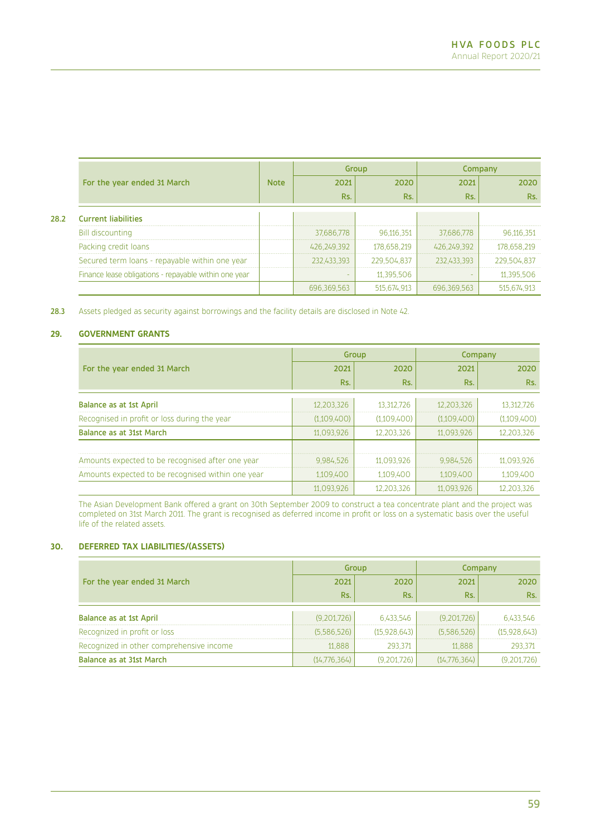|      |                                                       |             | Group       |             | Company     |             |
|------|-------------------------------------------------------|-------------|-------------|-------------|-------------|-------------|
|      | For the year ended 31 March                           | <b>Note</b> | 2021        | 2020        | 2021        | 2020        |
|      |                                                       |             | Rs.         | Rs.         | Rs.         | Rs.         |
| 28.2 | <b>Current liabilities</b>                            |             |             |             |             |             |
|      | <b>Bill discounting</b>                               |             | 37,686,778  | 96,116,351  | 37,686,778  | 96,116,351  |
|      | Packing credit loans                                  |             | 426,249,392 | 178,658,219 | 426,249,392 | 178,658,219 |
|      | Secured term loans - repayable within one year        |             | 232,433,393 | 229,504,837 | 232,433,393 | 229,504,837 |
|      | Finance lease obligations - repayable within one year |             |             | 11,395,506  |             | 11,395,506  |
|      |                                                       |             | 696,369,563 | 515,674,913 | 696.369.563 | 515,674,913 |

28.3 Assets pledged as security against borrowings and the facility details are disclosed in Note 42.

## **29. GOVERNMENT GRANTS**

|                                                   |             | Group       | Company     |             |
|---------------------------------------------------|-------------|-------------|-------------|-------------|
| For the year ended 31 March                       | 2021        | 2020        | 2021        | 2020        |
|                                                   | Rs.         | Rs.         | Rs.         | Rs.         |
| Balance as at 1st April                           | 12,203,326  | 13.312.726  | 12,203,326  | 13,312,726  |
| Recognised in profit or loss during the year      | (1,109,400) | (1,109,400) | (1,109,400) | (1,109,400) |
| Balance as at 31st March                          | 11,093,926  | 12,203,326  | 11,093,926  | 12,203,326  |
|                                                   |             |             |             |             |
| Amounts expected to be recognised after one year  | 9,984,526   | 11,093,926  | 9,984,526   | 11,093,926  |
| Amounts expected to be recognised within one year | 1,109,400   | 1,109,400   | 1,109,400   | 1,109,400   |
|                                                   | 11,093,926  | 12,203,326  | 11,093,926  | 12,203,326  |

The Asian Development Bank offered a grant on 30th September 2009 to construct a tea concentrate plant and the project was completed on 31st March 2011. The grant is recognised as deferred income in profit or loss on a systematic basis over the useful life of the related assets.

# **30. DEFERRED TAX LIABILITIES/(ASSETS)**

|                                          | Group        |              | Company      |              |
|------------------------------------------|--------------|--------------|--------------|--------------|
| For the year ended 31 March              | 2021         | 2020         | 2021         | 2020         |
|                                          | Rs.          | Rs.          | Rs.          | Rs.          |
| Balance as at 1st April                  | (9,201,726)  | 6.433.546    | (9,201,726)  | 6,433,546    |
| Recognized in profit or loss             | (5,586,526)  | (15,928,643) | (5.586.526)  | (15.928.643) |
| Recognized in other comprehensive income | 11,888       | 293,371      | 11,888       | 293,371      |
| Balance as at 31st March                 | (14,776,364) | (9,201,726)  | (14,776,364) | (9,201,726)  |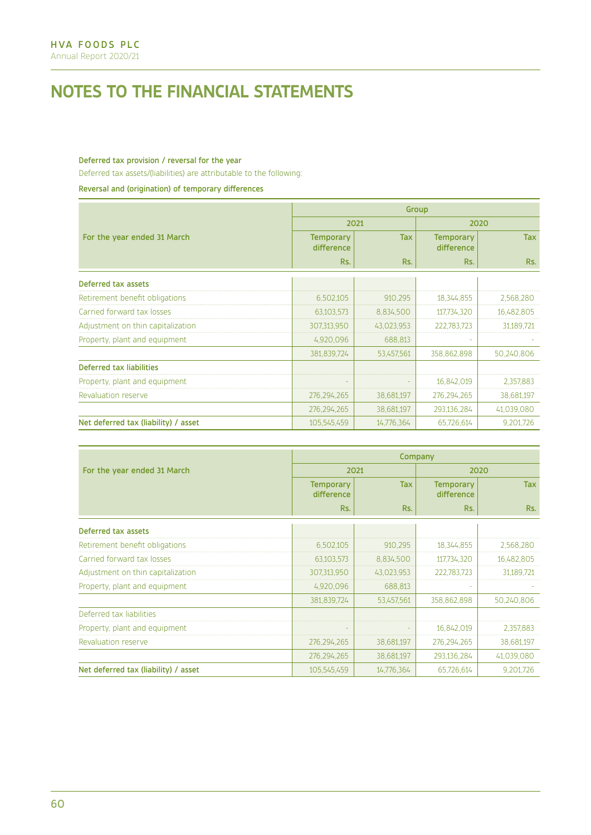## Deferred tax provision / reversal for the year

Deferred tax assets/(liabilities) are attributable to the following:

Reversal and (origination) of temporary differences

|                                      | Group                          |            |                                |            |  |
|--------------------------------------|--------------------------------|------------|--------------------------------|------------|--|
|                                      |                                | 2021       |                                | 2020       |  |
| For the year ended 31 March          | <b>Temporary</b><br>difference | <b>Tax</b> | <b>Temporary</b><br>difference | <b>Tax</b> |  |
|                                      | Rs.                            | Rs.        | Rs.                            | Rs.        |  |
| Deferred tax assets                  |                                |            |                                |            |  |
| Retirement benefit obligations       | 6,502,105                      | 910,295    | 18, 344, 855                   | 2,568,280  |  |
| Carried forward tax losses           | 63,103,573                     | 8,834,500  | 117,734,320                    | 16,482,805 |  |
| Adjustment on thin capitalization    | 307,313,950                    | 43,023,953 | 222,783,723                    | 31,189,721 |  |
| Property, plant and equipment        | 4,920,096                      | 688,813    |                                |            |  |
|                                      | 381,839,724                    | 53,457,561 | 358,862,898                    | 50,240,806 |  |
| Deferred tax liabilities             |                                |            |                                |            |  |
| Property, plant and equipment        |                                |            | 16,842,019                     | 2,357,883  |  |
| Revaluation reserve                  | 276, 294, 265                  | 38,681,197 | 276,294,265                    | 38,681,197 |  |
|                                      | 276,294,265                    | 38,681,197 | 293,136,284                    | 41,039,080 |  |
| Net deferred tax (liability) / asset | 105,545,459                    | 14,776,364 | 65,726,614                     | 9,201,726  |  |

|                                      | Company                        |            |                                |            |  |
|--------------------------------------|--------------------------------|------------|--------------------------------|------------|--|
| For the year ended 31 March          |                                | 2021       | 2020                           |            |  |
|                                      | <b>Temporary</b><br>difference | <b>Tax</b> | <b>Temporary</b><br>difference | <b>Tax</b> |  |
|                                      | Rs.                            | Rs.        | Rs.                            | Rs.        |  |
| Deferred tax assets                  |                                |            |                                |            |  |
| Retirement benefit obligations       | 6,502,105                      | 910,295    | 18, 344, 855                   | 2,568,280  |  |
| Carried forward tax losses           | 63,103,573                     | 8,834,500  | 117,734,320                    | 16,482,805 |  |
| Adjustment on thin capitalization    | 307,313,950                    | 43,023,953 | 222,783,723                    | 31,189,721 |  |
| Property, plant and equipment        | 4,920,096                      | 688,813    |                                |            |  |
|                                      | 381,839,724                    | 53,457,561 | 358,862,898                    | 50,240,806 |  |
| Deferred tax liabilities             |                                |            |                                |            |  |
| Property, plant and equipment        |                                |            | 16,842,019                     | 2,357,883  |  |
| Revaluation reserve                  | 276,294,265                    | 38,681,197 | 276,294,265                    | 38,681,197 |  |
|                                      | 276,294,265                    | 38,681,197 | 293,136,284                    | 41,039,080 |  |
| Net deferred tax (liability) / asset | 105,545,459                    | 14,776,364 | 65,726,614                     | 9,201,726  |  |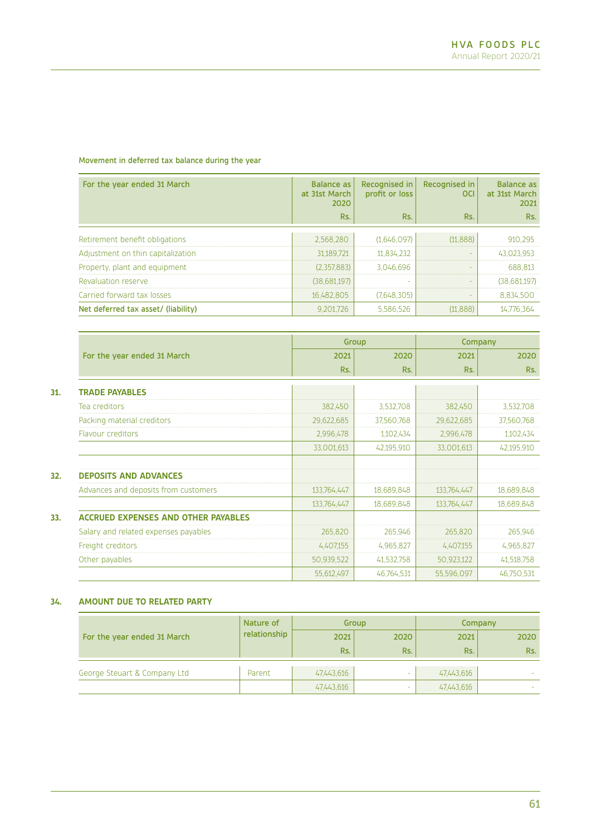## Movement in deferred tax balance during the year

| For the year ended 31 March         | <b>Balance as</b><br>at 31st March<br>2020 | Recognised in<br>profit or loss | Recognised in<br><b>OCI</b> | <b>Balance as</b><br>at 31st March<br>2021 |
|-------------------------------------|--------------------------------------------|---------------------------------|-----------------------------|--------------------------------------------|
|                                     | Rs.                                        | Rs.                             | Rs.                         | Rs.                                        |
| Retirement benefit obligations      | 2.568.280                                  | (1,646,097)                     | (11, 888)                   | 910,295                                    |
| Adjustment on thin capitalization   | 31,189,721                                 | 11,834,232                      |                             | 43,023,953                                 |
| Property, plant and equipment       | (2,357,883)                                | 3.046.696                       |                             | 688,813                                    |
| Revaluation reserve                 | (38,681,197)                               |                                 |                             | (38,681,197)                               |
| Carried forward tax losses          | 16.482.805                                 | (7.648.305)                     |                             | 8,834,500                                  |
| Net deferred tax asset/ (liability) | 9,201,726                                  | 5,586,526                       | (11, 888)                   | 14,776,364                                 |

|                                            |             | Group      | Company     |            |
|--------------------------------------------|-------------|------------|-------------|------------|
| For the year ended 31 March                | 2021        | 2020       | 2021        | 2020       |
|                                            | Rs.         | Rs.        | Rs.         | Rs.        |
| <b>TRADE PAYABLES</b>                      |             |            |             |            |
| Tea creditors                              | 382,450     | 3,532,708  | 382,450     | 3,532,708  |
| Packing material creditors                 | 29,622,685  | 37,560,768 | 29,622,685  | 37,560,768 |
| <b>Flavour creditors</b>                   | 2,996,478   | 1,102,434  | 2,996,478   | 1,102,434  |
|                                            | 33,001,613  | 42,195,910 | 33,001,613  | 42,195,910 |
| <b>DEPOSITS AND ADVANCES</b>               |             |            |             |            |
| Advances and deposits from customers       | 133,764,447 | 18,689,848 | 133,764,447 | 18,689,848 |
|                                            | 133,764,447 | 18,689,848 | 133,764,447 | 18,689,848 |
| <b>ACCRUED EXPENSES AND OTHER PAYABLES</b> |             |            |             |            |
| Salary and related expenses payables       | 265,820     | 265,946    | 265,820     | 265,946    |
| Freight creditors                          | 4,407,155   | 4,965,827  | 4,407,155   | 4,965,827  |
| Other payables                             | 50,939,522  | 41,532,758 | 50,923,122  | 41,518,758 |
|                                            | 55,612,497  | 46,764,531 | 55,596,097  | 46,750,531 |

## **34. AMOUNT DUE TO RELATED PARTY**

|                              | Nature of    | Group      |        | Company    |        |
|------------------------------|--------------|------------|--------|------------|--------|
| For the year ended 31 March  | relationship | 2021       | 2020   | 2021       | 2020   |
|                              |              | Rs.        | Rs.    | Rs.        | Rs.    |
| George Steuart & Company Ltd | Parent       | 47,443,616 | $\sim$ | 47,443,616 |        |
|                              |              | 47,443,616 | -      | 47,443,616 | $\sim$ |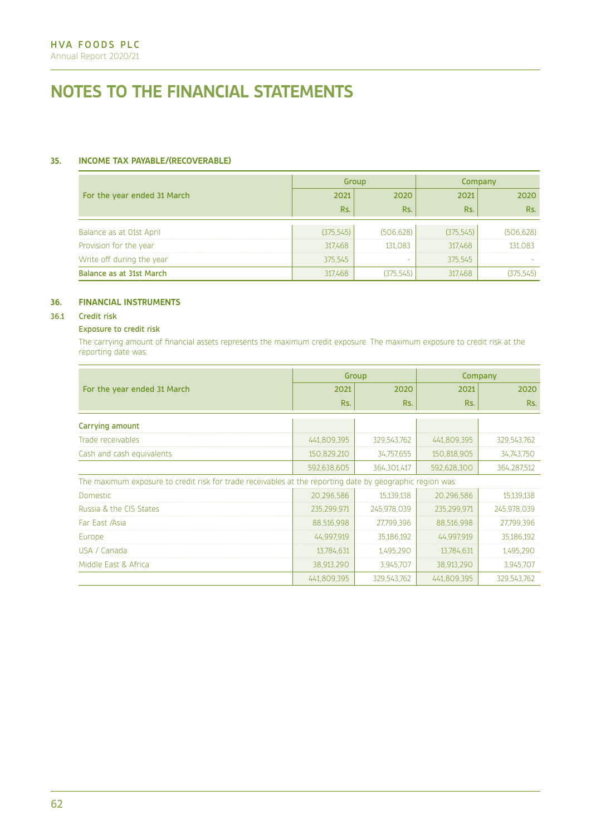# **35. INCOME TAX PAYABLE/(RECOVERABLE)**

|                             |            | Group      | Company   |            |
|-----------------------------|------------|------------|-----------|------------|
| For the year ended 31 March | 2021       | 2020       | 2021      | 2020       |
|                             | Rs.        | Rs.        | Rs.       | Rs.        |
|                             |            |            |           |            |
| Balance as at O1st April    | (375, 545) | (506, 628) | (375.545) | (506, 628) |
| Provision for the year      | 317,468    | 131,083    | 317,468   | 131,083    |
| Write off during the year   | 375,545    | <b>.</b>   | 375,545   |            |
| Balance as at 31st March    | 317,468    | (375,545)  | 317,468   | (375,545)  |

## **36. FINANCIAL INSTRUMENTS**

## 36.1 Credit risk

## Exposure to credit risk

The carrying amount of financial assets represents the maximum credit exposure. The maximum exposure to credit risk at the reporting date was:

|                                                                                                           |             | Group       | Company     |             |
|-----------------------------------------------------------------------------------------------------------|-------------|-------------|-------------|-------------|
| For the year ended 31 March                                                                               | 2021        | 2020        | 2021        | 2020        |
|                                                                                                           | Rs.         | Rs.         | Rs.         | Rs.         |
| Carrying amount                                                                                           |             |             |             |             |
| Trade receivables                                                                                         | 441,809,395 | 329,543,762 | 441,809,395 | 329,543,762 |
| Cash and cash equivalents                                                                                 | 150,829,210 | 34,757,655  | 150,818,905 | 34,743,750  |
|                                                                                                           | 592,638,605 | 364,301,417 | 592,628,300 | 364,287,512 |
| The maximum exposure to credit risk for trade receivables at the reporting date by geographic region was: |             |             |             |             |
| <b>Domestic</b>                                                                                           | 20,296,586  | 15,139,138  | 20,296,586  | 15,139,138  |
| Russia & the CIS States                                                                                   | 235,299,971 | 245,978,039 | 235,299,971 | 245,978,039 |
| Far East /Asia                                                                                            | 88,516,998  | 27,799,396  | 88,516,998  | 27,799,396  |
| Europe                                                                                                    | 44,997,919  | 35,186,192  | 44,997,919  | 35,186,192  |
| USA / Canada                                                                                              | 13,784,631  | 1,495,290   | 13,784,631  | 1,495,290   |
| Middle East & Africa                                                                                      | 38,913,290  | 3,945,707   | 38,913,290  | 3,945,707   |
|                                                                                                           | 441,809,395 | 329,543,762 | 441,809,395 | 329,543,762 |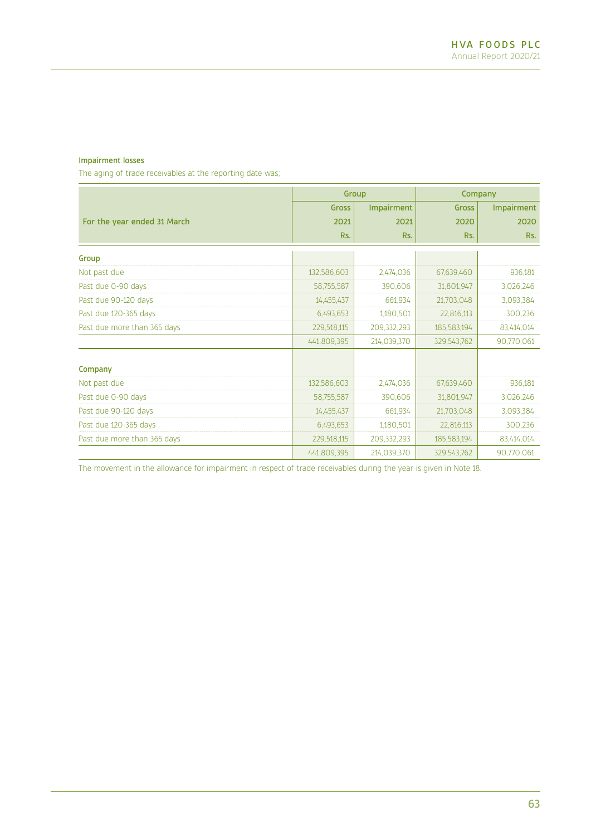## Impairment losses

The aging of trade receivables at the reporting date was;

|                             |              | Group       |             | Company    |
|-----------------------------|--------------|-------------|-------------|------------|
|                             | <b>Gross</b> | Impairment  | Gross       | Impairment |
| For the year ended 31 March | 2021         | 2021        | 2020        | 2020       |
|                             | Rs.          | Rs.         | Rs.         | Rs.        |
| Group                       |              |             |             |            |
| Not past due                | 132,586,603  | 2,474,036   | 67,639,460  | 936,181    |
| Past due 0-90 days          | 58,755,587   | 390,606     | 31,801,947  | 3,026,246  |
| Past due 90-120 days        | 14,455,437   | 661,934     | 21,703,048  | 3,093,384  |
| Past due 120-365 days       | 6,493,653    | 1,180,501   | 22,816,113  | 300,236    |
| Past due more than 365 days | 229,518,115  | 209,332,293 | 185,583,194 | 83,414,014 |
|                             | 441,809,395  | 214,039,370 | 329,543,762 | 90,770,061 |
| Company                     |              |             |             |            |
| Not past due                | 132,586,603  | 2,474,036   | 67,639,460  | 936,181    |
| Past due 0-90 days          | 58,755,587   | 390,606     | 31,801,947  | 3,026,246  |
| Past due 90-120 days        | 14,455,437   | 661,934     | 21,703,048  | 3,093,384  |
| Past due 120-365 days       | 6,493,653    | 1,180,501   | 22,816,113  | 300,236    |
| Past due more than 365 days | 229,518,115  | 209,332,293 | 185,583,194 | 83,414,014 |
|                             | 441,809,395  | 214,039,370 | 329,543,762 | 90,770,061 |

The movement in the allowance for impairment in respect of trade receivables during the year is given in Note 18.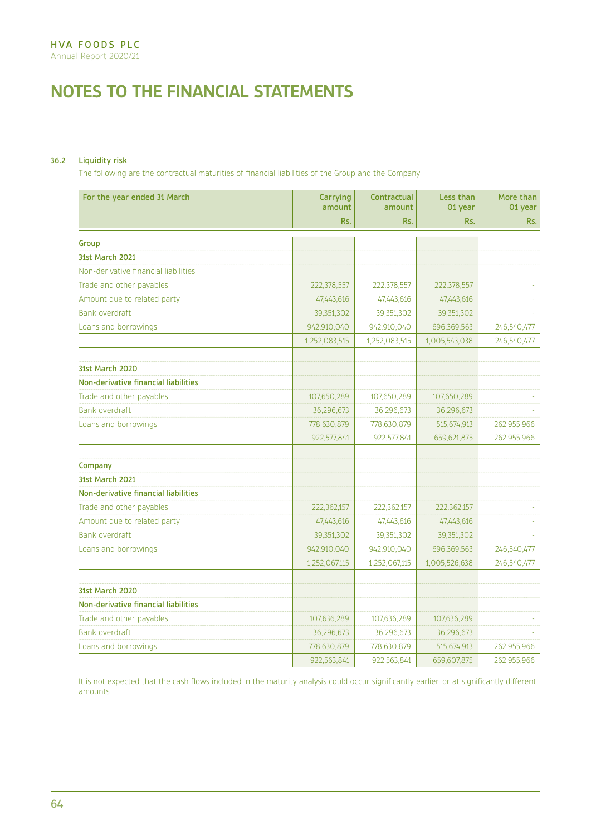## 36.2 Liquidity risk

The following are the contractual maturities of financial liabilities of the Group and the Company

| For the year ended 31 March          | Carrying      | Contractual   | Less than     | More than   |
|--------------------------------------|---------------|---------------|---------------|-------------|
|                                      | amount        | amount        | 01 vear       | 01 vear     |
|                                      | Rs.           | Rs.           | Rs.           | Rs.         |
| Group                                |               |               |               |             |
| <b>31st March 2021</b>               |               |               |               |             |
| Non-derivative financial liabilities |               |               |               |             |
| Trade and other payables             | 222,378,557   | 222,378,557   | 222,378,557   |             |
| Amount due to related party          | 47,443,616    | 47,443,616    | 47,443,616    |             |
| Bank overdraft                       | 39,351,302    | 39,351,302    | 39,351,302    |             |
| Loans and borrowings                 | 942,910,040   | 942,910,040   | 696,369,563   | 246,540,477 |
|                                      | 1,252,083,515 | 1,252,083,515 | 1,005,543,038 | 246,540,477 |
|                                      |               |               |               |             |
| <b>31st March 2020</b>               |               |               |               |             |
| Non-derivative financial liabilities |               |               |               |             |
| Trade and other payables             | 107,650,289   | 107,650,289   | 107,650,289   |             |
| <b>Bank overdraft</b>                | 36,296,673    | 36,296,673    | 36,296,673    |             |
| Loans and borrowings                 | 778,630,879   | 778,630,879   | 515,674,913   | 262,955,966 |
|                                      | 922,577,841   | 922,577,841   | 659,621,875   | 262,955,966 |
| Company                              |               |               |               |             |
| <b>31st March 2021</b>               |               |               |               |             |
| Non-derivative financial liabilities |               |               |               |             |
| Trade and other payables             | 222,362,157   | 222,362,157   | 222,362,157   |             |
| Amount due to related party          | 47,443,616    | 47,443,616    | 47,443,616    |             |
| <b>Bank overdraft</b>                | 39,351,302    | 39,351,302    | 39,351,302    |             |
| Loans and borrowings                 | 942,910,040   | 942,910,040   | 696,369,563   | 246,540,477 |
|                                      | 1,252,067,115 | 1,252,067,115 | 1,005,526,638 | 246,540,477 |
|                                      |               |               |               |             |
| 31st March 2020                      |               |               |               |             |
| Non-derivative financial liabilities |               |               |               |             |
| Trade and other payables             | 107,636,289   | 107,636,289   | 107,636,289   |             |
| <b>Bank overdraft</b>                | 36,296,673    | 36,296,673    | 36,296,673    |             |
| Loans and borrowings                 | 778,630,879   | 778,630,879   | 515,674,913   | 262,955,966 |
|                                      | 922,563,841   | 922,563,841   | 659,607,875   | 262,955,966 |

It is not expected that the cash flows included in the maturity analysis could occur significantly earlier, or at significantly different amounts.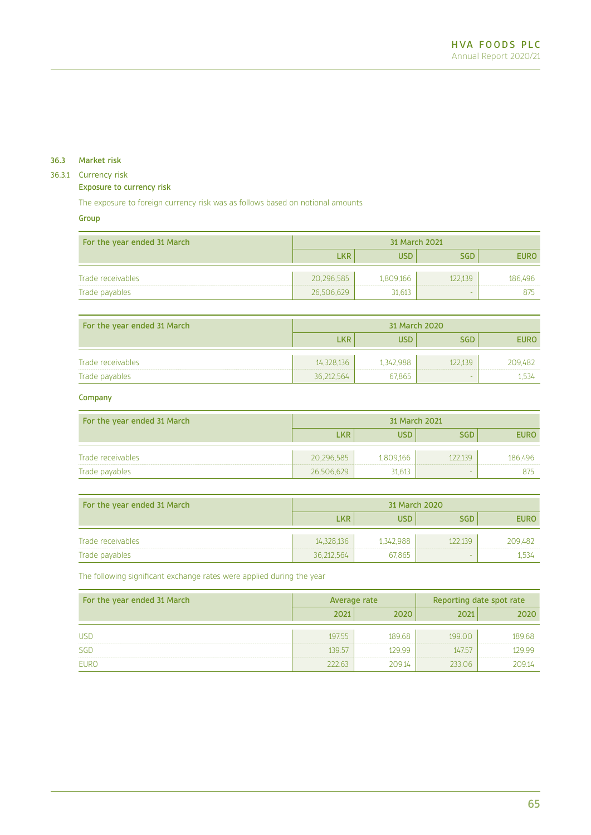## 36.3 Market risk

## 36.3.1 Currency risk

## Exposure to currency risk

The exposure to foreign currency risk was as follows based on notional amounts

## Group

| For the year ended 31 March | 31 March 2021 |           |            |             |
|-----------------------------|---------------|-----------|------------|-------------|
|                             | <b>LKR</b>    | USD       | <b>SGD</b> | <b>EURO</b> |
| Trade receivables           | 20.296.585    | 1.809.166 | 122139     | 186.496     |
| Trade payables              | 26,506,629    | 31.613    |            | 875         |

| For the year ended 31 March | 31 March 2020 |           |            |             |
|-----------------------------|---------------|-----------|------------|-------------|
|                             | LKR           | บรถ       | <b>SGD</b> | <b>EURO</b> |
| Trade receivables           | 14,328,136    | 1,342,988 | 122.139    | 209.482     |
| Trade payables              | 36,212,564    | 67,865    | -          | 1.534       |

## Company

| For the year ended 31 March | 31 March 2021 |           |            |             |
|-----------------------------|---------------|-----------|------------|-------------|
|                             | <b>LKR</b>    | USD       | <b>SGD</b> | <b>EURO</b> |
| Trade receivables           | 20,296,585    | 1.809.166 | 122139     | 186.496     |
| Trade payables              | 26,506,629    | 31,613    |            | 875         |

| For the year ended 31 March | 31 March 2020 |           |            |             |
|-----------------------------|---------------|-----------|------------|-------------|
|                             | <b>LKR</b>    | usd       | <b>SGD</b> | <b>EURO</b> |
| Trade receivables           | 14.328.136    | 1.342.988 | 122139     | 209.482     |
| Trade payables              | 36,212,564    | 67,865    |            | 1 534       |

The following significant exchange rates were applied during the year

| For the year ended 31 March | Average rate |        | Reporting date spot rate |        |
|-----------------------------|--------------|--------|--------------------------|--------|
|                             | 2021         | 2020   | 2021                     | 2020   |
|                             |              |        |                          |        |
| <b>USD</b>                  | 197.55       | 189.68 | 199.00                   | 189.68 |
| SGD                         | 139 57       | 129.99 | 14757                    | 129.99 |
| <b>EURO</b>                 | 222.63       | 209.14 | 233.06                   | 20914  |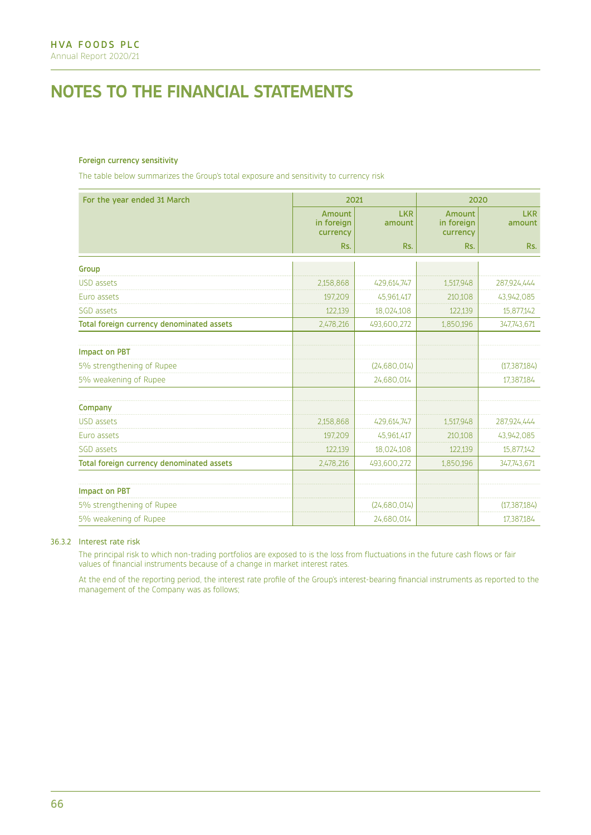## Foreign currency sensitivity

The table below summarizes the Group's total exposure and sensitivity to currency risk

| For the year ended 31 March               | 2021                                    |                      | 2020                                    |                      |
|-------------------------------------------|-----------------------------------------|----------------------|-----------------------------------------|----------------------|
|                                           | <b>Amount</b><br>in foreign<br>currency | <b>LKR</b><br>amount | <b>Amount</b><br>in foreign<br>currency | <b>LKR</b><br>amount |
|                                           | Rs.                                     | Rs.                  | Rs.                                     | Rs.                  |
| Group                                     |                                         |                      |                                         |                      |
| <b>USD</b> assets                         | 2,158,868                               | 429,614,747          | 1,517,948                               | 287,924,444          |
| Euro assets                               | 197,209                                 | 45,961,417           | 210,108                                 | 43,942,085           |
| SGD assets                                | 122,139                                 | 18,024,108           | 122,139                                 | 15,877,142           |
| Total foreign currency denominated assets | 2,478,216                               | 493,600,272          | 1,850,196                               | 347,743,671          |
| <b>Impact on PBT</b>                      |                                         |                      |                                         |                      |
| 5% strengthening of Rupee                 |                                         | (24,680,014)         |                                         | (17, 387, 184)       |
| 5% weakening of Rupee                     |                                         | 24,680,014           |                                         | 17,387,184           |
| Company                                   |                                         |                      |                                         |                      |
| <b>USD</b> assets                         | 2,158,868                               | 429,614,747          | 1,517,948                               | 287,924,444          |
| Euro assets                               | 197,209                                 | 45,961,417           | 210,108                                 | 43,942,085           |
| SGD assets                                | 122,139                                 | 18,024,108           | 122,139                                 | 15,877,142           |
| Total foreign currency denominated assets | 2,478,216                               | 493,600,272          | 1,850,196                               | 347,743,671          |
| <b>Impact on PBT</b>                      |                                         |                      |                                         |                      |
| 5% strengthening of Rupee                 |                                         | (24, 680, 014)       |                                         | (17, 387, 184)       |
| 5% weakening of Rupee                     |                                         | 24,680,014           |                                         | 17,387,184           |

## 36.3.2 Interest rate risk

The principal risk to which non-trading portfolios are exposed to is the loss from fluctuations in the future cash flows or fair values of financial instruments because of a change in market interest rates.

At the end of the reporting period, the interest rate profile of the Group's interest-bearing financial instruments as reported to the management of the Company was as follows;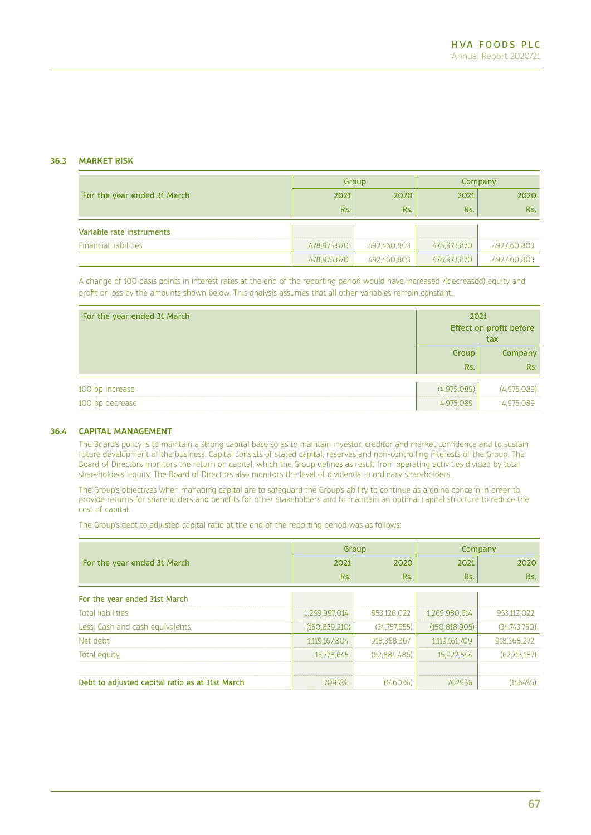## **36.3 MARKET RISK**

|                              | Group       |             | Company     |             |
|------------------------------|-------------|-------------|-------------|-------------|
| For the year ended 31 March  | 2021        | 2020        | 2021        | 2020        |
|                              | Rs.         | Rs.         | Rs.         | Rs.         |
| Variable rate instruments    |             |             |             |             |
|                              |             |             |             |             |
| <b>Financial liabilities</b> | 478,973,870 | 492,460,803 | 478,973,870 | 492,460,803 |
|                              | 478,973,870 | 492,460,803 | 478,973,870 | 492,460,803 |

A change of 100 basis points in interest rates at the end of the reporting period would have increased /(decreased) equity and profit or loss by the amounts shown below. This analysis assumes that all other variables remain constant.

| For the year ended 31 March | 2021<br>Effect on profit before<br>tax |                |
|-----------------------------|----------------------------------------|----------------|
|                             | Group<br>Rs.                           | Company<br>Rs. |
|                             |                                        |                |
| 100 bp increase             | (4.975.089)                            | (4,975,089)    |
| 100 bp decrease             | 4,975,089                              | 4,975,089      |

## **36.4 CAPITAL MANAGEMENT**

The Board's policy is to maintain a strong capital base so as to maintain investor, creditor and market confidence and to sustain future development of the business. Capital consists of stated capital, reserves and non-controlling interests of the Group. The Board of Directors monitors the return on capital, which the Group defines as result from operating activities divided by total shareholders' equity. The Board of Directors also monitors the level of dividends to ordinary shareholders.

The Group's objectives when managing capital are to safeguard the Group's ability to continue as a going concern in order to provide returns for shareholders and benefits for other stakeholders and to maintain an optimal capital structure to reduce the cost of capital.

The Group's debt to adjusted capital ratio at the end of the reporting period was as follows:

|                                                 |                 | Group        |                 | Company      |  |
|-------------------------------------------------|-----------------|--------------|-----------------|--------------|--|
| For the year ended 31 March                     | 2021            | 2020         | 2021            | 2020         |  |
|                                                 | Rs.             | Rs.          | Rs.             | Rs.          |  |
| For the year ended 31st March                   |                 |              |                 |              |  |
| <b>Total liabilities</b>                        | 1,269,997,014   | 953,126,022  | 1,269,980,614   | 953,112,022  |  |
| Less: Cash and cash equivalents                 | (150, 829, 210) | (34,757,655) | (150, 818, 905) | (34,743,750) |  |
| Net debt                                        | 1,119,167,804   | 918,368,367  | 1,119,161,709   | 918,368,272  |  |
| Total equity                                    | 15,778,645      | (62,884,486) | 15,922,544      | (62,713,187) |  |
|                                                 |                 |              |                 |              |  |
| Debt to adjusted capital ratio as at 31st March | 7093%           | $(1460\%)$   | 7029%           | $(1464\%)$   |  |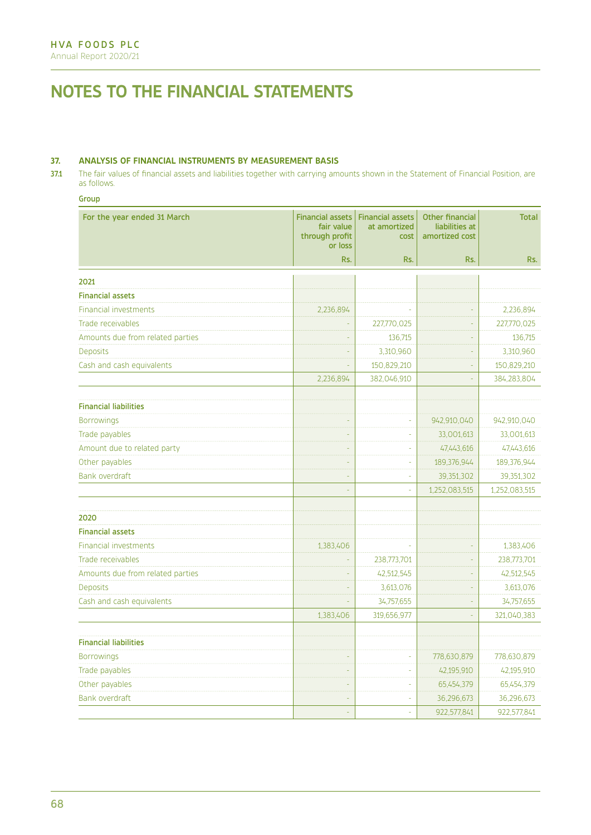## **37. ANALYSIS OF FINANCIAL INSTRUMENTS BY MEASUREMENT BASIS**

37.1 The fair values of financial assets and liabilities together with carrying amounts shown in the Statement of Financial Position, are as follows.

## Group

| For the year ended 31 March      | <b>Financial assets</b><br>fair value<br>through profit<br>or loss | <b>Financial assets</b><br>at amortized<br>cost | <b>Other financial</b><br>liabilities at<br>amortized cost | <b>Total</b>  |
|----------------------------------|--------------------------------------------------------------------|-------------------------------------------------|------------------------------------------------------------|---------------|
|                                  | Rs.                                                                | Rs.                                             | Rs.                                                        | Rs.           |
| 2021                             |                                                                    |                                                 |                                                            |               |
| <b>Financial assets</b>          |                                                                    |                                                 |                                                            |               |
| <b>Financial investments</b>     | 2,236,894                                                          |                                                 |                                                            | 2,236,894     |
| Trade receivables                |                                                                    | 227,770,025                                     | L,                                                         | 227,770,025   |
| Amounts due from related parties |                                                                    | 136,715                                         |                                                            | 136,715       |
| <b>Deposits</b>                  |                                                                    | 3,310,960                                       |                                                            | 3,310,960     |
| Cash and cash equivalents        |                                                                    | 150,829,210                                     |                                                            | 150,829,210   |
|                                  | 2,236,894                                                          | 382,046,910                                     |                                                            | 384,283,804   |
| <b>Financial liabilities</b>     |                                                                    |                                                 |                                                            |               |
| <b>Borrowings</b>                | L,                                                                 | ä,                                              | 942,910,040                                                | 942,910,040   |
| Trade payables                   | ä,                                                                 | ÷,                                              | 33,001,613                                                 | 33,001,613    |
| Amount due to related party      | $\Box$                                                             | ÷,                                              | 47,443,616                                                 | 47,443,616    |
| Other payables                   | $\Box$                                                             | $\Box$                                          | 189,376,944                                                | 189,376,944   |
| <b>Bank overdraft</b>            | ä,                                                                 | ÷,                                              | 39,351,302                                                 | 39,351,302    |
|                                  | L,                                                                 | $\Box$                                          | 1,252,083,515                                              | 1,252,083,515 |
| 2020                             |                                                                    |                                                 |                                                            |               |
| <b>Financial assets</b>          |                                                                    |                                                 |                                                            |               |
| <b>Financial investments</b>     | 1,383,406                                                          |                                                 |                                                            | 1,383,406     |
| Trade receivables                |                                                                    | 238,773,701                                     |                                                            | 238,773,701   |
| Amounts due from related parties |                                                                    | 42,512,545                                      |                                                            | 42,512,545    |
| <b>Deposits</b>                  |                                                                    | 3,613,076                                       |                                                            | 3,613,076     |
| Cash and cash equivalents        |                                                                    | 34,757,655                                      |                                                            | 34,757,655    |
|                                  | 1,383,406                                                          | 319,656,977                                     |                                                            | 321,040,383   |
| <b>Financial liabilities</b>     |                                                                    |                                                 |                                                            |               |
| <b>Borrowings</b>                | L                                                                  |                                                 | 778,630,879                                                | 778,630,879   |
| Trade payables                   | L,                                                                 | L,                                              | 42,195,910                                                 | 42,195,910    |
| Other payables                   | $\blacksquare$                                                     | ÷                                               | 65,454,379                                                 | 65,454,379    |
| <b>Bank overdraft</b>            |                                                                    | ÷,                                              | 36,296,673                                                 | 36,296,673    |
|                                  | ÷,                                                                 | l,                                              | 922,577,841                                                | 922,577,841   |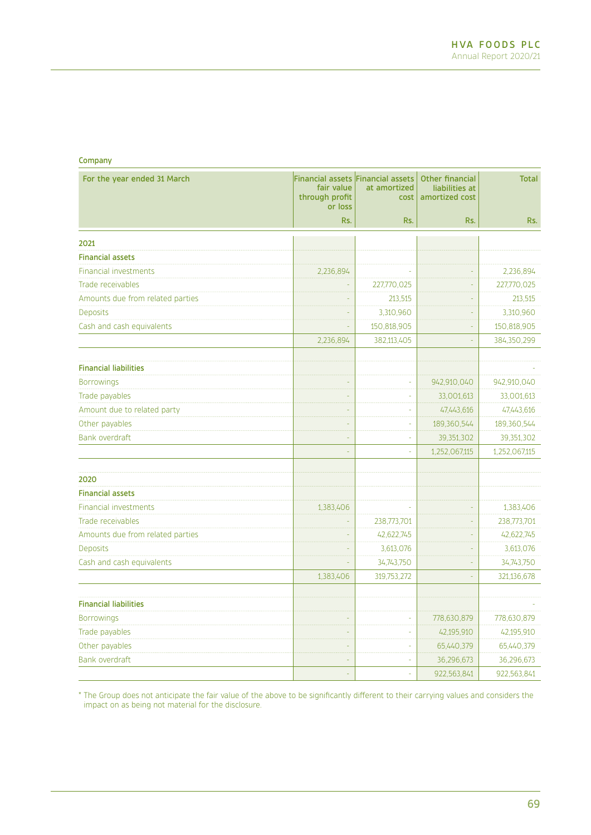| _<br>. .<br>e de |  |
|------------------|--|
|------------------|--|

| For the year ended 31 March      | fair value<br>through profit<br>or loss | Financial assets Financial assets<br>at amortized<br>cost | <b>Other financial</b><br>liabilities at<br>amortized cost | <b>Total</b>  |
|----------------------------------|-----------------------------------------|-----------------------------------------------------------|------------------------------------------------------------|---------------|
|                                  | Rs.                                     | Rs.                                                       | Rs.                                                        | Rs.           |
| 2021                             |                                         |                                                           |                                                            |               |
| <b>Financial assets</b>          |                                         |                                                           |                                                            |               |
| <b>Financial investments</b>     | 2,236,894                               |                                                           |                                                            | 2,236,894     |
| Trade receivables                |                                         | 227,770,025                                               | ÷,                                                         | 227,770,025   |
| Amounts due from related parties |                                         | 213,515                                                   |                                                            | 213,515       |
| Deposits                         |                                         | 3,310,960                                                 |                                                            | 3,310,960     |
| Cash and cash equivalents        |                                         | 150,818,905                                               |                                                            | 150,818,905   |
|                                  | 2,236,894                               | 382,113,405                                               |                                                            | 384,350,299   |
| <b>Financial liabilities</b>     |                                         |                                                           |                                                            |               |
| <b>Borrowings</b>                |                                         |                                                           | 942,910,040                                                | 942,910,040   |
| Trade payables                   |                                         |                                                           | 33,001,613                                                 | 33,001,613    |
| Amount due to related party      | L,                                      | L,                                                        | 47,443,616                                                 | 47,443,616    |
| Other payables                   | ÷,                                      | ÷                                                         | 189,360,544                                                | 189,360,544   |
| <b>Bank overdraft</b>            | ä,                                      | L,                                                        | 39,351,302                                                 | 39,351,302    |
|                                  | L,                                      | ä,                                                        | 1,252,067,115                                              | 1,252,067,115 |
| 2020                             |                                         |                                                           |                                                            |               |
| <b>Financial assets</b>          |                                         |                                                           |                                                            |               |
| <b>Financial investments</b>     | 1,383,406                               |                                                           | ÷,                                                         | 1,383,406     |
| Trade receivables                |                                         | 238,773,701                                               |                                                            | 238,773,701   |
| Amounts due from related parties |                                         | 42,622,745                                                |                                                            | 42,622,745    |
| <b>Deposits</b>                  |                                         | 3,613,076                                                 |                                                            | 3,613,076     |
| Cash and cash equivalents        |                                         | 34,743,750                                                | L.                                                         | 34,743,750    |
|                                  | 1,383,406                               | 319,753,272                                               | ۵                                                          | 321,136,678   |
| <b>Financial liabilities</b>     |                                         |                                                           |                                                            |               |
| <b>Borrowings</b>                | L                                       | L.                                                        | 778,630,879                                                | 778,630,879   |
| Trade payables                   |                                         |                                                           | 42,195,910                                                 | 42,195,910    |
| Other payables                   |                                         |                                                           | 65,440,379                                                 | 65,440,379    |
| <b>Bank overdraft</b>            |                                         |                                                           | 36,296,673                                                 | 36,296,673    |
|                                  |                                         |                                                           | 922,563,841                                                | 922,563,841   |

\* The Group does not anticipate the fair value of the above to be significantly different to their carrying values and considers the impact on as being not material for the disclosure.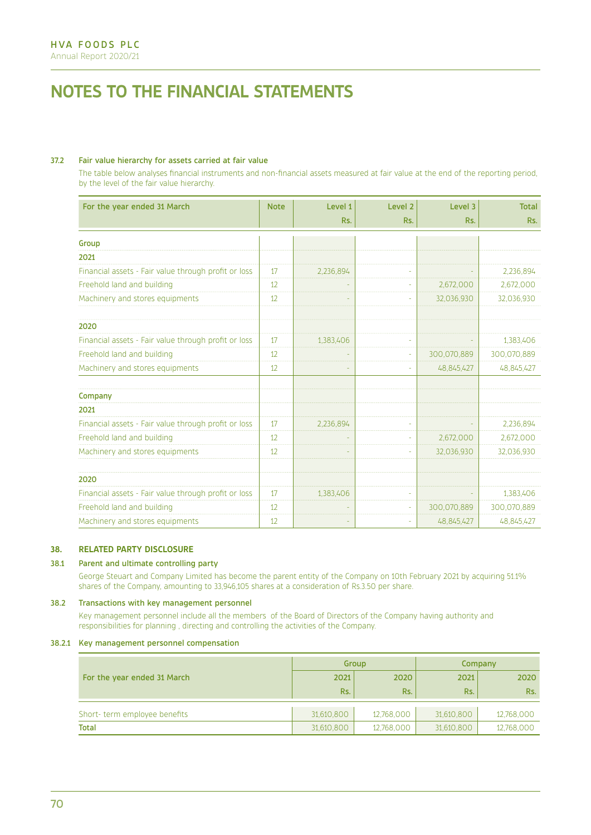## 37.2 Fair value hierarchy for assets carried at fair value

The table below analyses financial instruments and non-financial assets measured at fair value at the end of the reporting period, by the level of the fair value hierarchy.

| For the year ended 31 March                          | <b>Note</b> | Level 1   | Level <sub>2</sub> | Level 3     | <b>Total</b> |
|------------------------------------------------------|-------------|-----------|--------------------|-------------|--------------|
|                                                      |             | Rs.       | Rs.                | Rs.         | Rs.          |
| Group                                                |             |           |                    |             |              |
| 2021                                                 |             |           |                    |             |              |
| Financial assets - Fair value through profit or loss | 17          | 2,236,894 |                    |             | 2,236,894    |
| Freehold land and building                           | 12          |           |                    | 2,672,000   | 2,672,000    |
| Machinery and stores equipments                      | 12          |           |                    | 32,036,930  | 32,036,930   |
| 2020                                                 |             |           |                    |             |              |
| Financial assets - Fair value through profit or loss | 17          | 1,383,406 |                    |             | 1,383,406    |
| Freehold land and building                           | 12          |           |                    | 300,070,889 | 300,070,889  |
| Machinery and stores equipments                      | 12          |           |                    | 48,845,427  | 48,845,427   |
| Company                                              |             |           |                    |             |              |
| 2021                                                 |             |           |                    |             |              |
| Financial assets - Fair value through profit or loss | 17          | 2,236,894 |                    |             | 2,236,894    |
| Freehold land and building                           | 12          |           |                    | 2,672,000   | 2,672,000    |
| Machinery and stores equipments                      | 12          |           |                    | 32,036,930  | 32,036,930   |
| 2020                                                 |             |           |                    |             |              |
| Financial assets - Fair value through profit or loss | 17          | 1,383,406 |                    |             | 1,383,406    |
| Freehold land and building                           | 12          |           |                    | 300,070,889 | 300,070,889  |
| Machinery and stores equipments                      | 12          |           |                    | 48,845,427  | 48,845,427   |

## **38. RELATED PARTY DISCLOSURE**

## 38.1 Parent and ultimate controlling party

George Steuart and Company Limited has become the parent entity of the Company on 10th February 2021 by acquiring 51.1% shares of the Company, amounting to 33,946,105 shares at a consideration of Rs.3.50 per share.

### 38.2 Transactions with key management personnel

Key management personnel include all the members of the Board of Directors of the Company having authority and responsibilities for planning , directing and controlling the activities of the Company.

## 38.2.1 Key management personnel compensation

|                              | Group      |            | Company    |            |
|------------------------------|------------|------------|------------|------------|
| For the year ended 31 March  | 2021       | 2020       | 2021       | 2020       |
|                              | Rs.        | Rs.        | Rs.        | Rs.        |
| Short-term employee benefits | 31,610,800 | 12,768,000 | 31,610,800 | 12,768,000 |
| <b>Total</b>                 | 31,610,800 | 12,768,000 | 31,610,800 | 12,768,000 |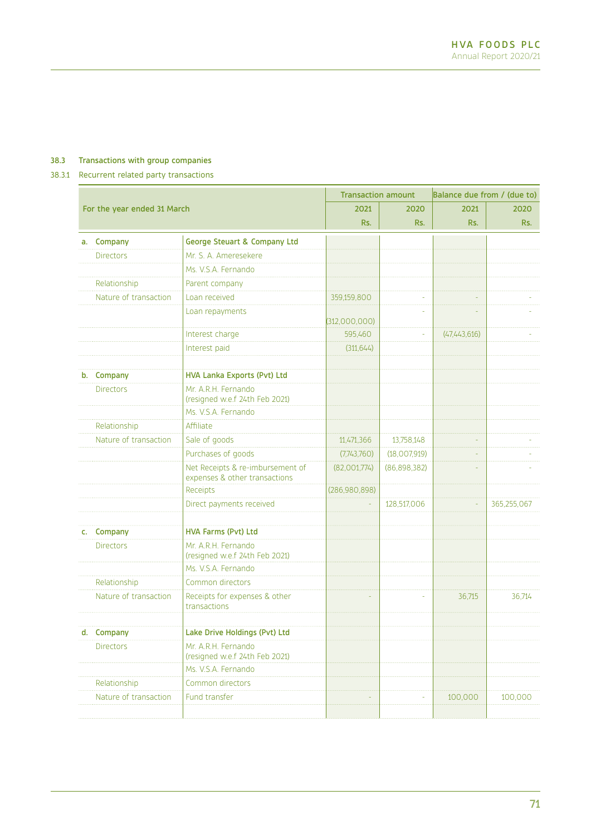# 38.3 Transactions with group companies

# 38.3.1 Recurrent related party transactions

|    |                             | <b>Transaction amount</b>                                         |               | Balance due from / (due to) |                |             |
|----|-----------------------------|-------------------------------------------------------------------|---------------|-----------------------------|----------------|-------------|
|    | For the year ended 31 March |                                                                   | 2021          | 2020                        | 2021           | 2020        |
|    |                             |                                                                   | Rs.           | Rs.                         | Rs.            | Rs.         |
| a. | Company                     | <b>George Steuart &amp; Company Ltd</b>                           |               |                             |                |             |
|    | <b>Directors</b>            | Mr. S. A. Ameresekere                                             |               |                             |                |             |
|    |                             | Ms. V.S.A. Fernando                                               |               |                             |                |             |
|    | Relationship                | Parent company                                                    |               |                             |                |             |
|    | Nature of transaction       | Loan received                                                     | 359,159,800   | L.                          |                |             |
|    |                             | Loan repayments                                                   | (312,000,000) |                             |                |             |
|    |                             | Interest charge                                                   | 595,460       | u,                          | (47, 443, 616) |             |
|    |                             | Interest paid                                                     | (311, 644)    |                             |                |             |
|    | b. Company                  | <b>HVA Lanka Exports (Pvt) Ltd</b>                                |               |                             |                |             |
|    | <b>Directors</b>            | Mr. A.R.H. Fernando<br>(resigned w.e.f 24th Feb 2021)             |               |                             |                |             |
|    |                             | Ms. V.S.A. Fernando                                               |               |                             |                |             |
|    | Relationship                | Affiliate                                                         |               |                             |                |             |
|    | Nature of transaction       | Sale of goods                                                     | 11,471,366    | 13,758,148                  | ÷              |             |
|    |                             | Purchases of goods                                                | (7,743,760)   | (18,007,919)                |                |             |
|    |                             | Net Receipts & re-imbursement of<br>expenses & other transactions | (82,001,774)  | (86,898,382)                |                |             |
|    |                             | Receipts                                                          | (286,980,898) |                             |                |             |
|    |                             | Direct payments received                                          |               | 128,517,006                 | u,             | 365,255,067 |
|    |                             |                                                                   |               |                             |                |             |
| C. | Company                     | <b>HVA Farms (Pvt) Ltd</b>                                        |               |                             |                |             |
|    | <b>Directors</b>            | Mr. A.R.H. Fernando<br>(resigned w.e.f 24th Feb 2021)             |               |                             |                |             |
|    |                             | Ms. V.S.A. Fernando                                               |               |                             |                |             |
|    | Relationship                | Common directors                                                  |               |                             |                |             |
|    | Nature of transaction       | Receipts for expenses & other<br>transactions                     |               |                             | 36,715         | 36,714      |
|    | d. Company                  | Lake Drive Holdings (Pvt) Ltd                                     |               |                             |                |             |
|    | <b>Directors</b>            | Mr. A.R.H. Fernando<br>(resigned w.e.f 24th Feb 2021)             |               |                             |                |             |
|    |                             | Ms. V.S.A. Fernando                                               |               |                             |                |             |
|    | Relationship                | Common directors                                                  |               |                             |                |             |
|    | Nature of transaction       | Fund transfer                                                     | ä,            | ÷.                          | 100,000        | 100,000     |
|    |                             |                                                                   |               |                             |                |             |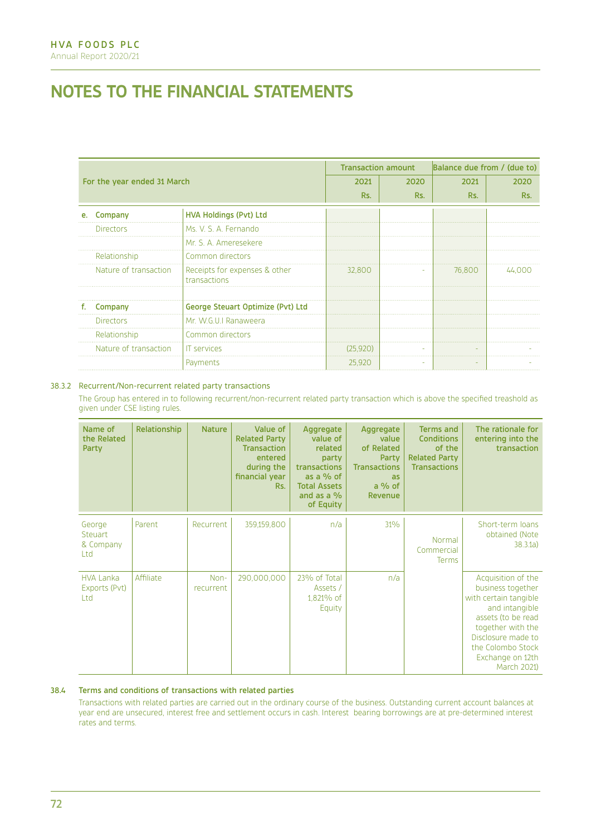# **NOTES TO THE FINANCIAL STATEMENTS**

|    |                             |                                               | <b>Transaction amount</b> |      | Balance due from / (due to) |        |  |
|----|-----------------------------|-----------------------------------------------|---------------------------|------|-----------------------------|--------|--|
|    | For the year ended 31 March |                                               |                           | 2020 | 2021                        | 2020   |  |
|    |                             |                                               | Rs.                       | Rs.  | Rs.                         | Rs.    |  |
| е. | Company                     | <b>HVA Holdings (Pvt) Ltd</b>                 |                           |      |                             |        |  |
|    | <b>Directors</b>            | Ms. V. S. A. Fernando                         |                           |      |                             |        |  |
|    |                             | Mr. S. A. Ameresekere                         |                           |      |                             |        |  |
|    | Relationship                | Common directors                              |                           |      |                             |        |  |
|    | Nature of transaction       | Receipts for expenses & other<br>transactions | 32,800                    |      | 76,800                      | 44,000 |  |
|    |                             |                                               |                           |      |                             |        |  |
| f. | Company                     | George Steuart Optimize (Pvt) Ltd             |                           |      |                             |        |  |
|    | <b>Directors</b>            | Mr. W.G.U.I Ranaweera                         |                           |      |                             |        |  |
|    | Relationship                | Common directors                              |                           |      |                             |        |  |
|    | Nature of transaction       | <b>IT</b> services                            | (25, 920)                 |      |                             |        |  |
|    |                             | Payments                                      | 25,920                    |      |                             |        |  |

## 38.3.2 Recurrent/Non-recurrent related party transactions

The Group has entered in to following recurrent/non-recurrent related party transaction which is above the specified treashold as given under CSE listing rules.

| Name of<br>the Related<br>Party          | Relationship | <b>Nature</b>     | Value of<br><b>Related Party</b><br><b>Transaction</b><br>entered<br>during the<br>financial year<br>Rs. | Aggregate<br>value of<br>related<br>party<br>transactions<br>as a $%$ of<br><b>Total Assets</b><br>and as a $%$<br>of Equity | Aggregate<br>value<br>of Related<br>Party<br><b>Transactions</b><br>as<br>$a\%$ of<br>Revenue | <b>Terms and</b><br><b>Conditions</b><br>of the<br><b>Related Party</b><br><b>Transactions</b> | The rationale for<br>entering into the<br>transaction                                                                                                                                                       |
|------------------------------------------|--------------|-------------------|----------------------------------------------------------------------------------------------------------|------------------------------------------------------------------------------------------------------------------------------|-----------------------------------------------------------------------------------------------|------------------------------------------------------------------------------------------------|-------------------------------------------------------------------------------------------------------------------------------------------------------------------------------------------------------------|
| George<br>Steuart<br>& Company<br>Ltd    | Parent       | Recurrent         | 359,159,800                                                                                              | n/a                                                                                                                          | 31%                                                                                           | Normal<br>Commercial<br>Terms                                                                  | Short-term loans<br>obtained (Note<br>38.3.1a)                                                                                                                                                              |
| <b>HVA Lanka</b><br>Exports (Pvt)<br>Ltd | Affiliate    | Non-<br>recurrent | 290,000,000                                                                                              | 23% of Total<br>Assets /<br>1,821% of<br>Equity                                                                              | n/a                                                                                           |                                                                                                | Acquisition of the<br>business together<br>with certain tangible<br>and intangible<br>assets (to be read<br>together with the<br>Disclosure made to<br>the Colombo Stock<br>Exchange on 12th<br>March 2021) |

# 38.4 Terms and conditions of transactions with related parties

Transactions with related parties are carried out in the ordinary course of the business. Outstanding current account balances at year end are unsecured, interest free and settlement occurs in cash. Interest bearing borrowings are at pre-determined interest rates and terms.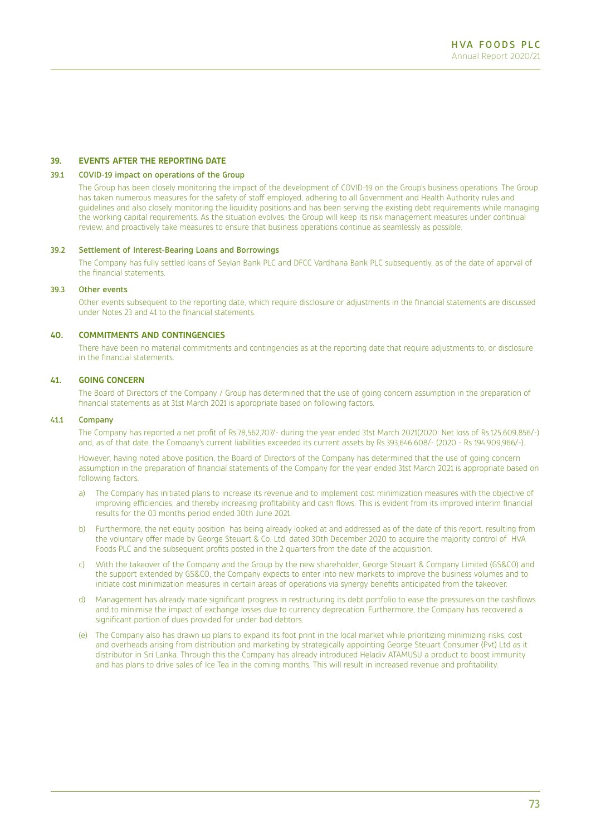#### **39. EVENTS AFTER THE REPORTING DATE**

#### 39.1 COVID-19 impact on operations of the Group

The Group has been closely monitoring the impact of the development of COVID-19 on the Group's business operations. The Group has taken numerous measures for the safety of staff employed, adhering to all Government and Health Authority rules and guidelines and also closely monitoring the liquidity positions and has been serving the existing debt requirements while managing the working capital requirements. As the situation evolves, the Group will keep its risk management measures under continual review, and proactively take measures to ensure that business operations continue as seamlessly as possible.

#### 39.2 Settlement of Interest-Bearing Loans and Borrowings

The Company has fully settled loans of Seylan Bank PLC and DFCC Vardhana Bank PLC subsequently, as of the date of apprval of the financial statements.

#### 39.3 Other events

Other events subsequent to the reporting date, which require disclosure or adjustments in the financial statements are discussed under Notes 23 and 41 to the financial statements.

### **40. COMMITMENTS AND CONTINGENCIES**

There have been no material commitments and contingencies as at the reporting date that require adjustments to, or disclosure in the financial statements.

#### **41. GOING CONCERN**

The Board of Directors of the Company / Group has determined that the use of going concern assumption in the preparation of financial statements as at 31st March 2021 is appropriate based on following factors.

#### 41.1 Company

The Company has reported a net profit of Rs.78,562,707/- during the year ended 31st March 2021(2020: Net loss of Rs.125,609,856/-) and, as of that date, the Company's current liabilities exceeded its current assets by Rs.393,646,608/- (2020 - Rs 194,909,966/-).

However, having noted above position, the Board of Directors of the Company has determined that the use of going concern assumption in the preparation of financial statements of the Company for the year ended 31st March 2021 is appropriate based on following factors.

- a) The Company has initiated plans to increase its revenue and to implement cost minimization measures with the objective of improving efficiencies, and thereby increasing profitability and cash flows. This is evident from its improved interim financial results for the 03 months period ended 30th June 2021.
- b) Furthermore, the net equity position has being already looked at and addressed as of the date of this report, resulting from the voluntary offer made by George Steuart & Co. Ltd. dated 30th December 2020 to acquire the majority control of HVA Foods PLC and the subsequent profits posted in the 2 quarters from the date of the acquisition.
- c) With the takeover of the Company and the Group by the new shareholder, George Steuart & Company Limited (GS&CO) and the support extended by GS&CO, the Company expects to enter into new markets to improve the business volumes and to initiate cost minimization measures in certain areas of operations via synergy benefits anticipated from the takeover.
- d) Management has already made significant progress in restructuring its debt portfolio to ease the pressures on the cashflows and to minimise the impact of exchange losses due to currency deprecation. Furthermore, the Company has recovered a significant portion of dues provided for under bad debtors.
- (e) The Company also has drawn up plans to expand its foot print in the local market while prioritizing minimizing risks, cost and overheads arising from distribution and marketing by strategically appointing George Steuart Consumer (Pvt) Ltd as it distributor in Sri Lanka. Through this the Company has already introduced Heladiv ATAMUSU a product to boost immunity and has plans to drive sales of Ice Tea in the coming months. This will result in increased revenue and profitability.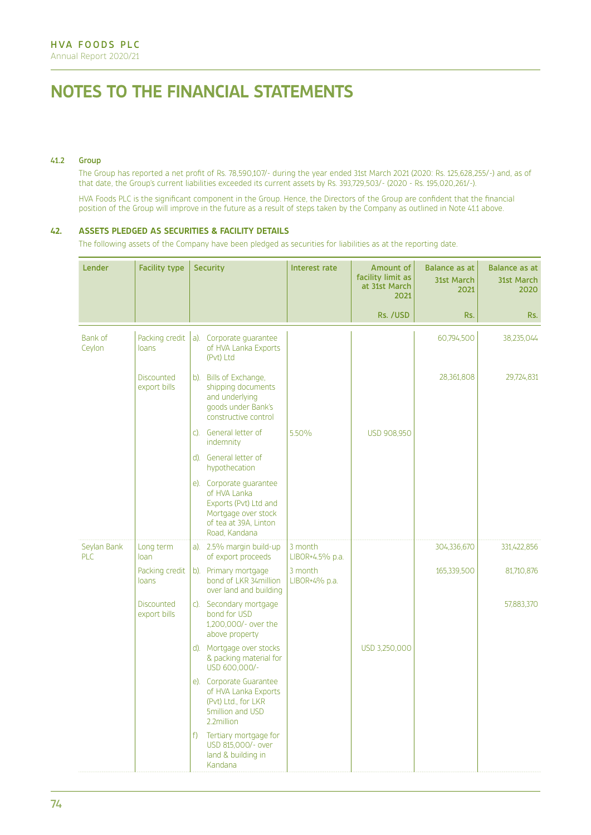# **NOTES TO THE FINANCIAL STATEMENTS**

#### 41.2 Group

The Group has reported a net profit of Rs. 78,590,107/- during the year ended 31st March 2021 (2020: Rs. 125,628,255/-) and, as of that date, the Group's current liabilities exceeded its current assets by Rs. 393,729,503/- (2020 - Rs. 195,020,261/-).

HVA Foods PLC is the significant component in the Group. Hence, the Directors of the Group are confident that the financial position of the Group will improve in the future as a result of steps taken by the Company as outlined in Note 41.1 above.

#### **42. ASSETS PLEDGED AS SECURITIES & FACILITY DETAILS**

The following assets of the Company have been pledged as securities for liabilities as at the reporting date.

| <b>Lender</b>             | <b>Facility type</b>              |    | <b>Security</b>                                                                                                                   | Interest rate              | Amount of<br>facility limit as<br>at 31st March<br>2021 | <b>Balance as at</b><br><b>31st March</b><br>2021 | Balance as at<br>31st March<br>2020 |
|---------------------------|-----------------------------------|----|-----------------------------------------------------------------------------------------------------------------------------------|----------------------------|---------------------------------------------------------|---------------------------------------------------|-------------------------------------|
|                           |                                   |    |                                                                                                                                   |                            | Rs. /USD                                                | Rs.                                               | Rs.                                 |
| Bank of<br>Ceylon         | Packing credit<br>loans           |    | a). Corporate guarantee<br>of HVA Lanka Exports<br>(Pvt) Ltd                                                                      |                            |                                                         | 60,794,500                                        | 38,235,044                          |
|                           | <b>Discounted</b><br>export bills |    | b). Bills of Exchange,<br>shipping documents<br>and underlying<br>goods under Bank's<br>constructive control                      |                            |                                                         | 28,361,808                                        | 29,724,831                          |
|                           |                                   |    | c). General letter of<br>indemnity                                                                                                | 5.50%                      | USD 908,950                                             |                                                   |                                     |
|                           |                                   |    | d). General letter of<br>hypothecation                                                                                            |                            |                                                         |                                                   |                                     |
|                           |                                   |    | e). Corporate quarantee<br>of HVA Lanka<br>Exports (Pvt) Ltd and<br>Mortgage over stock<br>of tea at 39A, Linton<br>Road, Kandana |                            |                                                         |                                                   |                                     |
| Seylan Bank<br><b>PLC</b> | Long term<br>loan                 |    | a). 2.5% margin build-up<br>of export proceeds                                                                                    | 3 month<br>LIBOR+4.5% p.a. |                                                         | 304,336,670                                       | 331,422,856                         |
|                           | Packing credit<br>loans           |    | b). Primary mortgage<br>bond of LKR 34million<br>over land and building                                                           | 3 month<br>LIBOR+4% p.a.   |                                                         | 165,339,500                                       | 81,710,876                          |
|                           | <b>Discounted</b><br>export bills |    | c). Secondary mortgage<br>bond for USD<br>1,200,000/- over the<br>above property                                                  |                            |                                                         |                                                   | 57,883,370                          |
|                           |                                   |    | d). Mortgage over stocks<br>& packing material for<br>USD 600,000/-                                                               |                            | USD 3,250,000                                           |                                                   |                                     |
|                           |                                   |    | e). Corporate Guarantee<br>of HVA Lanka Exports<br>(Pvt) Ltd., for LKR<br>5million and USD<br>2.2million                          |                            |                                                         |                                                   |                                     |
|                           |                                   | f) | Tertiary mortgage for<br>USD 815,000/- over<br>land & building in<br>Kandana                                                      |                            |                                                         |                                                   |                                     |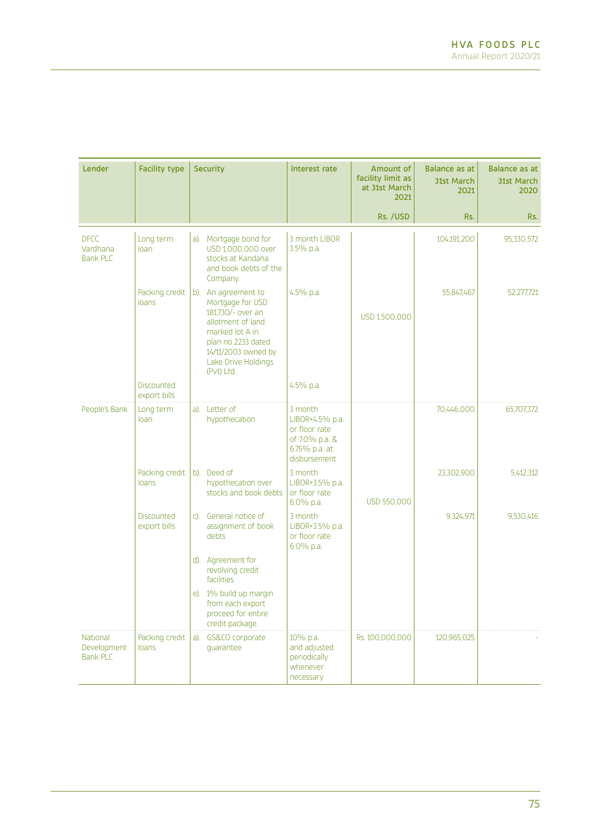| <b>Lender</b>                                     | <b>Facility type</b>              | <b>Security</b>                                                                                                                                                                        | Interest rate                                                                                  | Amount of<br>facility limit as<br>at 31st March<br>2021 | <b>Balance as at</b><br><b>31st March</b><br>2021 | <b>Balance as at</b><br>31st March<br>2020 |
|---------------------------------------------------|-----------------------------------|----------------------------------------------------------------------------------------------------------------------------------------------------------------------------------------|------------------------------------------------------------------------------------------------|---------------------------------------------------------|---------------------------------------------------|--------------------------------------------|
|                                                   |                                   |                                                                                                                                                                                        |                                                                                                | Rs. /USD                                                | Rs.                                               | Rs.                                        |
| <b>DFCC</b><br>Vardhana<br><b>Bank PLC</b>        | Long term<br>loan                 | a). Mortgage bond for<br>USD 1,000,000 over<br>stocks at Kandana<br>and book debts of the<br>Company.                                                                                  | 3 month LIBOR<br>3.5% p.a.                                                                     |                                                         | 104,191,200                                       | 95,330,572                                 |
|                                                   | Packing credit<br>loans           | b). An agreement to<br>Mortgage for USD<br>181,730/- over an<br>allotment of land<br>marked lot A in<br>plan no 2233 dated<br>14/11/2003 owned by<br>Lake Drive Holdings<br>(Pvt) Ltd. | 4.5% p.a.                                                                                      | USD 1,500,000                                           | 55,847,467                                        | 52,277,721                                 |
|                                                   | <b>Discounted</b><br>export bills |                                                                                                                                                                                        | 4.5% p.a.                                                                                      |                                                         |                                                   |                                            |
| People's Bank                                     | Long term<br>loan                 | a). Letter of<br>hypothecation                                                                                                                                                         | 3 month<br>LIBOR+4.5% p.a.<br>or floor rate<br>of 7.0% p.a. &<br>6.75% p.a. at<br>disbursement |                                                         | 70,446,000                                        | 65,707,372                                 |
|                                                   | Packing credit<br>loans           | b). Deed of<br>hypothecation over<br>stocks and book debts                                                                                                                             | 3 month<br>LIBOR+3.5% p.a.<br>or floor rate<br>6.0% p.a.                                       | USD 550,000                                             | 23,302,900                                        | 5,412,312                                  |
|                                                   | <b>Discounted</b><br>export bills | General notice of<br>C).<br>assignment of book<br>debts                                                                                                                                | 3 month<br>LIBOR+3.5% p.a.<br>or floor rate<br>6.0% p.a.                                       |                                                         | 9,324,971                                         | 9,530,416                                  |
|                                                   |                                   | d). Agreement for<br>revolving credit<br>facilities                                                                                                                                    |                                                                                                |                                                         |                                                   |                                            |
|                                                   |                                   | e). 1% build up margin<br>from each export<br>proceed for entire<br>credit package.                                                                                                    |                                                                                                |                                                         |                                                   |                                            |
| <b>National</b><br>Development<br><b>Bank PLC</b> | Packing credit<br>loans           | GS&CO corporate<br>a).<br>quarantee                                                                                                                                                    | 10% p.a.<br>and adjusted<br>periodically<br>whenever<br>necessary                              | Rs. 100,000,000                                         | 120,965,025                                       |                                            |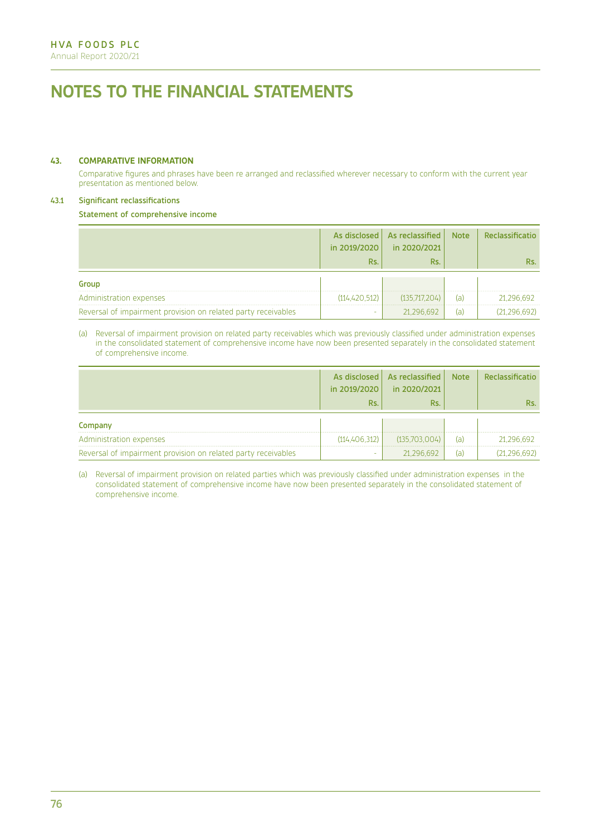# **NOTES TO THE FINANCIAL STATEMENTS**

#### **43. COMPARATIVE INFORMATION**

Comparative figures and phrases have been re arranged and reclassified wherever necessary to conform with the current year presentation as mentioned below.

## 43.1 Significant reclassifications

Statement of comprehensive income

|                                                               | in 2019/2020    | As disclosed   As reclassified  <br>in 2020/2021 | <b>Note</b> | Reclassificatio |
|---------------------------------------------------------------|-----------------|--------------------------------------------------|-------------|-----------------|
|                                                               | Rs.             | Rs.                                              |             | Rs.             |
| Group                                                         |                 |                                                  |             |                 |
| Administration expenses                                       | (114, 420, 512) | (135.717.204)                                    | (a)         | 21.296.692      |
| Reversal of impairment provision on related party receivables | ۰               | 21.296.692                                       | (a)         | (21.296.692)    |

#### (a) Reversal of impairment provision on related party receivables which was previously classified under administration expenses in the consolidated statement of comprehensive income have now been presented separately in the consolidated statement of comprehensive income.

|                                                               | in 2019/2020    | As disclosed   As reclassified  <br>in 2020/2021 | <b>Note</b> | Reclassificatio |
|---------------------------------------------------------------|-----------------|--------------------------------------------------|-------------|-----------------|
|                                                               | Rs.             | Rs.                                              |             | Rs.             |
| Company                                                       |                 |                                                  |             |                 |
| Administration expenses                                       | (114, 406, 312) | (135,703,004)                                    | (a)         | 21.296.692      |
| Reversal of impairment provision on related party receivables | ٠               | 21.296.692                                       | (a)         | (21.296.692)    |

(a) Reversal of impairment provision on related parties which was previously classified under administration expenses in the consolidated statement of comprehensive income have now been presented separately in the consolidated statement of comprehensive income.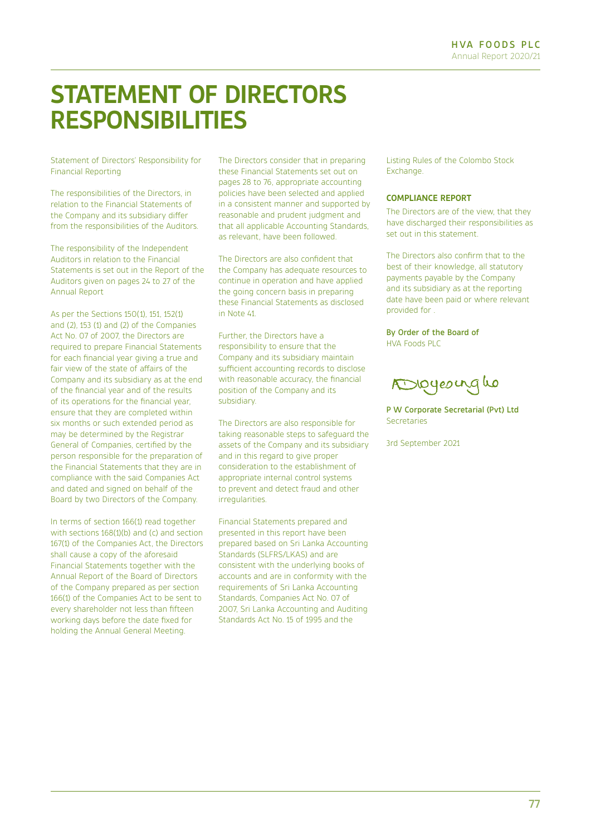# **STATEMENT OF DIRECTORS RESPONSIBILITIES**

Statement of Directors' Responsibility for Financial Reporting

The responsibilities of the Directors, in relation to the Financial Statements of the Company and its subsidiary differ from the responsibilities of the Auditors.

The responsibility of the Independent Auditors in relation to the Financial Statements is set out in the Report of the Auditors given on pages 24 to 27 of the Annual Report

As per the Sections 150(1), 151, 152(1) and  $(2)$ , 153 $(1)$  and  $(2)$  of the Companies Act No. 07 of 2007, the Directors are required to prepare Financial Statements for each financial year giving a true and fair view of the state of affairs of the Company and its subsidiary as at the end of the financial year and of the results of its operations for the financial year, ensure that they are completed within six months or such extended period as may be determined by the Registrar General of Companies, certified by the person responsible for the preparation of the Financial Statements that they are in compliance with the said Companies Act and dated and signed on behalf of the Board by two Directors of the Company.

In terms of section 166(1) read together with sections  $168(1)(b)$  and (c) and section 167(1) of the Companies Act, the Directors shall cause a copy of the aforesaid Financial Statements together with the Annual Report of the Board of Directors of the Company prepared as per section 166(1) of the Companies Act to be sent to every shareholder not less than fifteen working days before the date fixed for holding the Annual General Meeting.

The Directors consider that in preparing these Financial Statements set out on pages 28 to 76, appropriate accounting policies have been selected and applied in a consistent manner and supported by reasonable and prudent judgment and that all applicable Accounting Standards, as relevant, have been followed.

The Directors are also confident that the Company has adequate resources to continue in operation and have applied the going concern basis in preparing these Financial Statements as disclosed in Note 41.

Further, the Directors have a responsibility to ensure that the Company and its subsidiary maintain sufficient accounting records to disclose with reasonable accuracy, the financial position of the Company and its subsidiary.

The Directors are also responsible for taking reasonable steps to safeguard the assets of the Company and its subsidiary and in this regard to give proper consideration to the establishment of appropriate internal control systems to prevent and detect fraud and other irregularities.

Financial Statements prepared and presented in this report have been prepared based on Sri Lanka Accounting Standards (SLFRS/LKAS) and are consistent with the underlying books of accounts and are in conformity with the requirements of Sri Lanka Accounting Standards, Companies Act No. 07 of 2007, Sri Lanka Accounting and Auditing Standards Act No. 15 of 1995 and the

Listing Rules of the Colombo Stock **Exchange** 

## **COMPLIANCE REPORT**

The Directors are of the view, that they have discharged their responsibilities as set out in this statement.

The Directors also confirm that to the best of their knowledge, all statutory payments payable by the Company and its subsidiary as at the reporting date have been paid or where relevant provided for .

By Order of the Board of HVA Foods PLC

Dioyeoinglo

P W Corporate Secretarial (Pvt) Ltd Secretaries

3rd September 2021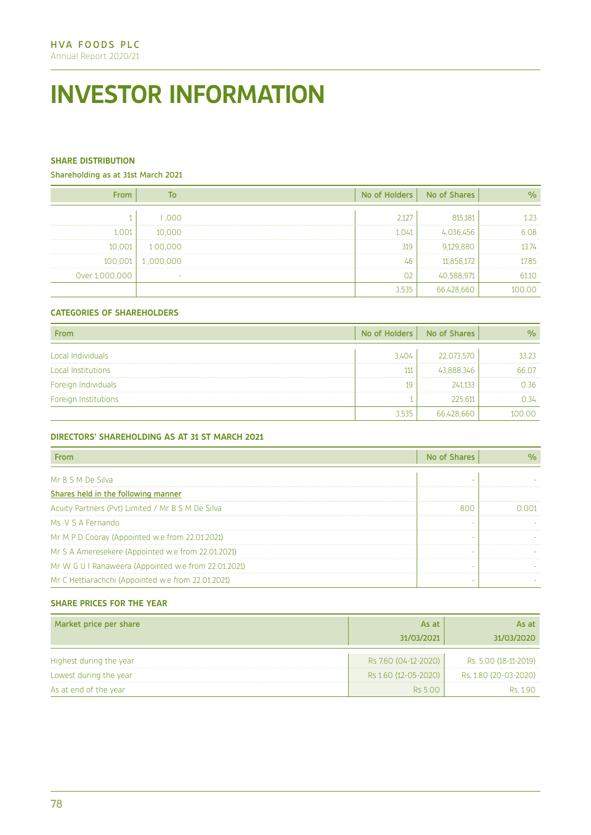# **INVESTOR INFORMATION**

# **SHARE DISTRIBUTION**

Shareholding as at 31st March 2021

| <b>From</b>    | <b>To</b> | No of Holders | No of Shares | $\frac{9}{6}$ |
|----------------|-----------|---------------|--------------|---------------|
|                | 000.1     | 2,127         | 815,181      | 1.23          |
| 1.001          | 10,000    | 1,041         | 4,036,456    | 6.08          |
| 10,001         | 100,000   | 319           | 9,129,880    | 13.74         |
| 100,001        | 1,000,000 | 46            | 11,858,172   | 17.85         |
| Over 1,000,000 | $\sim$    | 02            | 40,588,971   | 61.10         |
|                |           | 3,535         | 66,428,660   | 100.00        |

# **CATEGORIES OF SHAREHOLDERS**

| <b>From</b>          | No of Holders | No of Shares | $\frac{9}{6}$ |
|----------------------|---------------|--------------|---------------|
| Local Individuals    | 3.404         | 22,073,570   | 33.23         |
| Local Institutions   | 111           | 43,888,346   | 66.07         |
| Foreign Individuals  | 19            | 241,133      | 0.36          |
| Foreign Institutions |               | 225.611      | 0.34          |
|                      | 3.535         | 66,428,660   | 100.00        |

# **DIRECTORS' SHAREHOLDING AS AT 31 ST MARCH 2021**

| From                                                 | No of Shares | $\frac{0}{0}$ |
|------------------------------------------------------|--------------|---------------|
| Mr B S M De Silva                                    | -            |               |
| Shares held in the following manner                  |              |               |
| Acuity Partners (Pvt) Limited / Mr B S M De Silva    | 800          | 0.001         |
| Ms. V S A Fernando                                   | -            |               |
| Mr M P D Cooray (Appointed w.e from 22.01.2021)      | -            |               |
| Mr S A Ameresekere (Appointed w.e from 22.01.2021)   | ٠            |               |
| Mr W G U I Ranaweera (Appointed w.e from 22.01.2021) |              |               |
| Mr C Hettiarachchi (Appointed w.e from 22.01.2021)   |              |               |

# **SHARE PRICES FOR THE YEAR**

| Market price per share  | As at<br>31/03/2021  | As at<br>31/03/2020   |
|-------------------------|----------------------|-----------------------|
| Highest during the year | Rs 7.60 (04-12-2020) | Rs. 5.00 (18-11-2019) |
| Lowest during the year  | Rs 1.60 (12-05-2020) | Rs. 1.80 (20-03-2020) |
| As at end of the year   | Rs 5.00              | Rs 190                |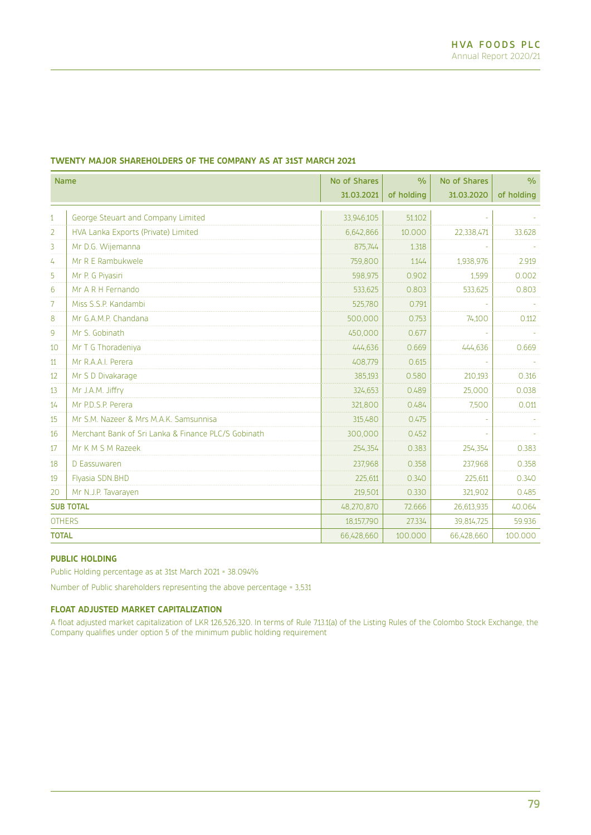| <b>Name</b>   |                                                     | No of Shares | $\frac{0}{0}$ | No of Shares | $\frac{0}{0}$ |
|---------------|-----------------------------------------------------|--------------|---------------|--------------|---------------|
|               |                                                     | 31.03.2021   | of holding    | 31.03.2020   | of holding    |
| $\mathbf{1}$  | George Steuart and Company Limited                  | 33,946,105   | 51.102        |              |               |
| 2             | HVA Lanka Exports (Private) Limited                 | 6,642,866    | 10,000        | 22,338,471   | 33.628        |
| 3             | Mr D.G. Wijemanna                                   | 875,744      | 1.318         |              |               |
| 4             | Mr R E Rambukwele                                   | 759,800      | 1.144         | 1,938,976    | 2.919         |
| 5             | Mr P. G Piyasiri                                    | 598,975      | 0.902         | 1.599        | 0.002         |
| 6             | Mr A R H Fernando                                   | 533,625      | 0.803         | 533,625      | 0.803         |
| 7             | Miss S.S.P. Kandambi                                | 525,780      | 0.791         |              |               |
| 8             | Mr G.A.M.P. Chandana                                | 500,000      | 0.753         | 74,100       | 0.112         |
| 9             | Mr S. Gobinath                                      | 450,000      | 0.677         |              |               |
| 10            | Mr T G Thoradeniya                                  | 444.636      | 0.669         | 444.636      | 0.669         |
| 11            | Mr R.A.A.I. Perera                                  | 408,779      | 0.615         |              |               |
| 12            | Mr S D Divakarage                                   | 385.193      | 0.580         | 210,193      | 0.316         |
| 13            | Mr J.A.M. Jiffry                                    | 324,653      | 0.489         | 25,000       | 0.038         |
| 14            | Mr P.D.S.P. Perera                                  | 321,800      | 0.484         | 7,500        | 0.011         |
| 15            | Mr S.M. Nazeer & Mrs M.A.K. Samsunnisa              | 315.480      | 0.475         |              |               |
| 16            | Merchant Bank of Sri Lanka & Finance PLC/S Gobinath | 300,000      | 0.452         |              |               |
| 17            | Mr K M S M Razeek                                   | 254.354      | 0.383         | 254,354      | 0.383         |
| 18            | D Eassuwaren                                        | 237.968      | 0.358         | 237,968      | 0.358         |
| 19            | Flyasia SDN.BHD                                     | 225,611      | 0.340         | 225,611      | 0.340         |
| 20            | Mr N.J.P. Tavarayen                                 | 219,501      | 0.330         | 321,902      | 0.485         |
|               | <b>SUB TOTAL</b>                                    | 48,270,870   | 72.666        | 26,613,935   | 40.064        |
| <b>OTHERS</b> |                                                     | 18,157,790   | 27.334        | 39,814,725   | 59.936        |
| <b>TOTAL</b>  |                                                     | 66,428,660   | 100,000       | 66,428,660   | 100.000       |

# **TWENTY MAJOR SHAREHOLDERS OF THE COMPANY AS AT 31ST MARCH 2021**

# **PUBLIC HOLDING**

Public Holding percentage as at 31st March 2021 = 38.094%

Number of Public shareholders representing the above percentage = 3,531

#### **FLOAT ADJUSTED MARKET CAPITALIZATION**

A float adjusted market capitalization of LKR 126,526,320. In terms of Rule 7.13.1(a) of the Listing Rules of the Colombo Stock Exchange, the Company qualifies under option 5 of the minimum public holding requirement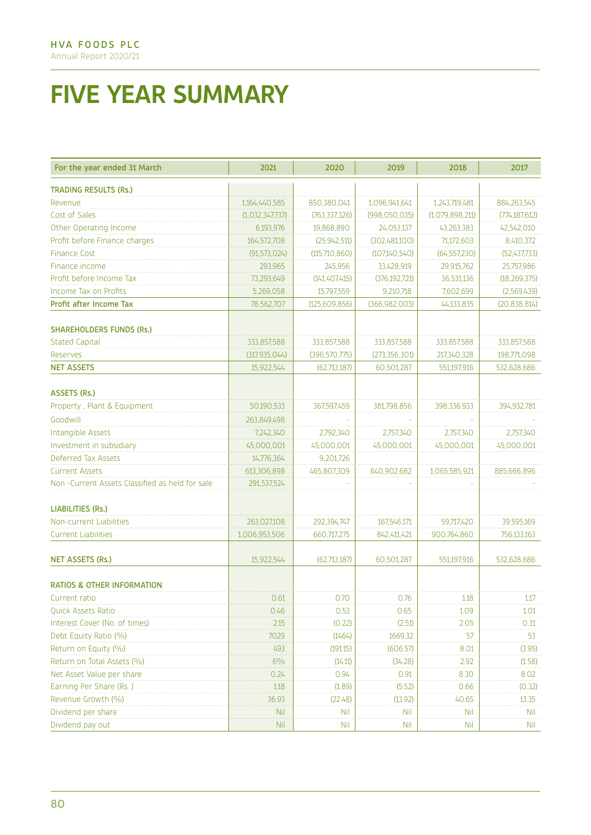# **FIVE YEAR SUMMARY**

| For the year ended 31 March                     | 2021            | 2020            | 2019            | 2018            | 2017            |
|-------------------------------------------------|-----------------|-----------------|-----------------|-----------------|-----------------|
| <b>TRADING RESULTS (Rs.)</b>                    |                 |                 |                 |                 |                 |
| Revenue                                         | 1,164,440,585   | 850,380,041     | 1,096,941,641   | 1,243,719,481   | 884,263,545     |
| Cost of Sales                                   | (1,032,347,737) | (763, 337, 326) | (998,050,035)   | (1,079,898,211) | (774, 187, 612) |
| Other Operating Income                          | 6,193,976       | 19,868,890      | 24,053,137      | 43,263,383      | 42,542,010      |
| Profit before Finance charges                   | 164,572,708     | (25, 942, 511)  | (302,481,100)   | 71,172,603      | 8,410,372       |
| <b>Finance Cost</b>                             | (91, 573, 024)  | (115,710,860)   | (107,140,540)   | (64, 557, 230)  | (52,437,733)    |
| Finance income                                  | 293,965         | 245,956         | 33,428,919      | 29,915,762      | 25,757,986      |
| Profit before Income Tax                        | 73,293,649      | (141, 407, 415) | (376, 192, 721) | 36,531,136      | (18, 269, 375)  |
| Income Tax on Profits                           | 5,269,058       | 15,797,559      | 9,210,718       | 7,602,699       | (2,569,439)     |
| Profit after Income Tax                         | 78,562,707      | (125, 609, 856) | (366, 982, 003) | 44,133,835      | (20, 838, 814)  |
| <b>SHAREHOLDERS FUNDS (Rs.)</b>                 |                 |                 |                 |                 |                 |
| <b>Stated Capital</b>                           | 333,857,588     | 333,857,588     | 333,857,588     | 333,857,588     | 333,857,588     |
| Reserves                                        | (317, 935, 044) | (396, 570, 775) | (273, 356, 301) | 217,340,328     | 198,771,098     |
| <b>NET ASSETS</b>                               | 15,922,544      | (62,713,187)    | 60,501,287      | 551,197,916     | 532,628,686     |
| ASSETS (Rs.)                                    |                 |                 |                 |                 |                 |
| Property, Plant & Equipment                     | 50,190,533      | 367,597,459     | 381,798,856     | 398,336,933     | 394,932,781     |
| Goodwill                                        | 263,849,498     |                 |                 |                 |                 |
| Intangible Assets                               | 7,242,340       | 2,792,340       | 2,757,340       | 2,757,340       | 2,757,340       |
| Investment in subsidiary                        | 45,000,001      | 45,000,001      | 45,000,001      | 45,000,001      | 45,000,001      |
| Deferred Tax Assets                             | 14,776,364      | 9,201,726       |                 |                 |                 |
| <b>Current Assets</b>                           | 613,306,898     | 465,807,309     | 640,902,682     | 1,065,585,921   | 885,666,896     |
| Non -Current Assets Classified as held for sale | 291,537,524     |                 |                 |                 |                 |
| <b>LIABILITIES (Rs.)</b>                        |                 |                 |                 |                 |                 |
| Non-current Liabilities                         | 263,027,108     | 292,394,747     | 167,546,171     | 59,717,420      | 39,595,169      |
| <b>Current Liabilities</b>                      | 1,006,953,506   | 660,717,275     | 842,411,421     | 900,764,860     | 756,133,163     |
|                                                 |                 |                 |                 |                 |                 |
| <b>NET ASSETS (Rs.)</b>                         | 15,922,544      | (62,713,187)    | 60,501,287      | 551,197,916     | 532,628,686     |
| <b>RATIOS &amp; OTHER INFORMATION</b>           |                 |                 |                 |                 |                 |
| Current ratio                                   | 0.61            | 0.70            | 0.76            | 1.18            | 1.17            |
| <b>Quick Assets Ratio</b>                       | 0.46            | 0.53            | 0.65            | 1.09            | 1.01            |
| Interest Cover (No. of times)                   | 2.15            | (0.22)          | (2.51)          | 2.05            | 0.31            |
| Debt Equity Ratio (%)                           | 7029            | (1464)          | 1669.32         | 57              | 53              |
| Return on Equity (%)                            | 493             | (191.15)        | (606.57)        | 8.01            | (3.95)          |
| Return on Total Assets (%)                      | 6%              | (14.11)         | (34.28)         | 2.92            | (1.58)          |
| Net Asset Value per share                       | 0.24            | 0.94            | 0.91            | 8.30            | 8.02            |
| Earning Per Share (Rs.)                         | 1.18            | (1.89)          | (5.52)          | 0.66            | (0.32)          |
| Revenue Growth (%)                              | 36.93           | (22.48)         | (13.92)         | 40.65           | 13.35           |
| Dividend per share                              | <b>Nil</b>      | Nil             | <b>Nil</b>      | <b>Nil</b>      | <b>Nil</b>      |
| Dividend pay out                                | <b>Nil</b>      | <b>Nil</b>      | <b>Nil</b>      | <b>Nil</b>      | Nil.            |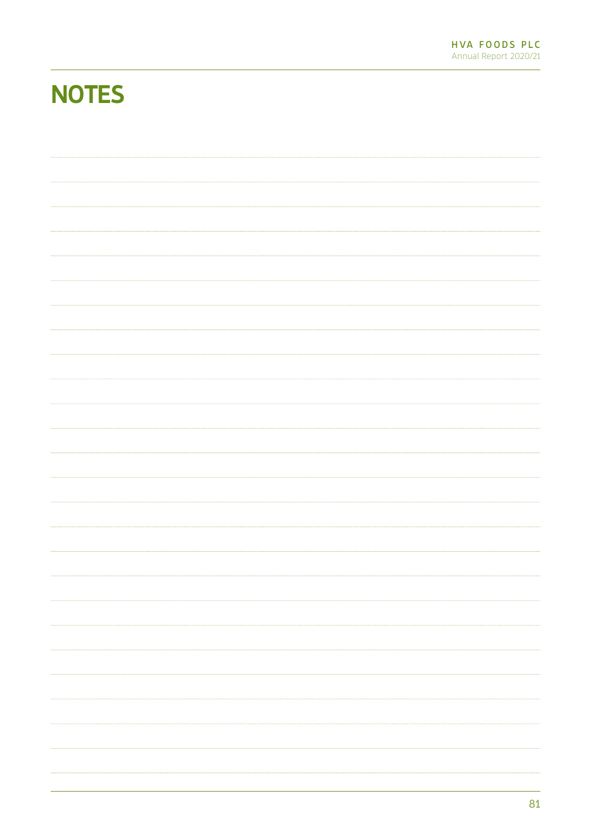# **NOTES**

| m.       |
|----------|
|          |
| $\cdots$ |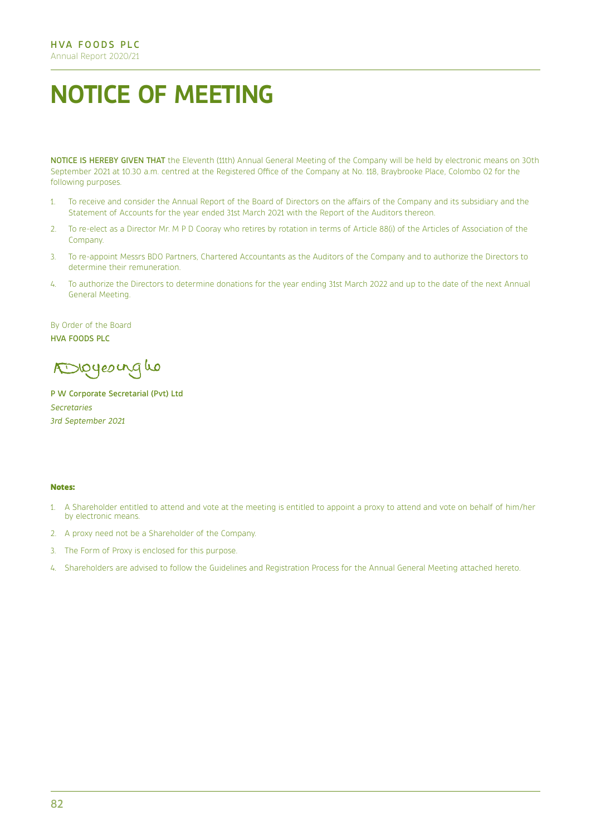# **NOTICE OF MEETING**

NOTICE IS HEREBY GIVEN THAT the Eleventh (11th) Annual General Meeting of the Company will be held by electronic means on 30th September 2021 at 10.30 a.m. centred at the Registered Office of the Company at No. 118, Braybrooke Place, Colombo 02 for the following purposes.

- 1. To receive and consider the Annual Report of the Board of Directors on the affairs of the Company and its subsidiary and the Statement of Accounts for the year ended 31st March 2021 with the Report of the Auditors thereon.
- 2. To re-elect as a Director Mr. M P D Cooray who retires by rotation in terms of Article 88(i) of the Articles of Association of the Company.
- 3. To re-appoint Messrs BDO Partners, Chartered Accountants as the Auditors of the Company and to authorize the Directors to determine their remuneration.
- 4. To authorize the Directors to determine donations for the year ending 31st March 2022 and up to the date of the next Annual General Meeting.

By Order of the Board HVA FOODS PLC

Dioyeourgho

P W Corporate Secretarial (Pvt) Ltd *Secretaries 3rd September 2021*

#### **Notes:**

- 1. A Shareholder entitled to attend and vote at the meeting is entitled to appoint a proxy to attend and vote on behalf of him/her by electronic means.
- 2. A proxy need not be a Shareholder of the Company.
- 3. The Form of Proxy is enclosed for this purpose.
- 4. Shareholders are advised to follow the Guidelines and Registration Process for the Annual General Meeting attached hereto.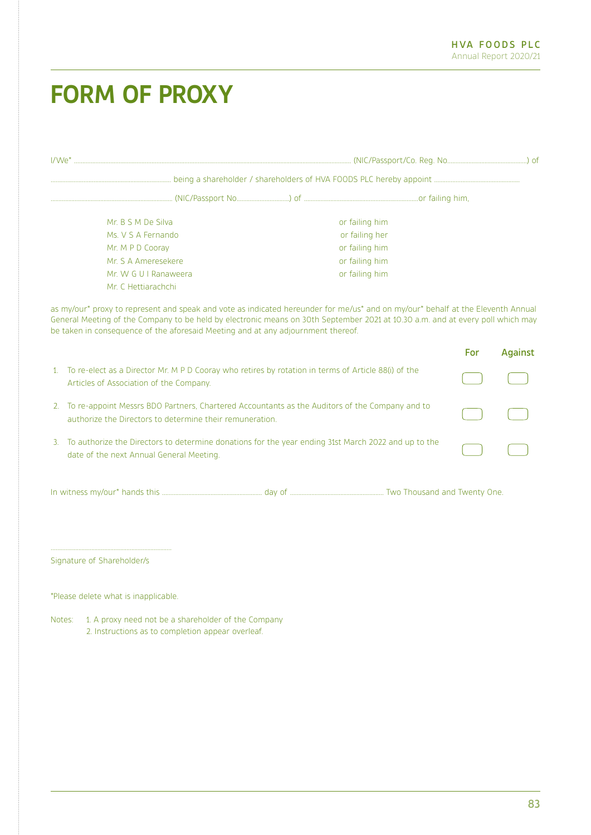# **FORM OF PROXY**

| Mr. B S M De Silva<br>Ms. V S A Fernando                                                                                                                                                                                                                                                                                                              | or failing him<br>or failing her |            |                |
|-------------------------------------------------------------------------------------------------------------------------------------------------------------------------------------------------------------------------------------------------------------------------------------------------------------------------------------------------------|----------------------------------|------------|----------------|
| Mr. M P D Cooray                                                                                                                                                                                                                                                                                                                                      | or failing him                   |            |                |
| Mr. S A Ameresekere                                                                                                                                                                                                                                                                                                                                   | or failing him                   |            |                |
| Mr. W G U I Ranaweera                                                                                                                                                                                                                                                                                                                                 | or failing him                   |            |                |
| Mr. C Hettiarachchi                                                                                                                                                                                                                                                                                                                                   |                                  |            |                |
| as my/our* proxy to represent and speak and vote as indicated hereunder for me/us* and on my/our* behalf at the Eleventh Annual<br>General Meeting of the Company to be held by electronic means on 30th September 2021 at 10.30 a.m. and at every poll which may<br>be taken in consequence of the aforesaid Meeting and at any adjournment thereof. |                                  |            |                |
|                                                                                                                                                                                                                                                                                                                                                       |                                  | <b>For</b> | <b>Against</b> |
| 1. To re-elect as a Director Mr. M P D Cooray who retires by rotation in terms of Article 88(i) of the<br>Articles of Association of the Company.                                                                                                                                                                                                     |                                  |            |                |
| 2. To re-appoint Messrs BDO Partners, Chartered Accountants as the Auditors of the Company and to<br>authorize the Directors to determine their remuneration.                                                                                                                                                                                         |                                  |            |                |
| To authorize the Directors to determine donations for the year ending 31st March 2022 and up to the<br>3.<br>date of the next Annual General Meeting.                                                                                                                                                                                                 |                                  |            |                |
|                                                                                                                                                                                                                                                                                                                                                       |                                  |            |                |
| Signature of Shareholder/s                                                                                                                                                                                                                                                                                                                            |                                  |            |                |
|                                                                                                                                                                                                                                                                                                                                                       |                                  |            |                |
| *Please delete what is inapplicable.                                                                                                                                                                                                                                                                                                                  |                                  |            |                |
|                                                                                                                                                                                                                                                                                                                                                       |                                  |            |                |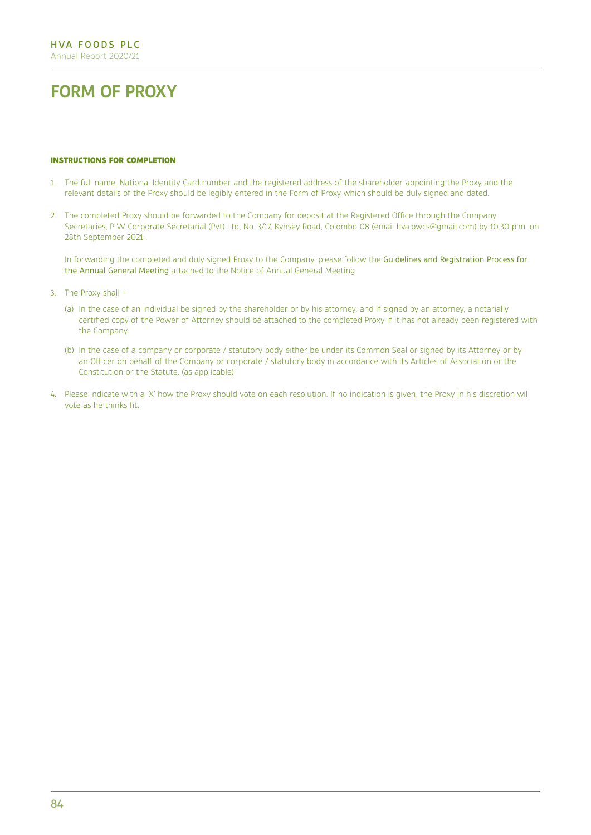# **FORM OF PROXY**

#### **INSTRUCTIONS FOR COMPLETION**

- 1. The full name, National Identity Card number and the registered address of the shareholder appointing the Proxy and the relevant details of the Proxy should be legibly entered in the Form of Proxy which should be duly signed and dated.
- 2. The completed Proxy should be forwarded to the Company for deposit at the Registered Office through the Company Secretaries, P W Corporate Secretarial (Pvt) Ltd, No. 3/17, Kynsey Road, Colombo 08 (email hva.pwcs@gmail.com) by 10.30 p.m. on 28th September 2021.

In forwarding the completed and duly signed Proxy to the Company, please follow the Guidelines and Registration Process for the Annual General Meeting attached to the Notice of Annual General Meeting.

- 3. The Proxy shall
	- (a) In the case of an individual be signed by the shareholder or by his attorney, and if signed by an attorney, a notarially certified copy of the Power of Attorney should be attached to the completed Proxy if it has not already been registered with the Company.
	- (b) In the case of a company or corporate / statutory body either be under its Common Seal or signed by its Attorney or by an Officer on behalf of the Company or corporate / statutory body in accordance with its Articles of Association or the Constitution or the Statute. (as applicable)
- 4. Please indicate with a 'X' how the Proxy should vote on each resolution. If no indication is given, the Proxy in his discretion will vote as he thinks fit.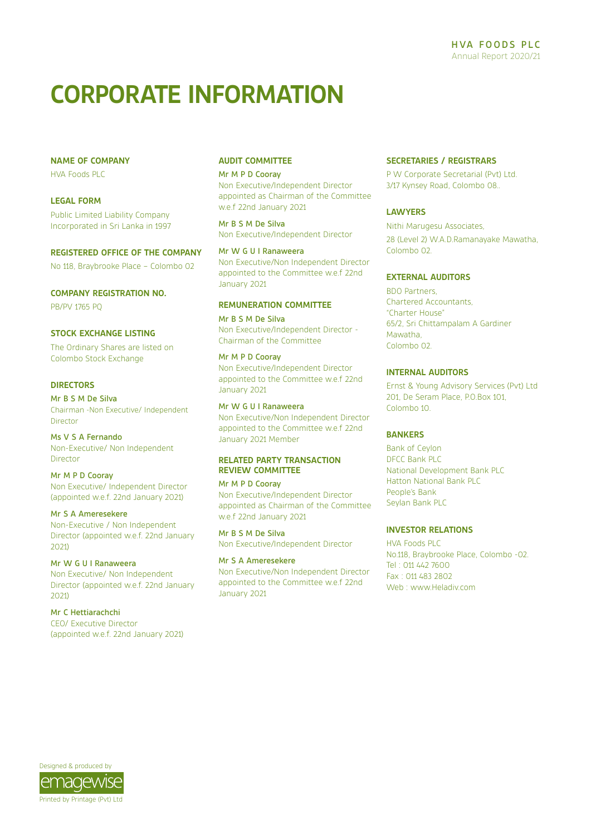# **CORPORATE INFORMATION**

#### **NAME OF COMPANY**

HVA Foods PLC

## **LEGAL FORM**

Public Limited Liability Company Incorporated in Sri Lanka in 1997

#### **REGISTERED OFFICE OF THE COMPANY**

No 118, Braybrooke Place – Colombo 02

#### **COMPANY REGISTRATION NO.**

PB/PV 1765 PQ

#### **STOCK EXCHANGE LISTING**

The Ordinary Shares are listed on Colombo Stock Exchange

## **DIRECTORS**

Mr B S M De Silva Chairman -Non Executive/ Independent Director

Ms V S A Fernando Non-Executive/ Non Independent Director

#### Mr M P D Cooray Non Executive/ Independent Director (appointed w.e.f. 22nd January 2021)

Mr S A Ameresekere

Non-Executive / Non Independent Director (appointed w.e.f. 22nd January 2021)

# Mr W G U I Ranaweera

Non Executive/ Non Independent Director (appointed w.e.f. 22nd January 2021)

## Mr C Hettiarachchi

CEO/ Executive Director (appointed w.e.f. 22nd January 2021)

## **AUDIT COMMITTEE**

#### Mr M P D Cooray Non Executive/Independent Director

appointed as Chairman of the Committee w.e.f 22nd January 2021

Mr B S M De Silva Non Executive/Independent Director

Mr W G U I Ranaweera Non Executive/Non Independent Director appointed to the Committee w.e.f 22nd January 2021

## **REMUNERATION COMMITTEE**

Mr B S M De Silva Non Executive/Independent Director - Chairman of the Committee

#### Mr M P D Cooray

Non Executive/Independent Director appointed to the Committee w.e.f 22nd January 2021

# Mr W G U I Ranaweera

Non Executive/Non Independent Director appointed to the Committee w.e.f 22nd January 2021 Member

# **RELATED PARTY TRANSACTION REVIEW COMMITTEE**

#### Mr M P D Cooray

Non Executive/Independent Director appointed as Chairman of the Committee w.e.f 22nd January 2021

Mr B S M De Silva Non Executive/Independent Director

# Mr S A Ameresekere

Non Executive/Non Independent Director appointed to the Committee w.e.f. 22nd January 2021

#### **SECRETARIES / REGISTRARS**

P W Corporate Secretarial (Pvt) Ltd. 3/17 Kynsey Road, Colombo 08..

# **LAWYERS**

Nithi Marugesu Associates, 28 (Level 2) W.A.D.Ramanayake Mawatha, Colombo 02.

## **EXTERNAL AUDITORS**

BDO Partners, Chartered Accountants, "Charter House" 65/2, Sri Chittampalam A Gardiner Mawatha, Colombo 02.

## **INTERNAL AUDITORS**

Ernst & Young Advisory Services (Pvt) Ltd 201, De Seram Place, P.O.Box 101, Colombo 10.

# **BANKERS**

Bank of Ceylon DFCC Bank PLC National Development Bank PLC Hatton National Bank PLC People's Bank Seylan Bank PLC

# **INVESTOR RELATIONS**

HVA Foods PLC No.118, Braybrooke Place, Colombo -02. Tel : 011 442 7600 Fax : 011 483 2802 Web : www.Heladiv.com